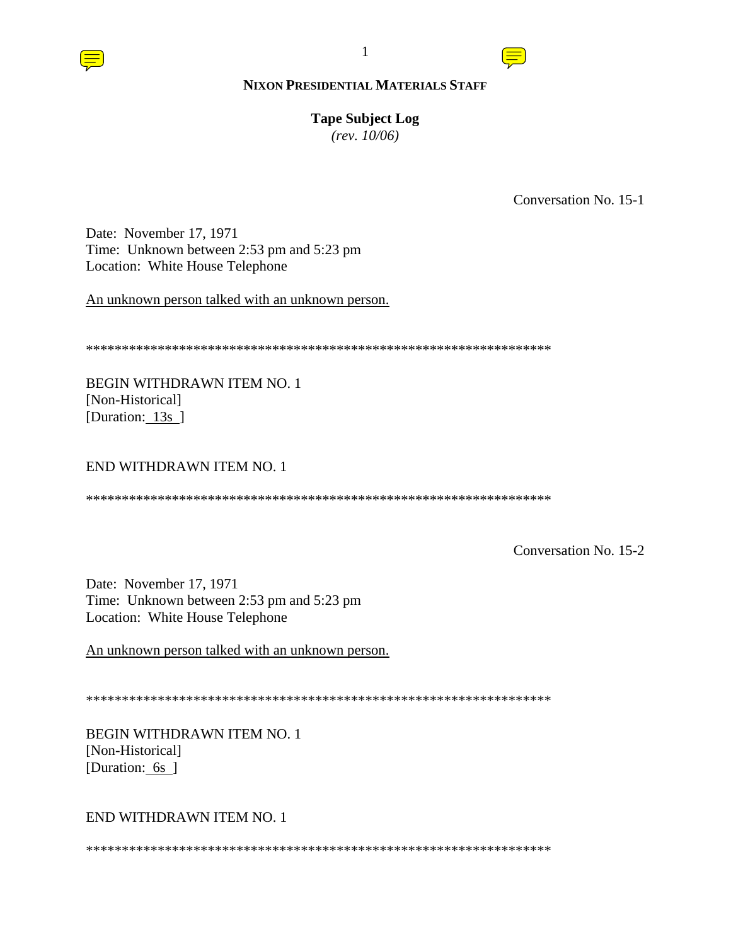#### **Tape Subject Log**

*(rev. 10/06)*

Conversation No. 15-1

Date: November 17, 1971 Time: Unknown between 2:53 pm and 5:23 pm Location: White House Telephone

An unknown person talked with an unknown person.

\*\*\*\*\*\*\*\*\*\*\*\*\*\*\*\*\*\*\*\*\*\*\*\*\*\*\*\*\*\*\*\*\*\*\*\*\*\*\*\*\*\*\*\*\*\*\*\*\*\*\*\*\*\*\*\*\*\*\*\*\*\*\*\*\*

BEGIN WITHDRAWN ITEM NO. 1 [Non-Historical] [Duration: 13s ]

#### END WITHDRAWN ITEM NO. 1

\*\*\*\*\*\*\*\*\*\*\*\*\*\*\*\*\*\*\*\*\*\*\*\*\*\*\*\*\*\*\*\*\*\*\*\*\*\*\*\*\*\*\*\*\*\*\*\*\*\*\*\*\*\*\*\*\*\*\*\*\*\*\*\*\*

Conversation No. 15-2

Date: November 17, 1971 Time: Unknown between 2:53 pm and 5:23 pm Location: White House Telephone

An unknown person talked with an unknown person.

\*\*\*\*\*\*\*\*\*\*\*\*\*\*\*\*\*\*\*\*\*\*\*\*\*\*\*\*\*\*\*\*\*\*\*\*\*\*\*\*\*\*\*\*\*\*\*\*\*\*\*\*\*\*\*\*\*\*\*\*\*\*\*\*\*

BEGIN WITHDRAWN ITEM NO. 1 [Non-Historical] [Duration: 6s ]

#### END WITHDRAWN ITEM NO. 1

\*\*\*\*\*\*\*\*\*\*\*\*\*\*\*\*\*\*\*\*\*\*\*\*\*\*\*\*\*\*\*\*\*\*\*\*\*\*\*\*\*\*\*\*\*\*\*\*\*\*\*\*\*\*\*\*\*\*\*\*\*\*\*\*\*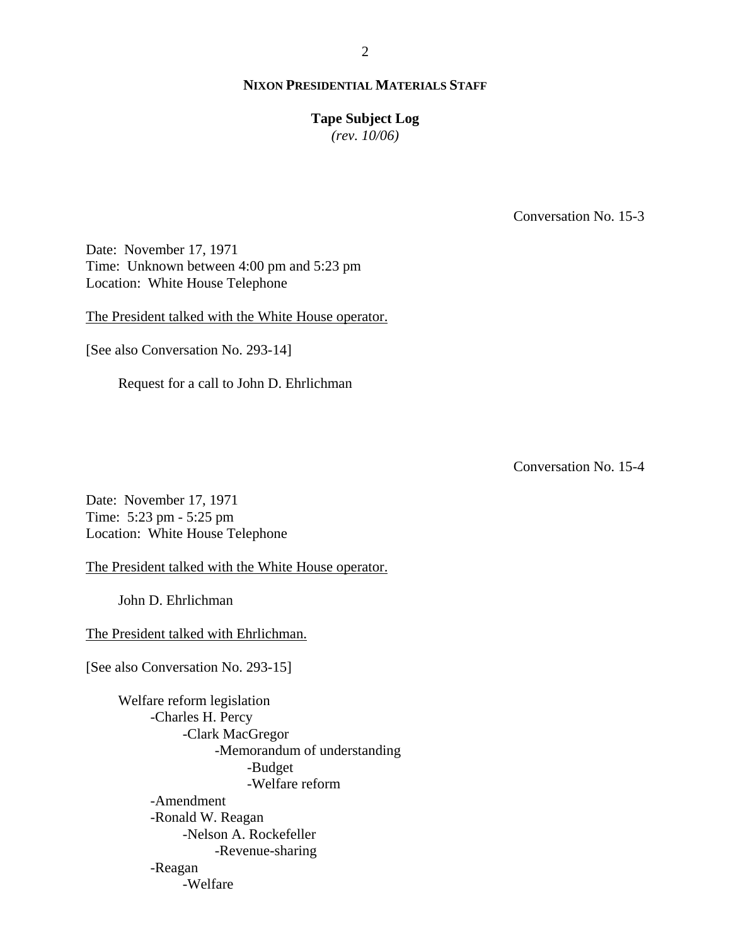#### 2

## **NIXON PRESIDENTIAL MATERIALS STAFF**

#### **Tape Subject Log**

*(rev. 10/06)*

Conversation No. 15-3

Date: November 17, 1971 Time: Unknown between 4:00 pm and 5:23 pm Location: White House Telephone

The President talked with the White House operator.

[See also Conversation No. 293-14]

Request for a call to John D. Ehrlichman

Conversation No. 15-4

Date: November 17, 1971 Time: 5:23 pm - 5:25 pm Location: White House Telephone

The President talked with the White House operator.

John D. Ehrlichman

The President talked with Ehrlichman.

[See also Conversation No. 293-15]

 Welfare reform legislation -Charles H. Percy -Clark MacGregor -Memorandum of understanding -Budget -Welfare reform -Amendment -Ronald W. Reagan -Nelson A. Rockefeller -Revenue-sharing -Reagan -Welfare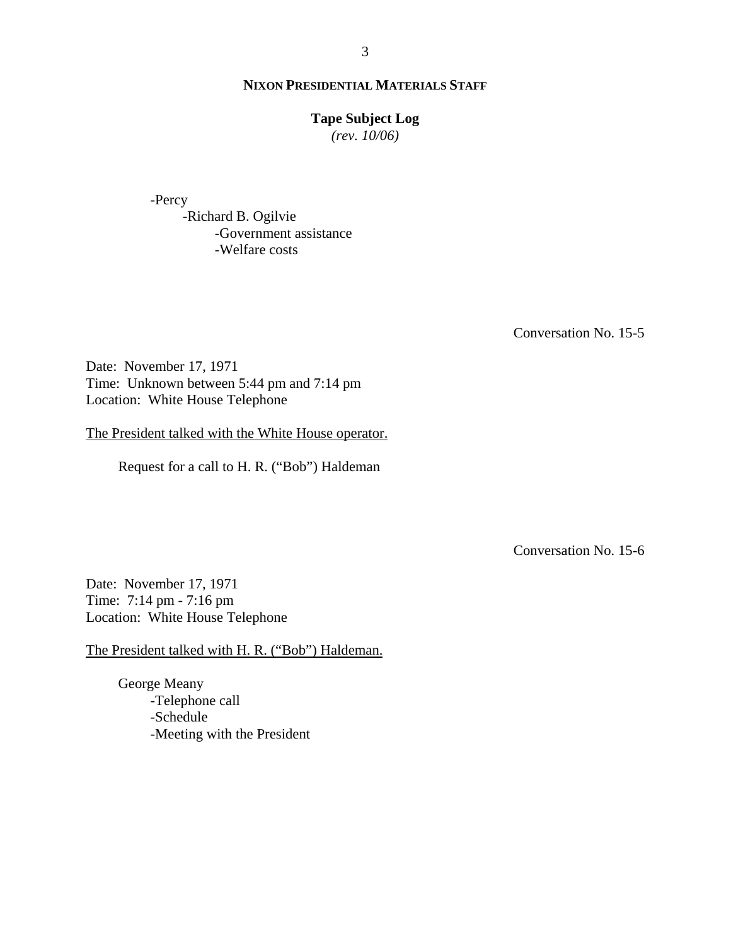#### **Tape Subject Log**

*(rev. 10/06)*

-Percy

 -Richard B. Ogilvie -Government assistance -Welfare costs

Conversation No. 15-5

Date: November 17, 1971 Time: Unknown between 5:44 pm and 7:14 pm Location: White House Telephone

The President talked with the White House operator.

Request for a call to H. R. ("Bob") Haldeman

Conversation No. 15-6

Date: November 17, 1971 Time: 7:14 pm - 7:16 pm Location: White House Telephone

The President talked with H. R. ("Bob") Haldeman.

George Meany -Telephone call -Schedule -Meeting with the President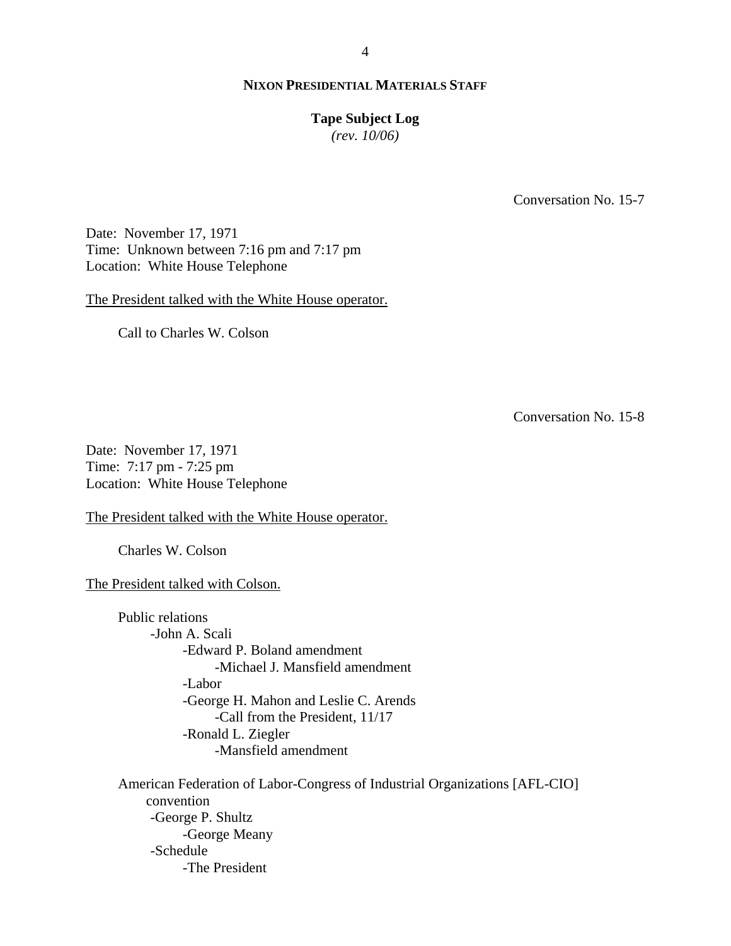#### **Tape Subject Log**

*(rev. 10/06)*

Conversation No. 15-7

Date: November 17, 1971 Time: Unknown between 7:16 pm and 7:17 pm Location: White House Telephone

The President talked with the White House operator.

Call to Charles W. Colson

Conversation No. 15-8

Date: November 17, 1971 Time: 7:17 pm - 7:25 pm Location: White House Telephone

The President talked with the White House operator.

Charles W. Colson

The President talked with Colson.

Public relations -John A. Scali -Edward P. Boland amendment -Michael J. Mansfield amendment -Labor -George H. Mahon and Leslie C. Arends -Call from the President, 11/17 -Ronald L. Ziegler -Mansfield amendment

 American Federation of Labor-Congress of Industrial Organizations [AFL-CIO] convention -George P. Shultz -George Meany -Schedule -The President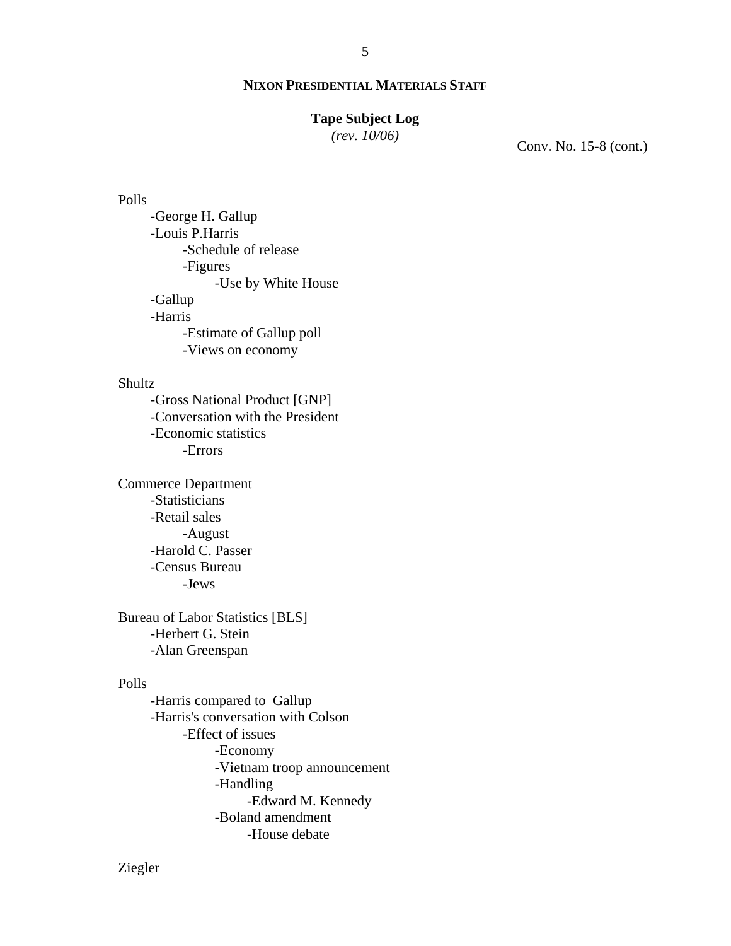## **Tape Subject Log**

*(rev. 10/06)*

Conv. No. 15-8 (cont.)

#### Polls

 -George H. Gallup -Louis P.Harris -Schedule of release -Figures -Use by White House -Gallup -Harris -Estimate of Gallup poll -Views on economy

# Shultz

-Gross National Product [GNP] -Conversation with the President -Economic statistics -Errors

Commerce Department -Statisticians -Retail sales -August -Harold C. Passer -Census Bureau -Jews

Bureau of Labor Statistics [BLS] -Herbert G. Stein -Alan Greenspan

# Polls

-Harris compared to Gallup -Harris's conversation with Colson -Effect of issues -Economy -Vietnam troop announcement -Handling -Edward M. Kennedy -Boland amendment -House debate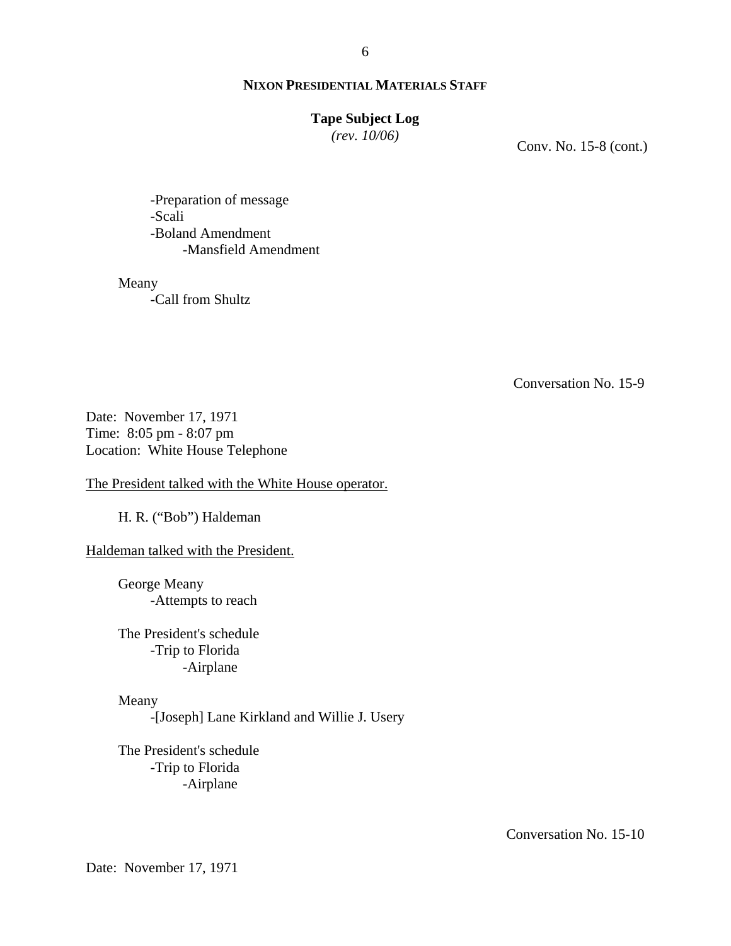#### 6

## **NIXON PRESIDENTIAL MATERIALS STAFF**

## **Tape Subject Log**

*(rev. 10/06)*

Conv. No. 15-8 (cont.)

-Preparation of message -Scali -Boland Amendment -Mansfield Amendment

Meany

-Call from Shultz

Conversation No. 15-9

Date: November 17, 1971 Time: 8:05 pm - 8:07 pm Location: White House Telephone

The President talked with the White House operator.

H. R. ("Bob") Haldeman

Haldeman talked with the President.

George Meany -Attempts to reach

The President's schedule -Trip to Florida -Airplane

#### Meany

-[Joseph] Lane Kirkland and Willie J. Usery

The President's schedule -Trip to Florida -Airplane

Conversation No. 15-10

Date: November 17, 1971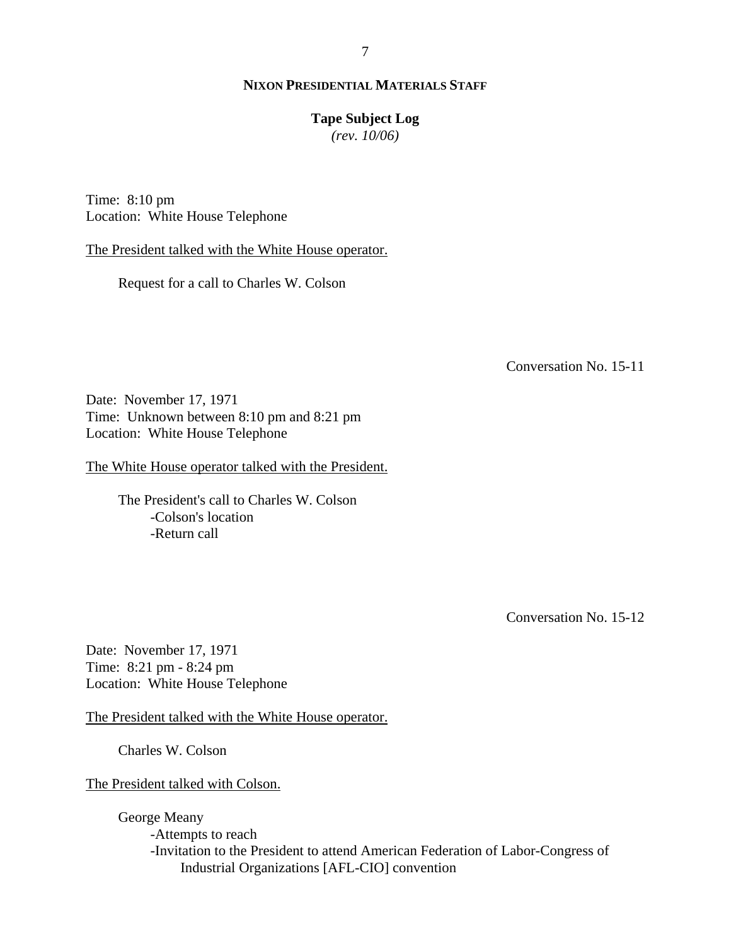## **Tape Subject Log**

*(rev. 10/06)*

Time: 8:10 pm Location: White House Telephone

The President talked with the White House operator.

Request for a call to Charles W. Colson

Conversation No. 15-11

Date: November 17, 1971 Time: Unknown between 8:10 pm and 8:21 pm Location: White House Telephone

The White House operator talked with the President.

The President's call to Charles W. Colson -Colson's location -Return call

Conversation No. 15-12

Date: November 17, 1971 Time: 8:21 pm - 8:24 pm Location: White House Telephone

The President talked with the White House operator.

Charles W. Colson

The President talked with Colson.

George Meany -Attempts to reach -Invitation to the President to attend American Federation of Labor-Congress of Industrial Organizations [AFL-CIO] convention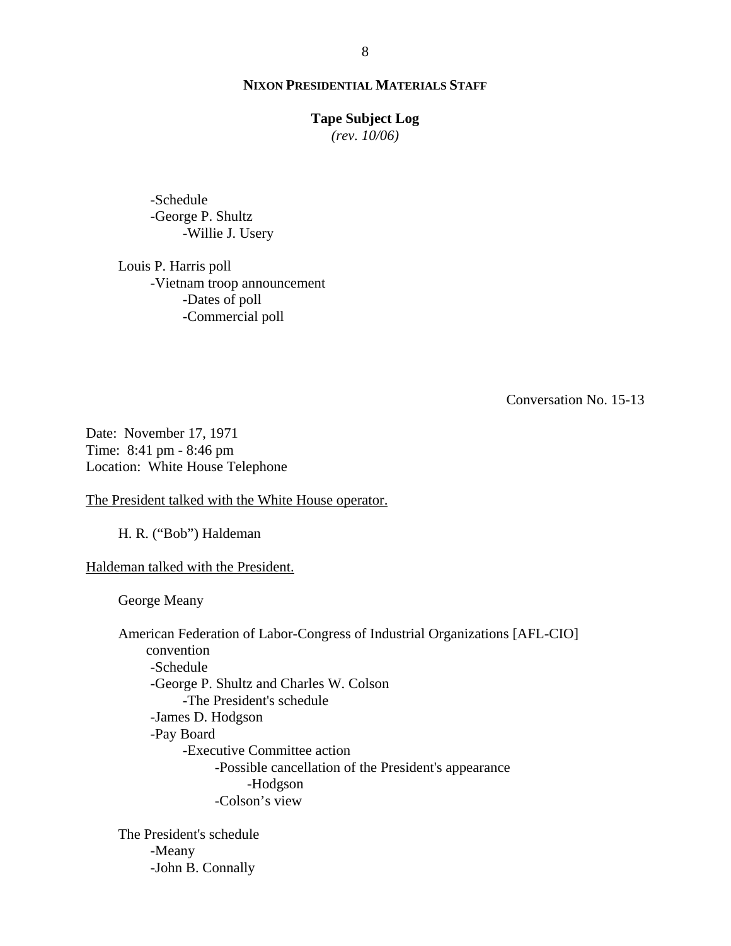#### **Tape Subject Log**

*(rev. 10/06)*

-Schedule -George P. Shultz -Willie J. Usery

Louis P. Harris poll -Vietnam troop announcement -Dates of poll -Commercial poll

Conversation No. 15-13

Date: November 17, 1971 Time: 8:41 pm - 8:46 pm Location: White House Telephone

The President talked with the White House operator.

H. R. ("Bob") Haldeman

Haldeman talked with the President.

George Meany

 American Federation of Labor-Congress of Industrial Organizations [AFL-CIO] convention -Schedule -George P. Shultz and Charles W. Colson -The President's schedule -James D. Hodgson -Pay Board -Executive Committee action -Possible cancellation of the President's appearance -Hodgson -Colson's view

The President's schedule -Meany -John B. Connally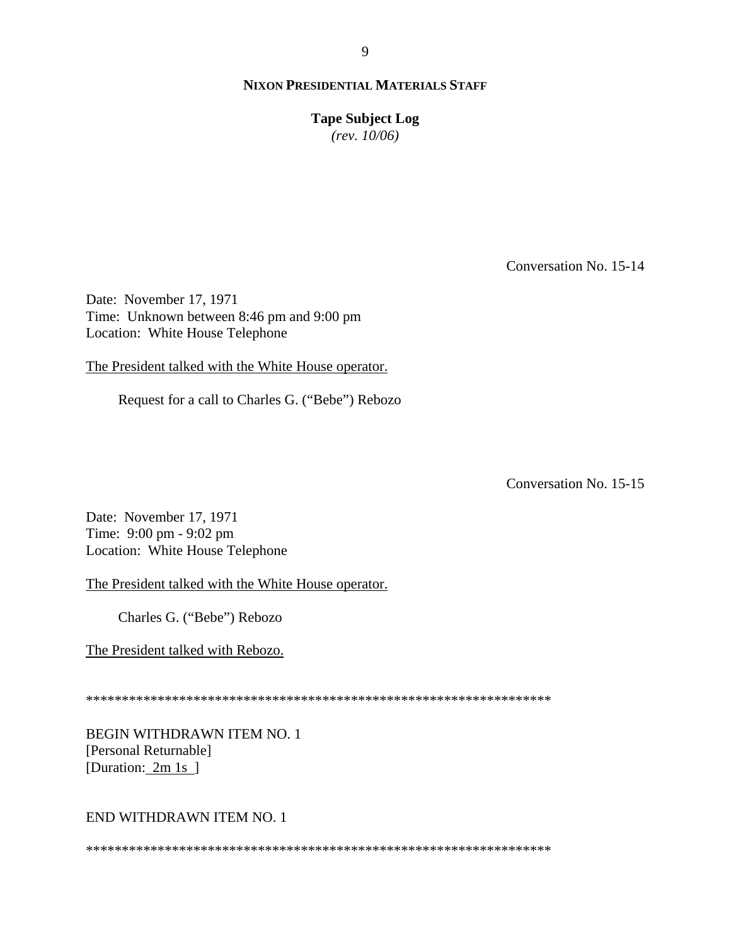**Tape Subject Log**

*(rev. 10/06)*

Conversation No. 15-14

Date: November 17, 1971 Time: Unknown between 8:46 pm and 9:00 pm Location: White House Telephone

The President talked with the White House operator.

Request for a call to Charles G. ("Bebe") Rebozo

Conversation No. 15-15

Date: November 17, 1971 Time: 9:00 pm - 9:02 pm Location: White House Telephone

The President talked with the White House operator.

Charles G. ("Bebe") Rebozo

The President talked with Rebozo.

\*\*\*\*\*\*\*\*\*\*\*\*\*\*\*\*\*\*\*\*\*\*\*\*\*\*\*\*\*\*\*\*\*\*\*\*\*\*\*\*\*\*\*\*\*\*\*\*\*\*\*\*\*\*\*\*\*\*\*\*\*\*\*\*\*

BEGIN WITHDRAWN ITEM NO. 1 [Personal Returnable] [Duration: 2m 1s]

#### END WITHDRAWN ITEM NO. 1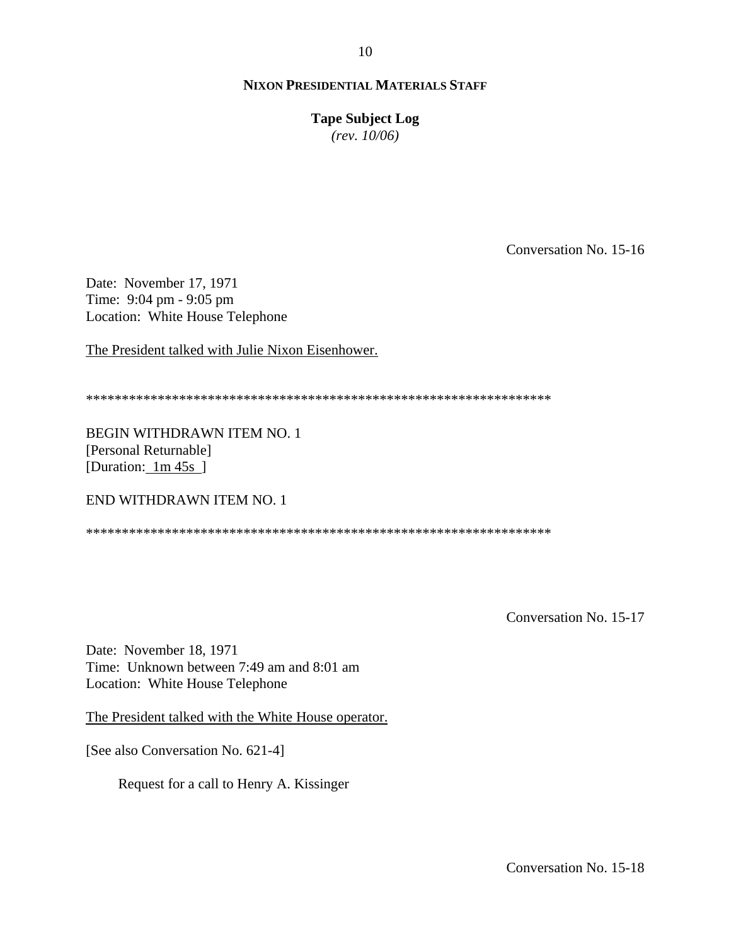**Tape Subject Log** *(rev. 10/06)*

Conversation No. 15-16

Date: November 17, 1971 Time: 9:04 pm - 9:05 pm Location: White House Telephone

The President talked with Julie Nixon Eisenhower.

\*\*\*\*\*\*\*\*\*\*\*\*\*\*\*\*\*\*\*\*\*\*\*\*\*\*\*\*\*\*\*\*\*\*\*\*\*\*\*\*\*\*\*\*\*\*\*\*\*\*\*\*\*\*\*\*\*\*\*\*\*\*\*\*\*

BEGIN WITHDRAWN ITEM NO. 1 [Personal Returnable] [Duration: 1m 45s]

END WITHDRAWN ITEM NO. 1

\*\*\*\*\*\*\*\*\*\*\*\*\*\*\*\*\*\*\*\*\*\*\*\*\*\*\*\*\*\*\*\*\*\*\*\*\*\*\*\*\*\*\*\*\*\*\*\*\*\*\*\*\*\*\*\*\*\*\*\*\*\*\*\*\*

Conversation No. 15-17

Date: November 18, 1971 Time: Unknown between 7:49 am and 8:01 am Location: White House Telephone

The President talked with the White House operator.

[See also Conversation No. 621-4]

Request for a call to Henry A. Kissinger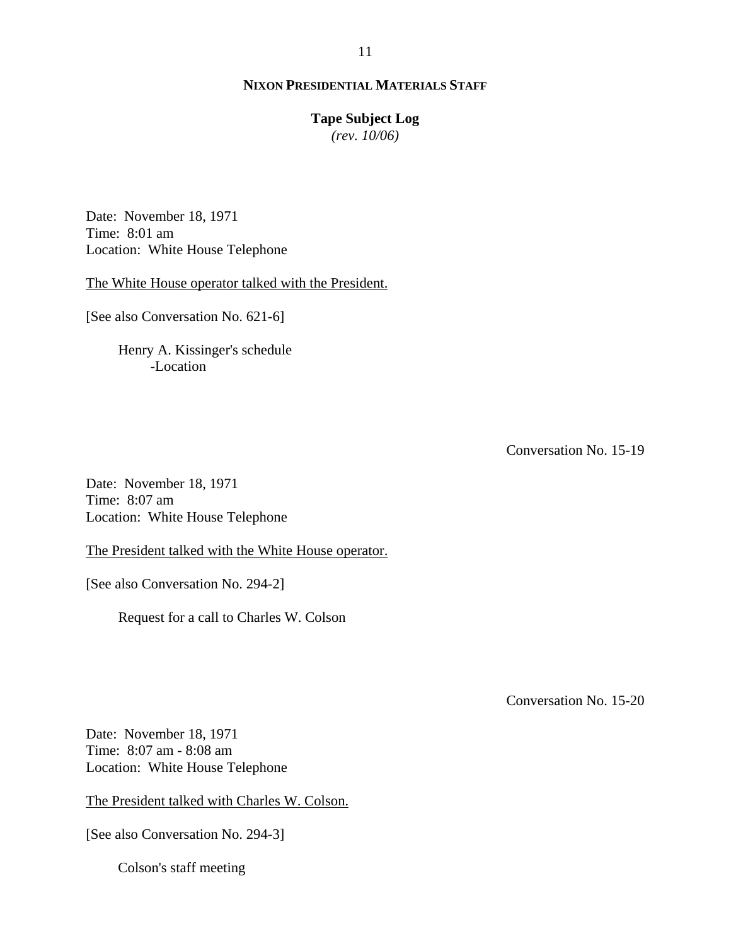# **Tape Subject Log**

*(rev. 10/06)*

Date: November 18, 1971 Time: 8:01 am Location: White House Telephone

The White House operator talked with the President.

[See also Conversation No. 621-6]

Henry A. Kissinger's schedule -Location

Conversation No. 15-19

Date: November 18, 1971 Time: 8:07 am Location: White House Telephone

The President talked with the White House operator.

[See also Conversation No. 294-2]

Request for a call to Charles W. Colson

Conversation No. 15-20

Date: November 18, 1971 Time: 8:07 am - 8:08 am Location: White House Telephone

The President talked with Charles W. Colson.

[See also Conversation No. 294-3]

Colson's staff meeting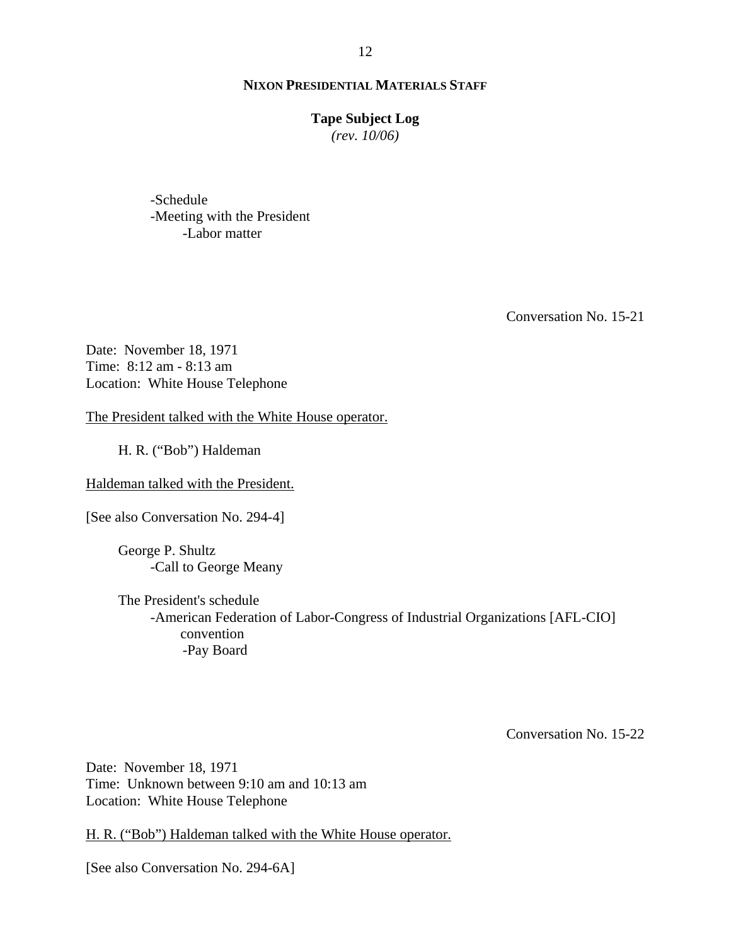#### **Tape Subject Log**

*(rev. 10/06)*

-Schedule -Meeting with the President -Labor matter

Conversation No. 15-21

Date: November 18, 1971 Time: 8:12 am - 8:13 am Location: White House Telephone

The President talked with the White House operator.

H. R. ("Bob") Haldeman

Haldeman talked with the President.

[See also Conversation No. 294-4]

George P. Shultz -Call to George Meany

The President's schedule -American Federation of Labor-Congress of Industrial Organizations [AFL-CIO] convention -Pay Board

Conversation No. 15-22

Date: November 18, 1971 Time: Unknown between 9:10 am and 10:13 am Location: White House Telephone

H. R. ("Bob") Haldeman talked with the White House operator.

[See also Conversation No. 294-6A]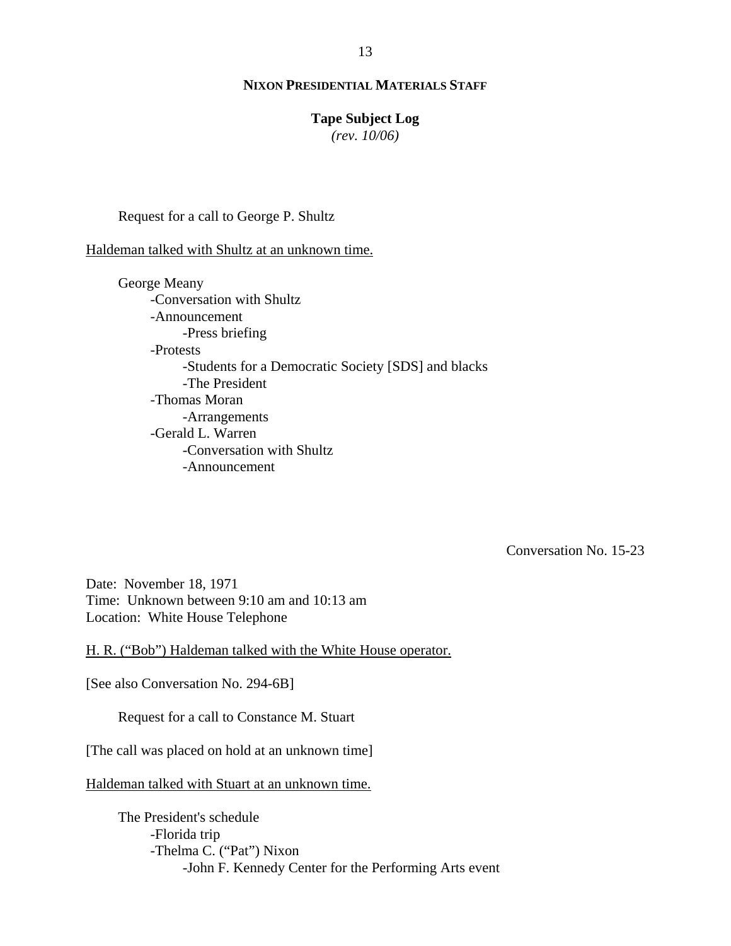#### **Tape Subject Log**

*(rev. 10/06)*

Request for a call to George P. Shultz

Haldeman talked with Shultz at an unknown time.

George Meany -Conversation with Shultz -Announcement -Press briefing -Protests -Students for a Democratic Society [SDS] and blacks -The President -Thomas Moran -Arrangements -Gerald L. Warren -Conversation with Shultz -Announcement

Conversation No. 15-23

Date: November 18, 1971 Time: Unknown between 9:10 am and 10:13 am Location: White House Telephone

H. R. ("Bob") Haldeman talked with the White House operator.

[See also Conversation No. 294-6B]

Request for a call to Constance M. Stuart

[The call was placed on hold at an unknown time]

Haldeman talked with Stuart at an unknown time.

The President's schedule -Florida trip -Thelma C. ("Pat") Nixon -John F. Kennedy Center for the Performing Arts event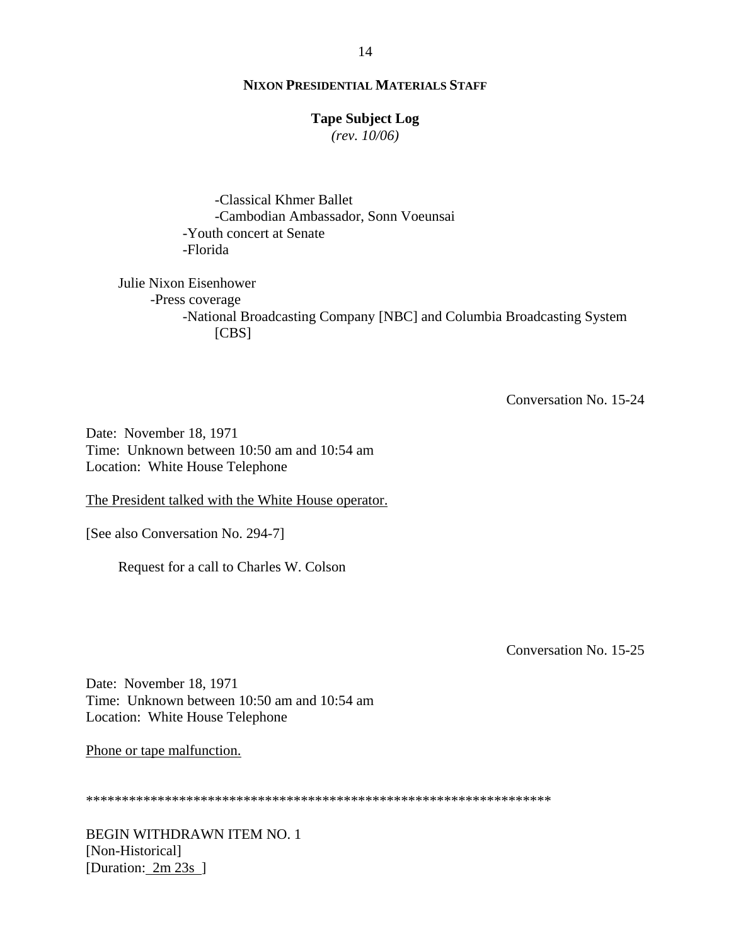## **Tape Subject Log**

*(rev. 10/06)*

-Classical Khmer Ballet -Cambodian Ambassador, Sonn Voeunsai -Youth concert at Senate -Florida

Julie Nixon Eisenhower -Press coverage -National Broadcasting Company [NBC] and Columbia Broadcasting System [CBS]

Conversation No. 15-24

Date: November 18, 1971 Time: Unknown between 10:50 am and 10:54 am Location: White House Telephone

The President talked with the White House operator.

[See also Conversation No. 294-7]

Request for a call to Charles W. Colson

Conversation No. 15-25

Date: November 18, 1971 Time: Unknown between 10:50 am and 10:54 am Location: White House Telephone

Phone or tape malfunction.

|--|

BEGIN WITHDRAWN ITEM NO. 1 [Non-Historical] [Duration:  $2m 23s$ ]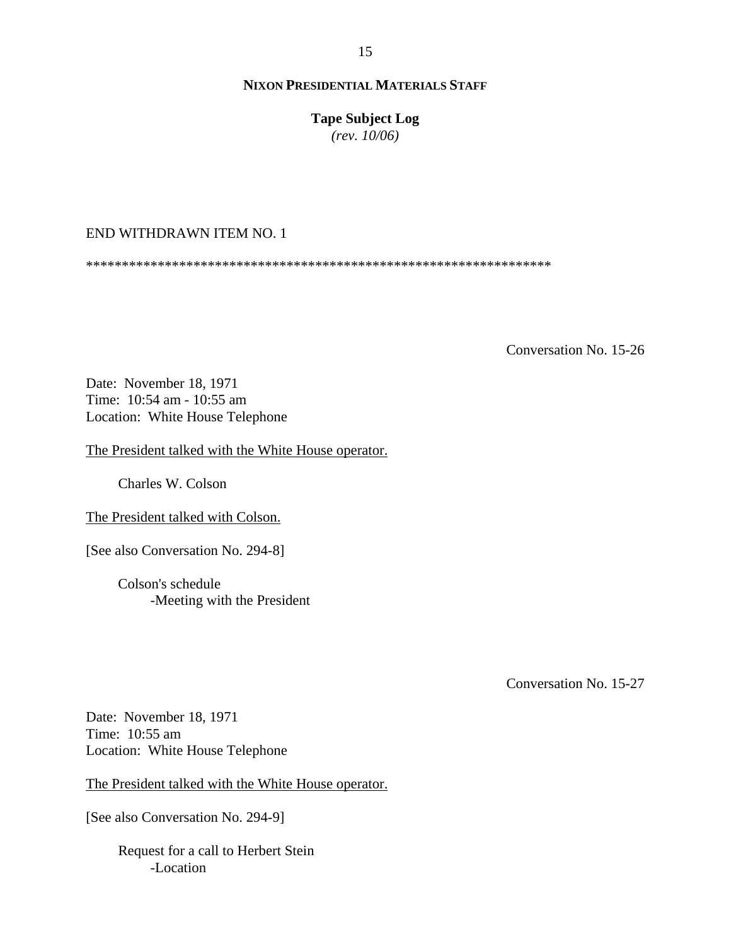**Tape Subject Log**

*(rev. 10/06)*

# END WITHDRAWN ITEM NO. 1

\*\*\*\*\*\*\*\*\*\*\*\*\*\*\*\*\*\*\*\*\*\*\*\*\*\*\*\*\*\*\*\*\*\*\*\*\*\*\*\*\*\*\*\*\*\*\*\*\*\*\*\*\*\*\*\*\*\*\*\*\*\*\*\*\*

Conversation No. 15-26

Date: November 18, 1971 Time: 10:54 am - 10:55 am Location: White House Telephone

The President talked with the White House operator.

Charles W. Colson

The President talked with Colson.

[See also Conversation No. 294-8]

Colson's schedule -Meeting with the President

Conversation No. 15-27

Date: November 18, 1971 Time: 10:55 am Location: White House Telephone

The President talked with the White House operator.

[See also Conversation No. 294-9]

Request for a call to Herbert Stein -Location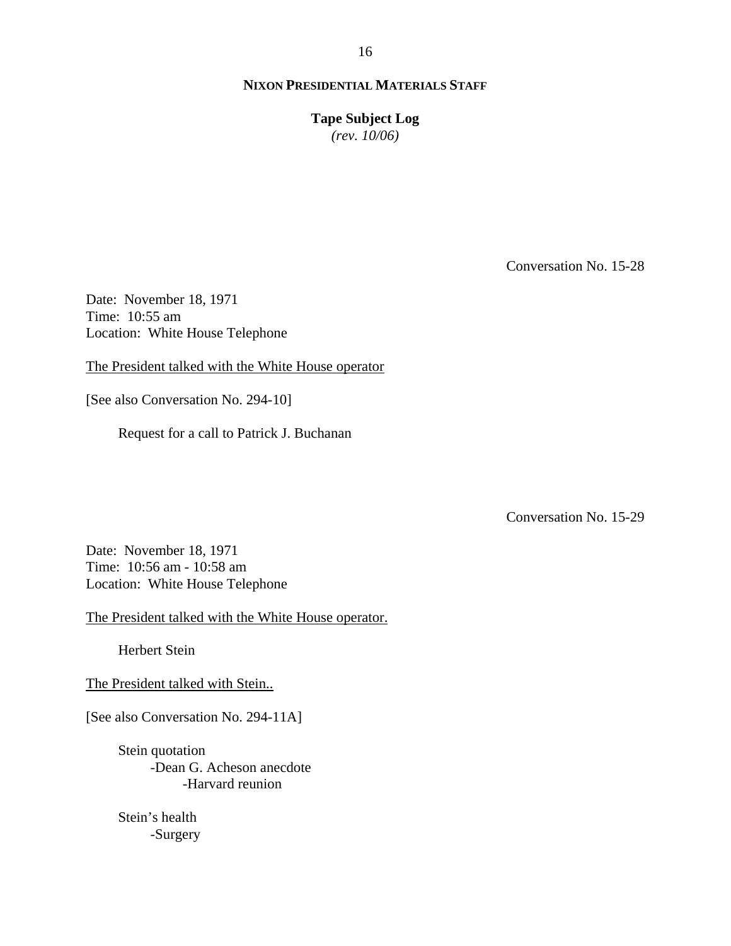**Tape Subject Log** *(rev. 10/06)*

Conversation No. 15-28

Date: November 18, 1971 Time: 10:55 am Location: White House Telephone

The President talked with the White House operator

[See also Conversation No. 294-10]

Request for a call to Patrick J. Buchanan

Conversation No. 15-29

Date: November 18, 1971 Time: 10:56 am - 10:58 am Location: White House Telephone

The President talked with the White House operator.

Herbert Stein

The President talked with Stein..

[See also Conversation No. 294-11A]

Stein quotation -Dean G. Acheson anecdote -Harvard reunion

 Stein's health -Surgery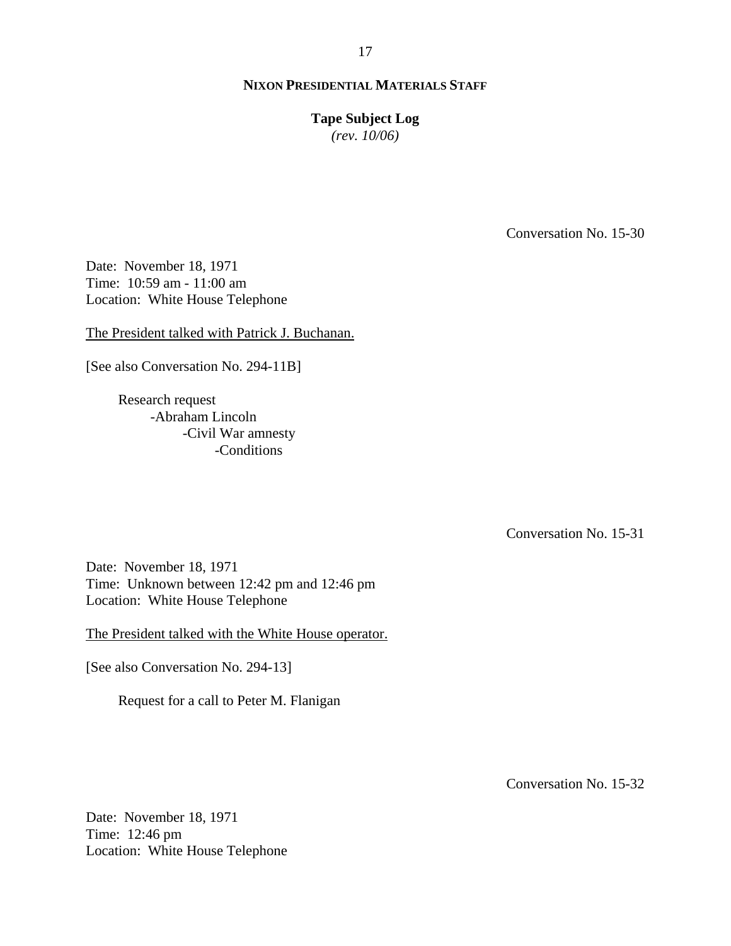# **Tape Subject Log**

*(rev. 10/06)*

Conversation No. 15-30

Date: November 18, 1971 Time: 10:59 am - 11:00 am Location: White House Telephone

The President talked with Patrick J. Buchanan.

[See also Conversation No. 294-11B]

Research request -Abraham Lincoln -Civil War amnesty -Conditions

Conversation No. 15-31

Date: November 18, 1971 Time: Unknown between 12:42 pm and 12:46 pm Location: White House Telephone

The President talked with the White House operator.

[See also Conversation No. 294-13]

Request for a call to Peter M. Flanigan

Conversation No. 15-32

Date: November 18, 1971 Time: 12:46 pm Location: White House Telephone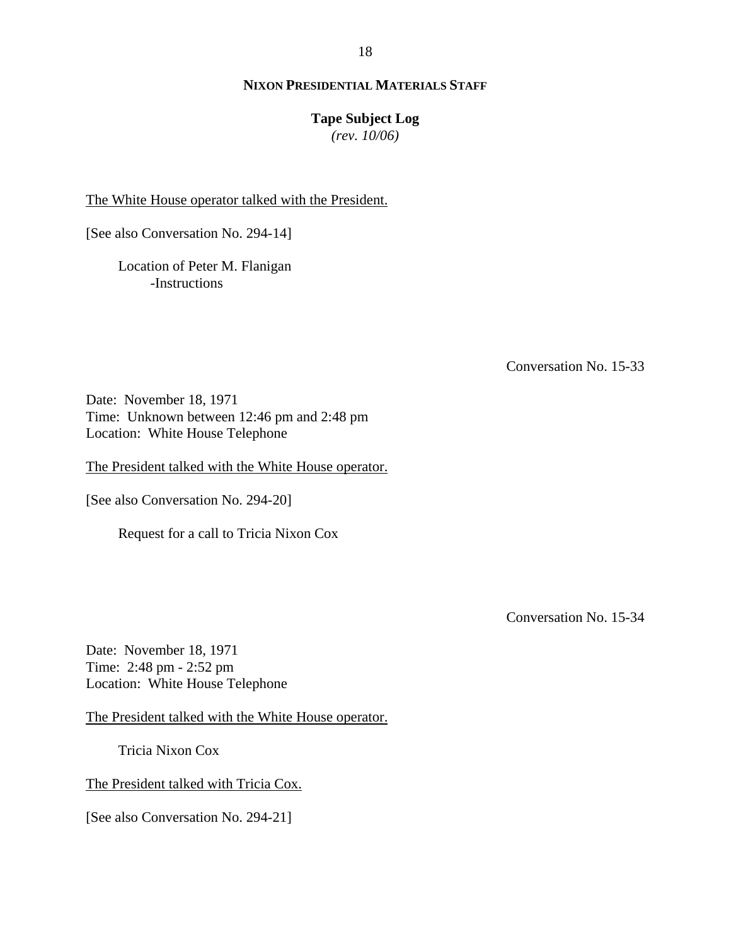# **Tape Subject Log**

*(rev. 10/06)*

The White House operator talked with the President.

[See also Conversation No. 294-14]

Location of Peter M. Flanigan -Instructions

Conversation No. 15-33

Date: November 18, 1971 Time: Unknown between 12:46 pm and 2:48 pm Location: White House Telephone

The President talked with the White House operator.

[See also Conversation No. 294-20]

Request for a call to Tricia Nixon Cox

Conversation No. 15-34

Date: November 18, 1971 Time: 2:48 pm - 2:52 pm Location: White House Telephone

The President talked with the White House operator.

Tricia Nixon Cox

The President talked with Tricia Cox.

[See also Conversation No. 294-21]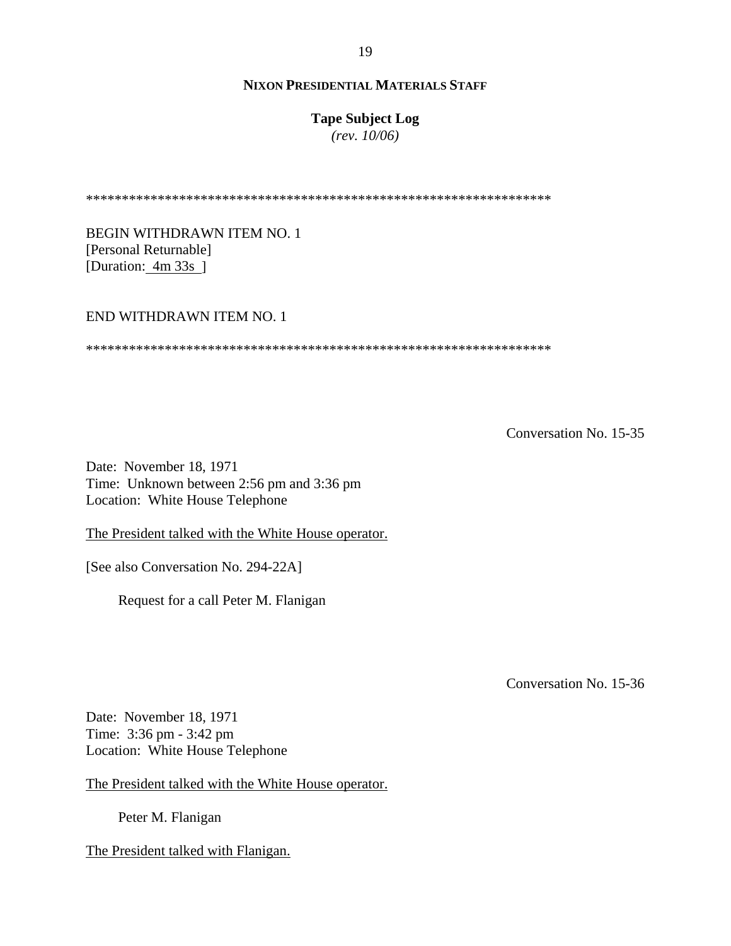## **Tape Subject Log**

*(rev. 10/06)*

\*\*\*\*\*\*\*\*\*\*\*\*\*\*\*\*\*\*\*\*\*\*\*\*\*\*\*\*\*\*\*\*\*\*\*\*\*\*\*\*\*\*\*\*\*\*\*\*\*\*\*\*\*\*\*\*\*\*\*\*\*\*\*\*\*

BEGIN WITHDRAWN ITEM NO. 1 [Personal Returnable] [Duration: 4m 33s]

#### END WITHDRAWN ITEM NO. 1

\*\*\*\*\*\*\*\*\*\*\*\*\*\*\*\*\*\*\*\*\*\*\*\*\*\*\*\*\*\*\*\*\*\*\*\*\*\*\*\*\*\*\*\*\*\*\*\*\*\*\*\*\*\*\*\*\*\*\*\*\*\*\*\*\*

Conversation No. 15-35

Date: November 18, 1971 Time: Unknown between 2:56 pm and 3:36 pm Location: White House Telephone

The President talked with the White House operator.

[See also Conversation No. 294-22A]

Request for a call Peter M. Flanigan

Conversation No. 15-36

Date: November 18, 1971 Time: 3:36 pm - 3:42 pm Location: White House Telephone

The President talked with the White House operator.

Peter M. Flanigan

The President talked with Flanigan.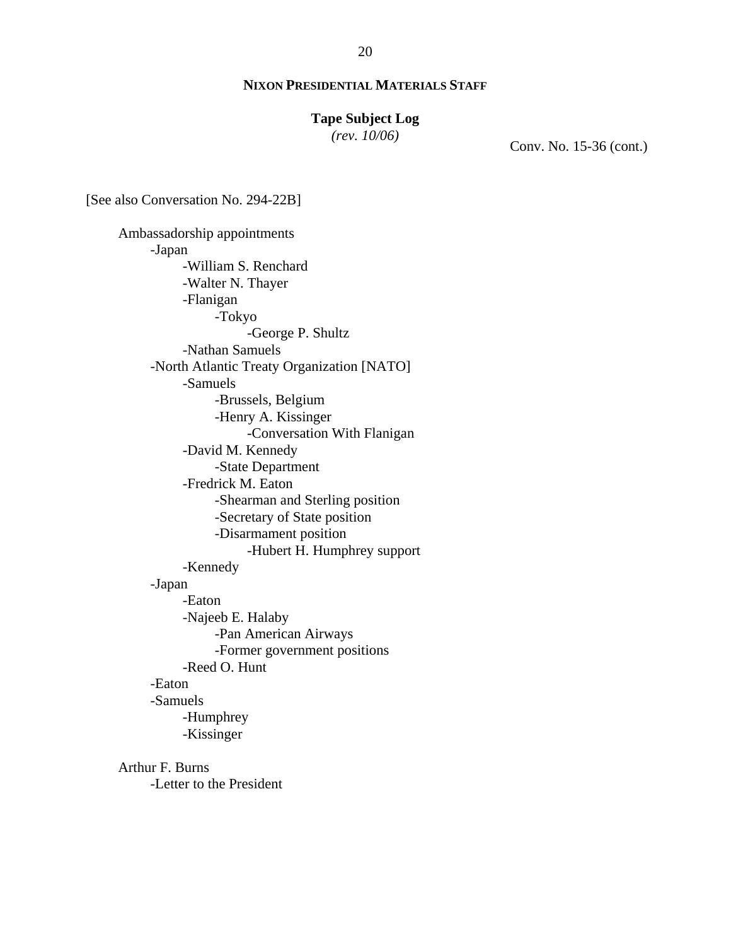## **Tape Subject Log**

*(rev. 10/06)*

Conv. No. 15-36 (cont.)

[See also Conversation No. 294-22B]

 Ambassadorship appointments -Japan -William S. Renchard -Walter N. Thayer -Flanigan -Tokyo -George P. Shultz -Nathan Samuels -North Atlantic Treaty Organization [NATO] -Samuels -Brussels, Belgium -Henry A. Kissinger -Conversation With Flanigan -David M. Kennedy -State Department -Fredrick M. Eaton -Shearman and Sterling position -Secretary of State position -Disarmament position -Hubert H. Humphrey support -Kennedy -Japan -Eaton -Najeeb E. Halaby -Pan American Airways -Former government positions -Reed O. Hunt -Eaton -Samuels -Humphrey -Kissinger Arthur F. Burns

-Letter to the President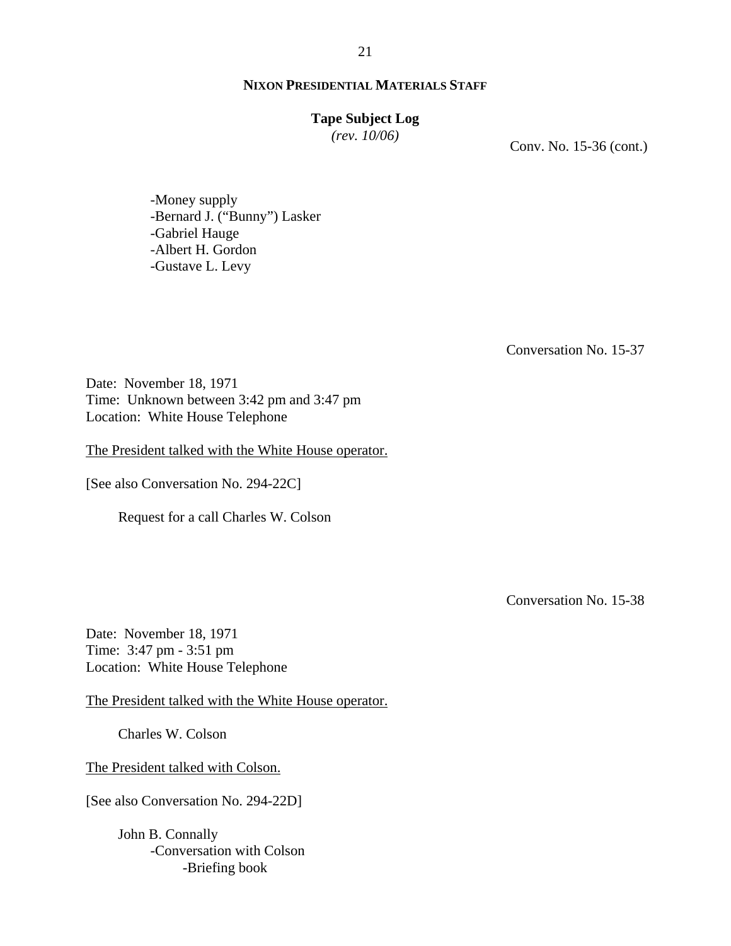#### **Tape Subject Log**

*(rev. 10/06)*

Conv. No. 15-36 (cont.)

-Money supply -Bernard J. ("Bunny") Lasker -Gabriel Hauge -Albert H. Gordon -Gustave L. Levy

Conversation No. 15-37

Date: November 18, 1971 Time: Unknown between 3:42 pm and 3:47 pm Location: White House Telephone

The President talked with the White House operator.

[See also Conversation No. 294-22C]

Request for a call Charles W. Colson

Conversation No. 15-38

Date: November 18, 1971 Time: 3:47 pm - 3:51 pm Location: White House Telephone

The President talked with the White House operator.

Charles W. Colson

The President talked with Colson.

[See also Conversation No. 294-22D]

John B. Connally -Conversation with Colson -Briefing book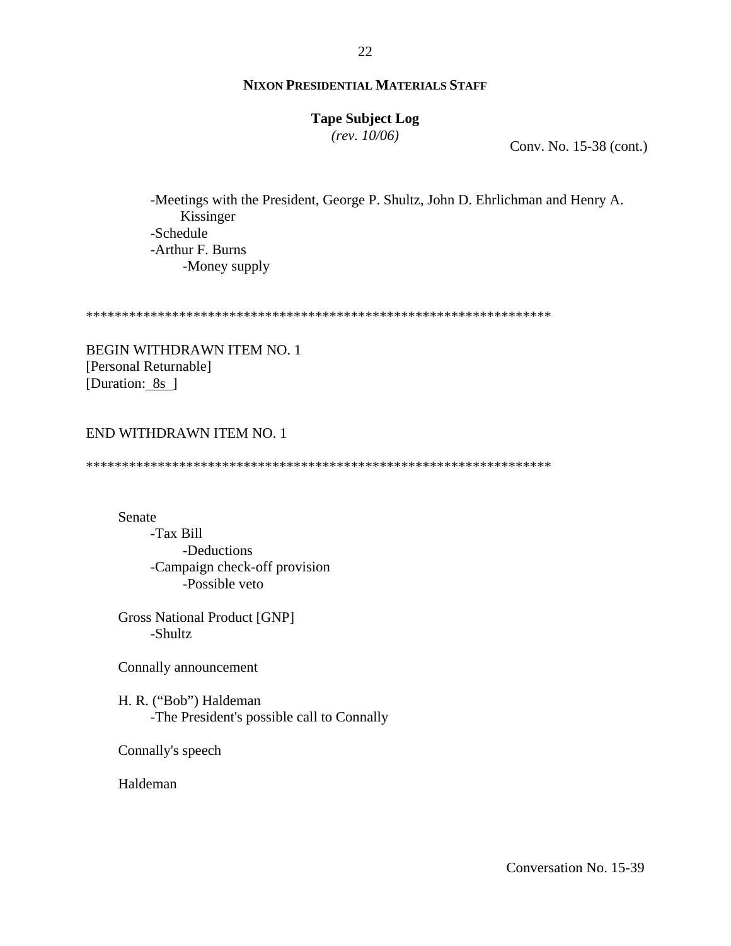# **Tape Subject Log**

*(rev. 10/06)*

Conv. No. 15-38 (cont.)

 -Meetings with the President, George P. Shultz, John D. Ehrlichman and Henry A. Kissinger -Schedule -Arthur F. Burns -Money supply

\*\*\*\*\*\*\*\*\*\*\*\*\*\*\*\*\*\*\*\*\*\*\*\*\*\*\*\*\*\*\*\*\*\*\*\*\*\*\*\*\*\*\*\*\*\*\*\*\*\*\*\*\*\*\*\*\*\*\*\*\*\*\*\*\*

BEGIN WITHDRAWN ITEM NO. 1 [Personal Returnable] [Duration: 8s ]

#### END WITHDRAWN ITEM NO. 1

\*\*\*\*\*\*\*\*\*\*\*\*\*\*\*\*\*\*\*\*\*\*\*\*\*\*\*\*\*\*\*\*\*\*\*\*\*\*\*\*\*\*\*\*\*\*\*\*\*\*\*\*\*\*\*\*\*\*\*\*\*\*\*\*\*

Senate

-Tax Bill -Deductions -Campaign check-off provision -Possible veto

Gross National Product [GNP] -Shultz

Connally announcement

H. R. ("Bob") Haldeman -The President's possible call to Connally

Connally's speech

Haldeman

22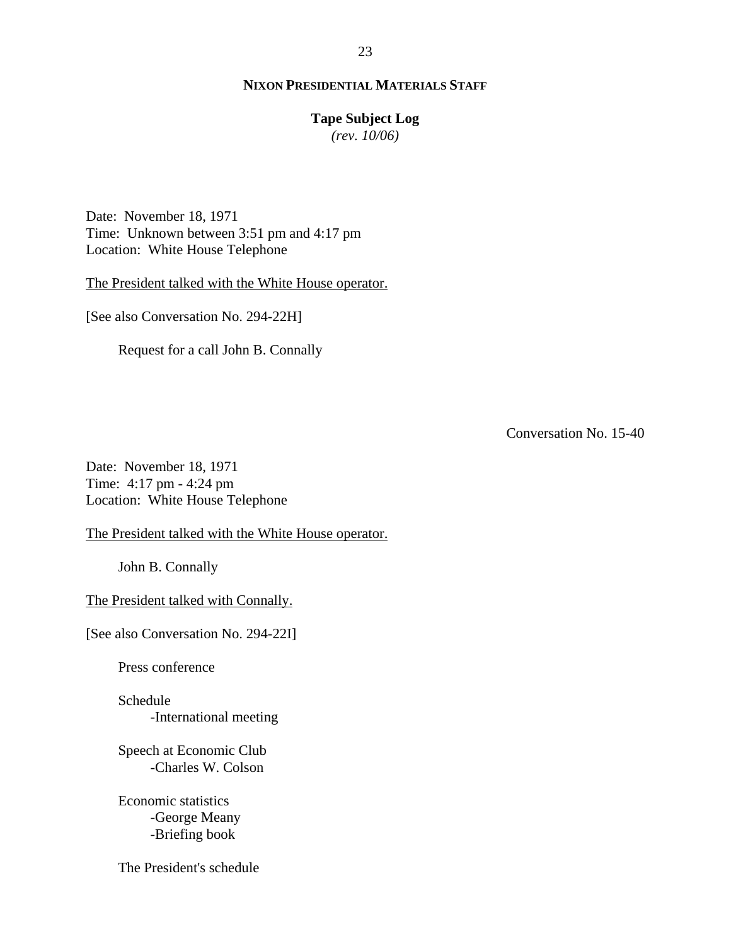# **Tape Subject Log**

*(rev. 10/06)*

Date: November 18, 1971 Time: Unknown between 3:51 pm and 4:17 pm Location: White House Telephone

The President talked with the White House operator.

[See also Conversation No. 294-22H]

Request for a call John B. Connally

Conversation No. 15-40

Date: November 18, 1971 Time: 4:17 pm - 4:24 pm Location: White House Telephone

The President talked with the White House operator.

John B. Connally

The President talked with Connally.

[See also Conversation No. 294-22I]

Press conference

Schedule -International meeting

Speech at Economic Club -Charles W. Colson

Economic statistics -George Meany -Briefing book

The President's schedule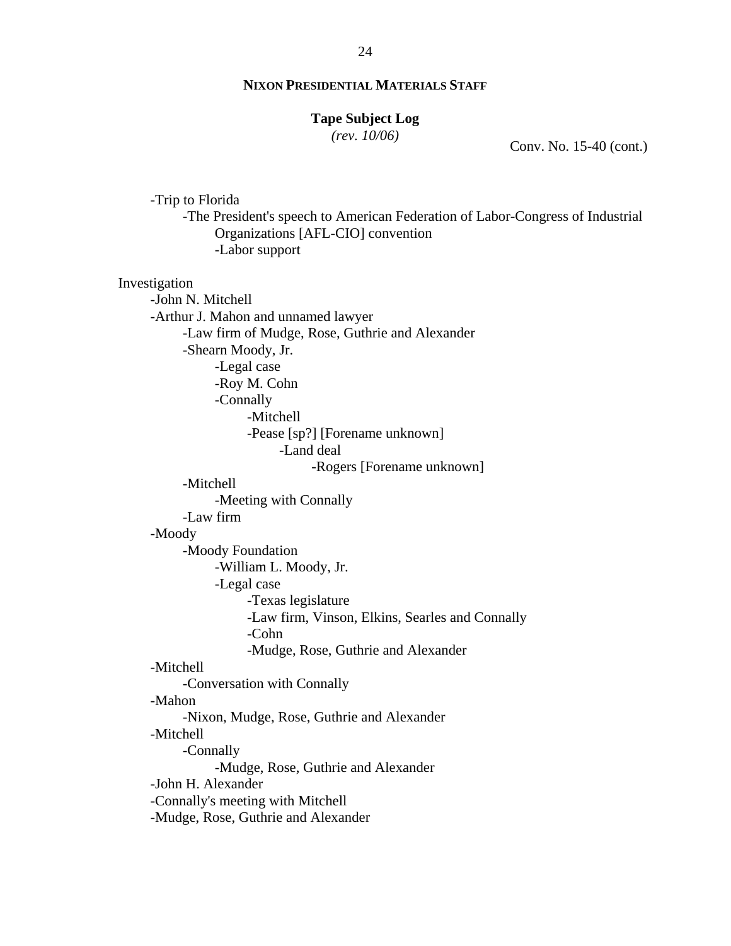#### **Tape Subject Log**

*(rev. 10/06)*

Conv. No. 15-40 (cont.)

-Trip to Florida -The President's speech to American Federation of Labor-Congress of Industrial Organizations [AFL-CIO] convention -Labor support Investigation -John N. Mitchell -Arthur J. Mahon and unnamed lawyer -Law firm of Mudge, Rose, Guthrie and Alexander -Shearn Moody, Jr. -Legal case -Roy M. Cohn -Connally -Mitchell -Pease [sp?] [Forename unknown] -Land deal -Rogers [Forename unknown] -Mitchell -Meeting with Connally -Law firm -Moody -Moody Foundation -William L. Moody, Jr. -Legal case -Texas legislature -Law firm, Vinson, Elkins, Searles and Connally -Cohn -Mudge, Rose, Guthrie and Alexander -Mitchell -Conversation with Connally -Mahon -Nixon, Mudge, Rose, Guthrie and Alexander -Mitchell -Connally -Mudge, Rose, Guthrie and Alexander -John H. Alexander -Connally's meeting with Mitchell -Mudge, Rose, Guthrie and Alexander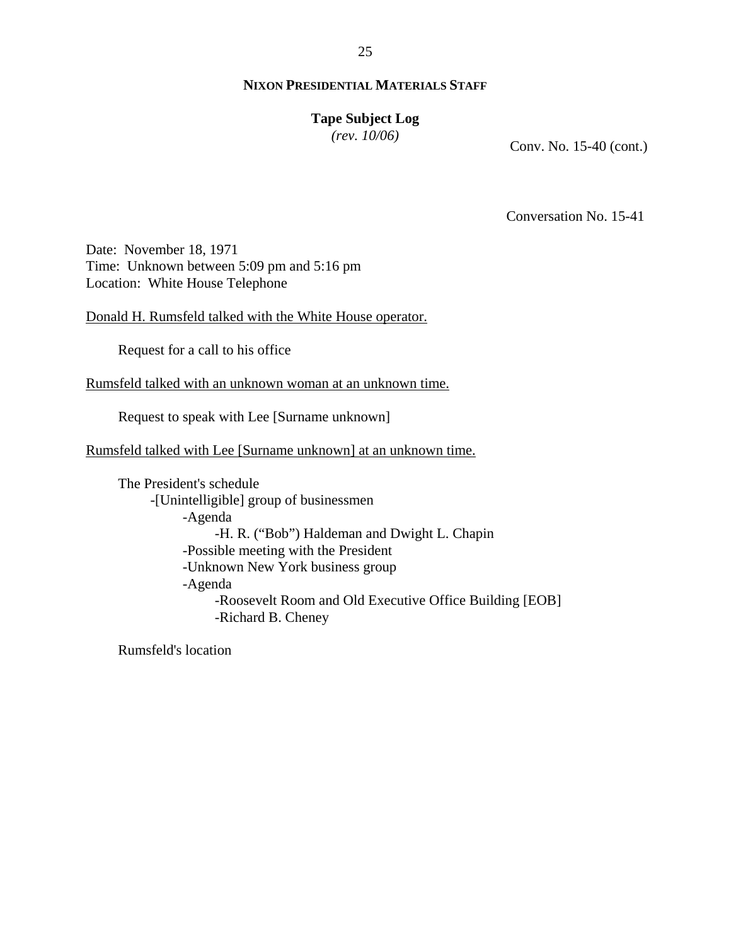# **Tape Subject Log**

*(rev. 10/06)*

Conv. No. 15-40 (cont.)

Conversation No. 15-41

Date: November 18, 1971 Time: Unknown between 5:09 pm and 5:16 pm Location: White House Telephone

Donald H. Rumsfeld talked with the White House operator.

Request for a call to his office

Rumsfeld talked with an unknown woman at an unknown time.

Request to speak with Lee [Surname unknown]

Rumsfeld talked with Lee [Surname unknown] at an unknown time.

The President's schedule -[Unintelligible] group of businessmen -Agenda -H. R. ("Bob") Haldeman and Dwight L. Chapin -Possible meeting with the President -Unknown New York business group -Agenda -Roosevelt Room and Old Executive Office Building [EOB] -Richard B. Cheney

Rumsfeld's location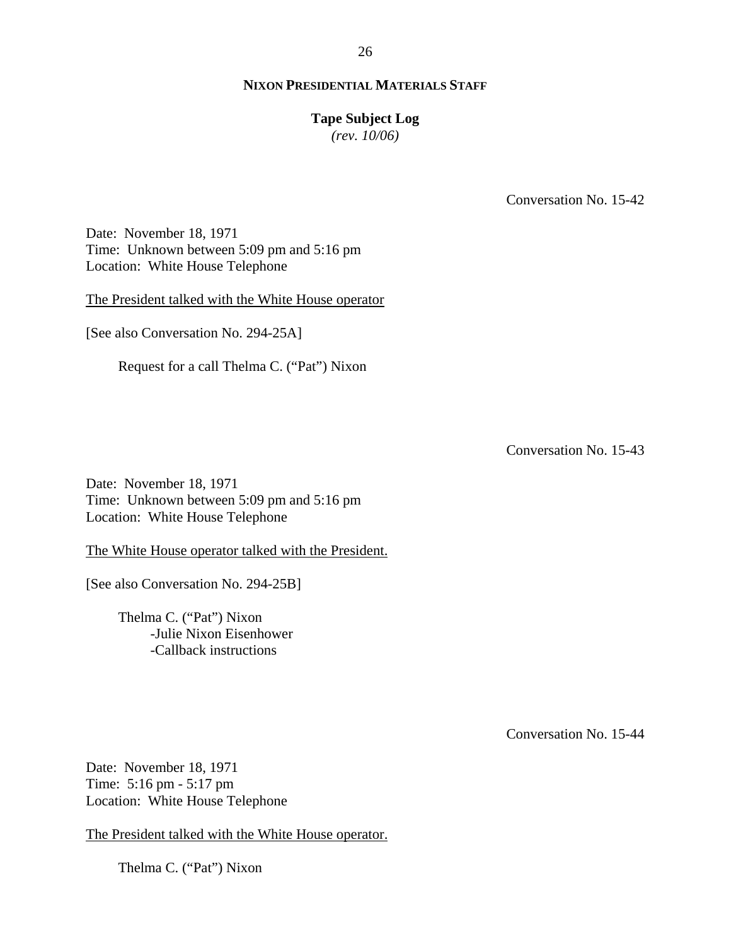#### **Tape Subject Log**

*(rev. 10/06)*

Conversation No. 15-42

Date: November 18, 1971 Time: Unknown between 5:09 pm and 5:16 pm Location: White House Telephone

The President talked with the White House operator

[See also Conversation No. 294-25A]

Request for a call Thelma C. ("Pat") Nixon

Conversation No. 15-43

Date: November 18, 1971 Time: Unknown between 5:09 pm and 5:16 pm Location: White House Telephone

The White House operator talked with the President.

[See also Conversation No. 294-25B]

Thelma C. ("Pat") Nixon -Julie Nixon Eisenhower -Callback instructions

Conversation No. 15-44

Date: November 18, 1971 Time: 5:16 pm - 5:17 pm Location: White House Telephone

The President talked with the White House operator.

Thelma C. ("Pat") Nixon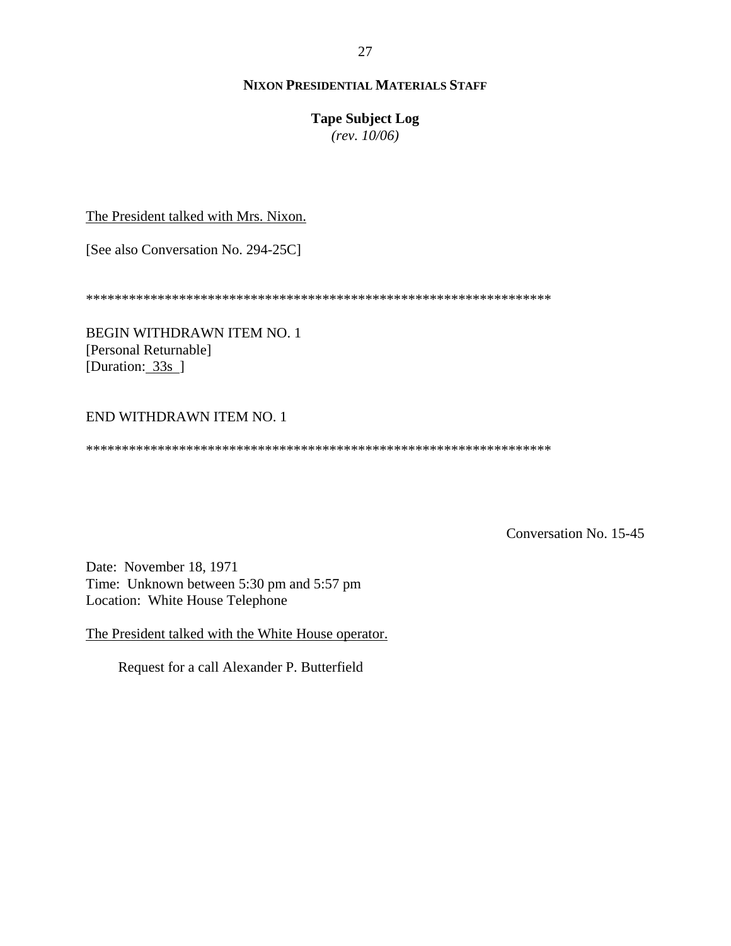# **Tape Subject Log**

*(rev. 10/06)*

The President talked with Mrs. Nixon.

[See also Conversation No. 294-25C]

\*\*\*\*\*\*\*\*\*\*\*\*\*\*\*\*\*\*\*\*\*\*\*\*\*\*\*\*\*\*\*\*\*\*\*\*\*\*\*\*\*\*\*\*\*\*\*\*\*\*\*\*\*\*\*\*\*\*\*\*\*\*\*\*\*

BEGIN WITHDRAWN ITEM NO. 1 [Personal Returnable] [Duration: 33s]

# END WITHDRAWN ITEM NO. 1

\*\*\*\*\*\*\*\*\*\*\*\*\*\*\*\*\*\*\*\*\*\*\*\*\*\*\*\*\*\*\*\*\*\*\*\*\*\*\*\*\*\*\*\*\*\*\*\*\*\*\*\*\*\*\*\*\*\*\*\*\*\*\*\*\*

Conversation No. 15-45

Date: November 18, 1971 Time: Unknown between 5:30 pm and 5:57 pm Location: White House Telephone

The President talked with the White House operator.

Request for a call Alexander P. Butterfield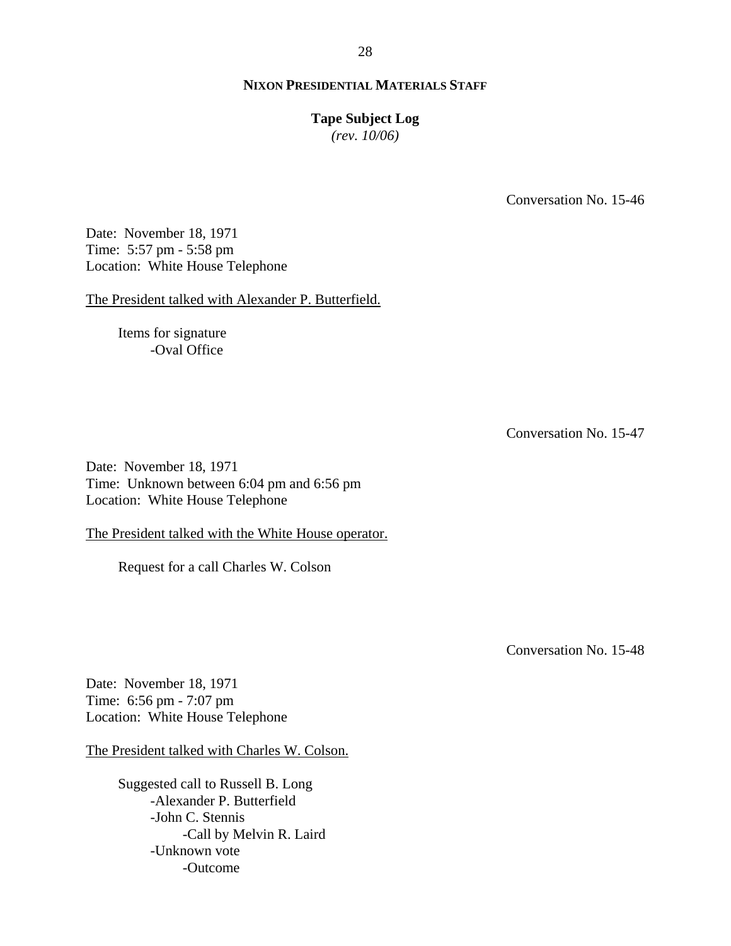## **Tape Subject Log**

*(rev. 10/06)*

Conversation No. 15-46

Date: November 18, 1971 Time: 5:57 pm - 5:58 pm Location: White House Telephone

The President talked with Alexander P. Butterfield.

Items for signature -Oval Office

Conversation No. 15-47

Date: November 18, 1971 Time: Unknown between 6:04 pm and 6:56 pm Location: White House Telephone

The President talked with the White House operator.

Request for a call Charles W. Colson

Conversation No. 15-48

Date: November 18, 1971 Time: 6:56 pm - 7:07 pm Location: White House Telephone

The President talked with Charles W. Colson.

Suggested call to Russell B. Long -Alexander P. Butterfield -John C. Stennis -Call by Melvin R. Laird -Unknown vote -Outcome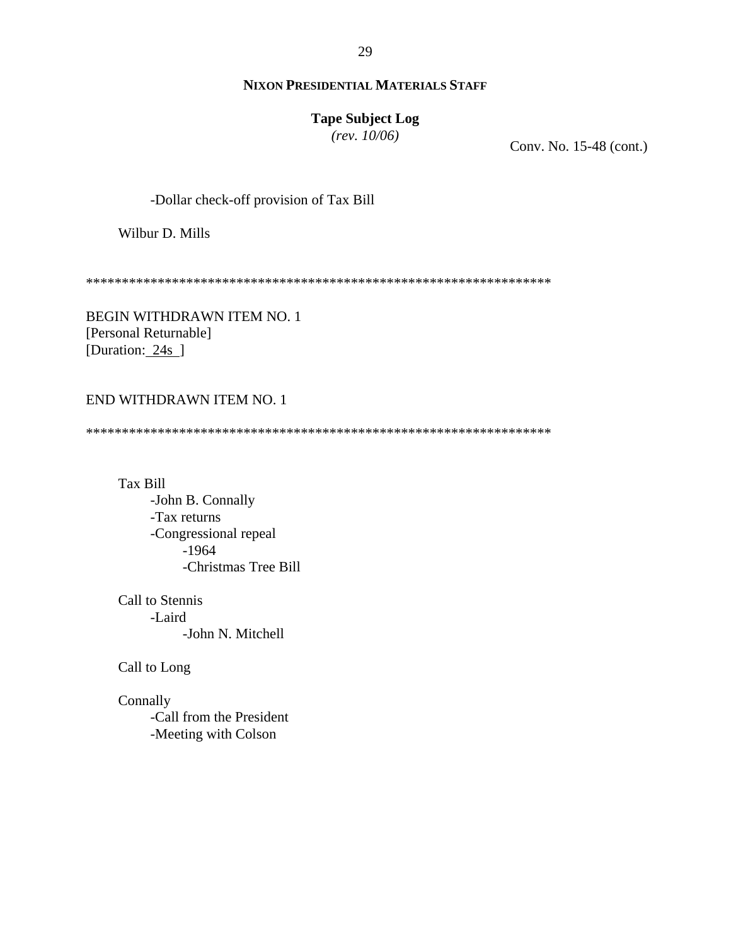# **Tape Subject Log**

*(rev. 10/06)*

Conv. No. 15-48 (cont.)

-Dollar check-off provision of Tax Bill

Wilbur D. Mills

\*\*\*\*\*\*\*\*\*\*\*\*\*\*\*\*\*\*\*\*\*\*\*\*\*\*\*\*\*\*\*\*\*\*\*\*\*\*\*\*\*\*\*\*\*\*\*\*\*\*\*\*\*\*\*\*\*\*\*\*\*\*\*\*\*

BEGIN WITHDRAWN ITEM NO. 1 [Personal Returnable] [Duration: 24s]

# END WITHDRAWN ITEM NO. 1

\*\*\*\*\*\*\*\*\*\*\*\*\*\*\*\*\*\*\*\*\*\*\*\*\*\*\*\*\*\*\*\*\*\*\*\*\*\*\*\*\*\*\*\*\*\*\*\*\*\*\*\*\*\*\*\*\*\*\*\*\*\*\*\*\*

- Tax Bill -John B. Connally -Tax returns -Congressional repeal -1964 -Christmas Tree Bill
- Call to Stennis -Laird -John N. Mitchell

Call to Long

Connally -Call from the President -Meeting with Colson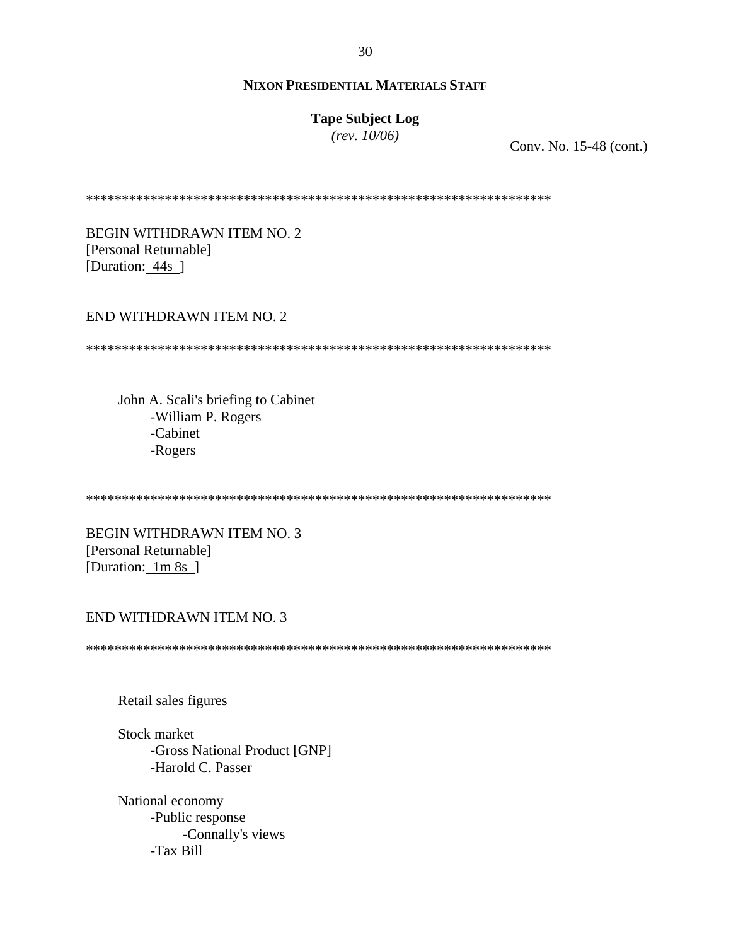# **Tape Subject Log**

*(rev. 10/06)*

Conv. No. 15-48 (cont.)

\*\*\*\*\*\*\*\*\*\*\*\*\*\*\*\*\*\*\*\*\*\*\*\*\*\*\*\*\*\*\*\*\*\*\*\*\*\*\*\*\*\*\*\*\*\*\*\*\*\*\*\*\*\*\*\*\*\*\*\*\*\*\*\*\*

BEGIN WITHDRAWN ITEM NO. 2 [Personal Returnable] [Duration: 44s]

END WITHDRAWN ITEM NO. 2

\*\*\*\*\*\*\*\*\*\*\*\*\*\*\*\*\*\*\*\*\*\*\*\*\*\*\*\*\*\*\*\*\*\*\*\*\*\*\*\*\*\*\*\*\*\*\*\*\*\*\*\*\*\*\*\*\*\*\*\*\*\*\*\*\*

John A. Scali's briefing to Cabinet -William P. Rogers -Cabinet -Rogers

\*\*\*\*\*\*\*\*\*\*\*\*\*\*\*\*\*\*\*\*\*\*\*\*\*\*\*\*\*\*\*\*\*\*\*\*\*\*\*\*\*\*\*\*\*\*\*\*\*\*\*\*\*\*\*\*\*\*\*\*\*\*\*\*\*

BEGIN WITHDRAWN ITEM NO. 3 [Personal Returnable] [Duration: 1m 8s ]

#### END WITHDRAWN ITEM NO. 3

\*\*\*\*\*\*\*\*\*\*\*\*\*\*\*\*\*\*\*\*\*\*\*\*\*\*\*\*\*\*\*\*\*\*\*\*\*\*\*\*\*\*\*\*\*\*\*\*\*\*\*\*\*\*\*\*\*\*\*\*\*\*\*\*\*

Retail sales figures

Stock market -Gross National Product [GNP] -Harold C. Passer

National economy -Public response -Connally's views -Tax Bill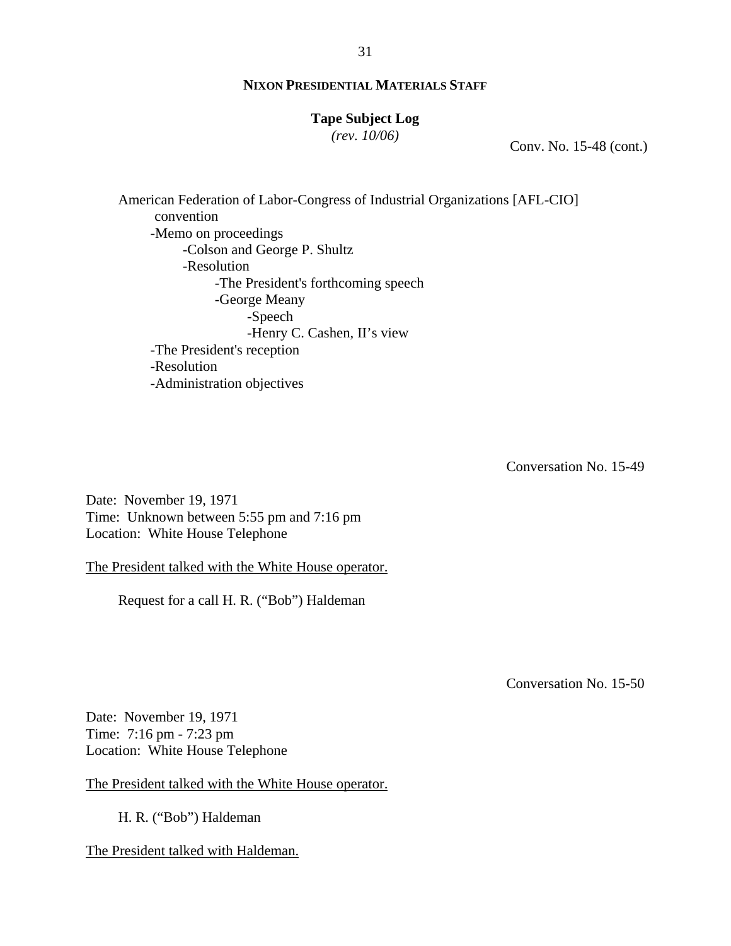## **Tape Subject Log**

*(rev. 10/06)*

Conv. No. 15-48 (cont.)

 American Federation of Labor-Congress of Industrial Organizations [AFL-CIO] convention -Memo on proceedings -Colson and George P. Shultz -Resolution -The President's forthcoming speech -George Meany -Speech -Henry C. Cashen, II's view -The President's reception -Resolution -Administration objectives

Conversation No. 15-49

Date: November 19, 1971 Time: Unknown between 5:55 pm and 7:16 pm Location: White House Telephone

The President talked with the White House operator.

Request for a call H. R. ("Bob") Haldeman

Conversation No. 15-50

Date: November 19, 1971 Time: 7:16 pm - 7:23 pm Location: White House Telephone

The President talked with the White House operator.

H. R. ("Bob") Haldeman

The President talked with Haldeman.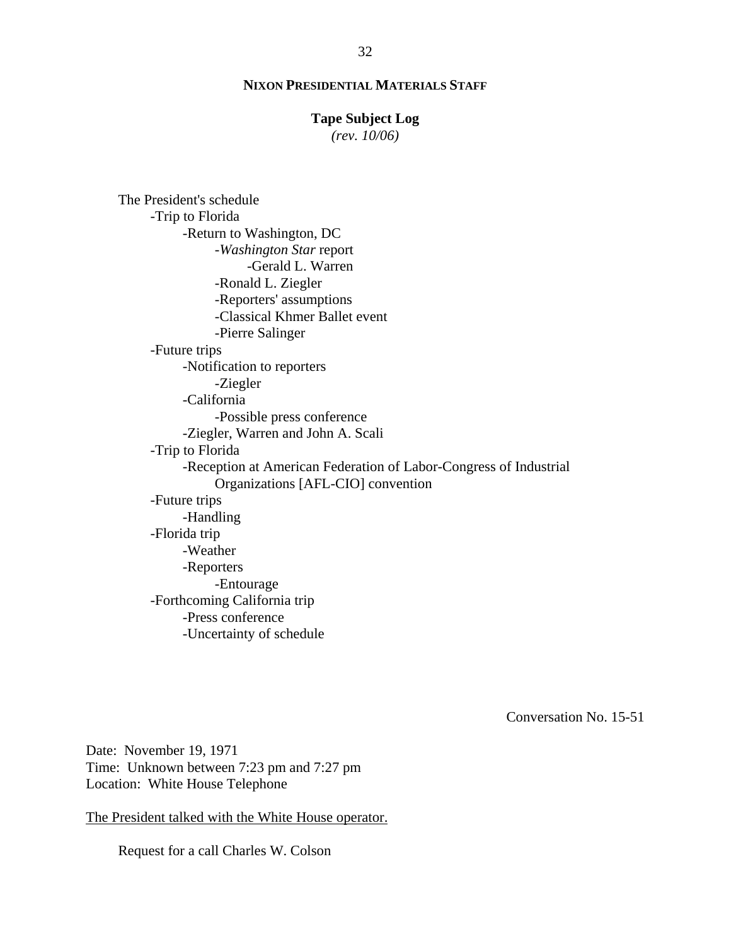#### **Tape Subject Log**

*(rev. 10/06)*

The President's schedule -Trip to Florida -Return to Washington, DC -*Washington Star* report -Gerald L. Warren -Ronald L. Ziegler -Reporters' assumptions -Classical Khmer Ballet event -Pierre Salinger -Future trips -Notification to reporters -Ziegler -California -Possible press conference -Ziegler, Warren and John A. Scali -Trip to Florida -Reception at American Federation of Labor-Congress of Industrial Organizations [AFL-CIO] convention -Future trips -Handling -Florida trip -Weather -Reporters -Entourage -Forthcoming California trip -Press conference -Uncertainty of schedule

Conversation No. 15-51

Date: November 19, 1971 Time: Unknown between 7:23 pm and 7:27 pm Location: White House Telephone

The President talked with the White House operator.

Request for a call Charles W. Colson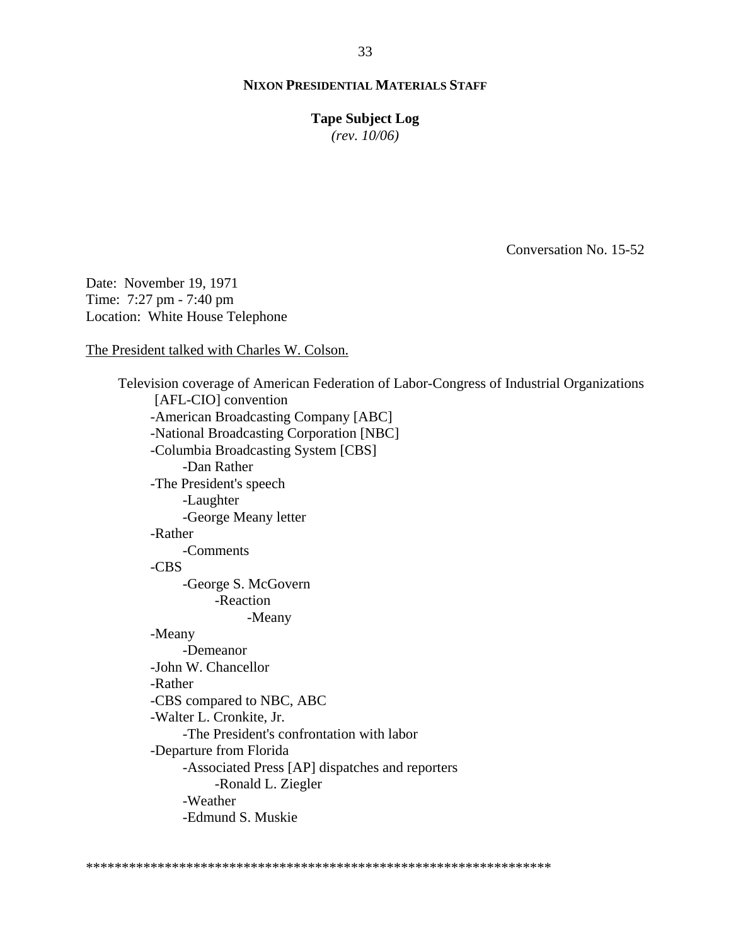**Tape Subject Log** *(rev. 10/06)*

Conversation No. 15-52

Date: November 19, 1971 Time: 7:27 pm - 7:40 pm Location: White House Telephone

The President talked with Charles W. Colson.

 Television coverage of American Federation of Labor-Congress of Industrial Organizations [AFL-CIO] convention -American Broadcasting Company [ABC] -National Broadcasting Corporation [NBC] -Columbia Broadcasting System [CBS] -Dan Rather -The President's speech -Laughter -George Meany letter -Rather -Comments -CBS -George S. McGovern -Reaction -Meany -Meany -Demeanor -John W. Chancellor -Rather -CBS compared to NBC, ABC -Walter L. Cronkite, Jr. -The President's confrontation with labor -Departure from Florida -Associated Press [AP] dispatches and reporters -Ronald L. Ziegler -Weather -Edmund S. Muskie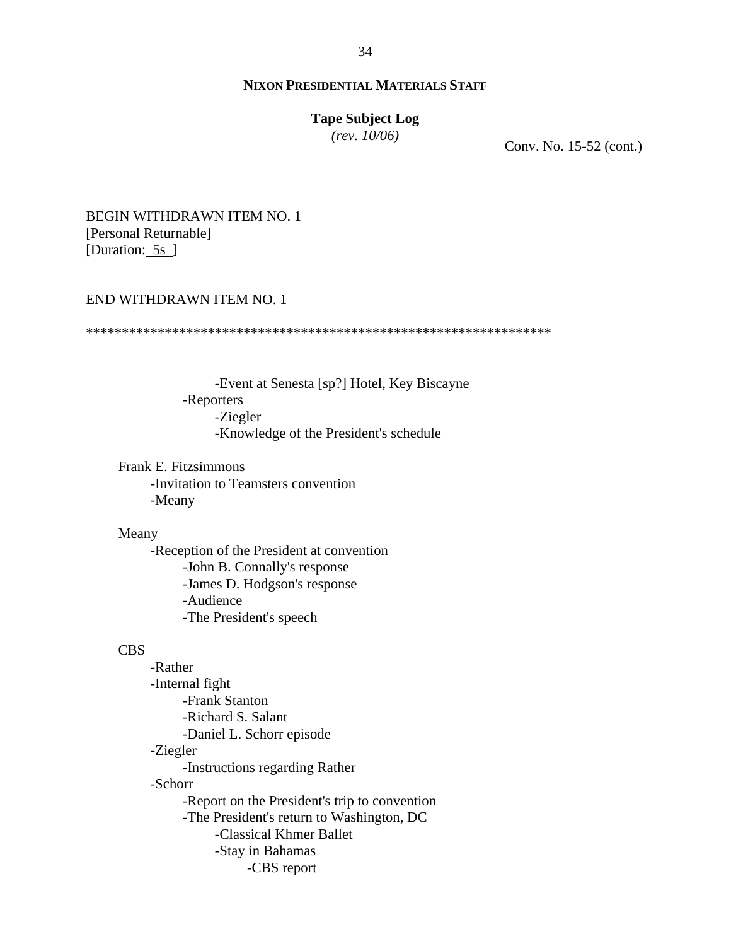#### **Tape Subject Log**

*(rev. 10/06)*

Conv. No. 15-52 (cont.)

# BEGIN WITHDRAWN ITEM NO. 1 [Personal Returnable] [Duration: 5s]

#### END WITHDRAWN ITEM NO. 1

\*\*\*\*\*\*\*\*\*\*\*\*\*\*\*\*\*\*\*\*\*\*\*\*\*\*\*\*\*\*\*\*\*\*\*\*\*\*\*\*\*\*\*\*\*\*\*\*\*\*\*\*\*\*\*\*\*\*\*\*\*\*\*\*\*

-Event at Senesta [sp?] Hotel, Key Biscayne -Reporters -Ziegler -Knowledge of the President's schedule

Frank E. Fitzsimmons -Invitation to Teamsters convention -Meany

#### Meany

-Reception of the President at convention -John B. Connally's response -James D. Hodgson's response -Audience -The President's speech

#### CBS

-Rather -Internal fight -Frank Stanton -Richard S. Salant -Daniel L. Schorr episode -Ziegler -Instructions regarding Rather -Schorr -Report on the President's trip to convention -The President's return to Washington, DC -Classical Khmer Ballet -Stay in Bahamas -CBS report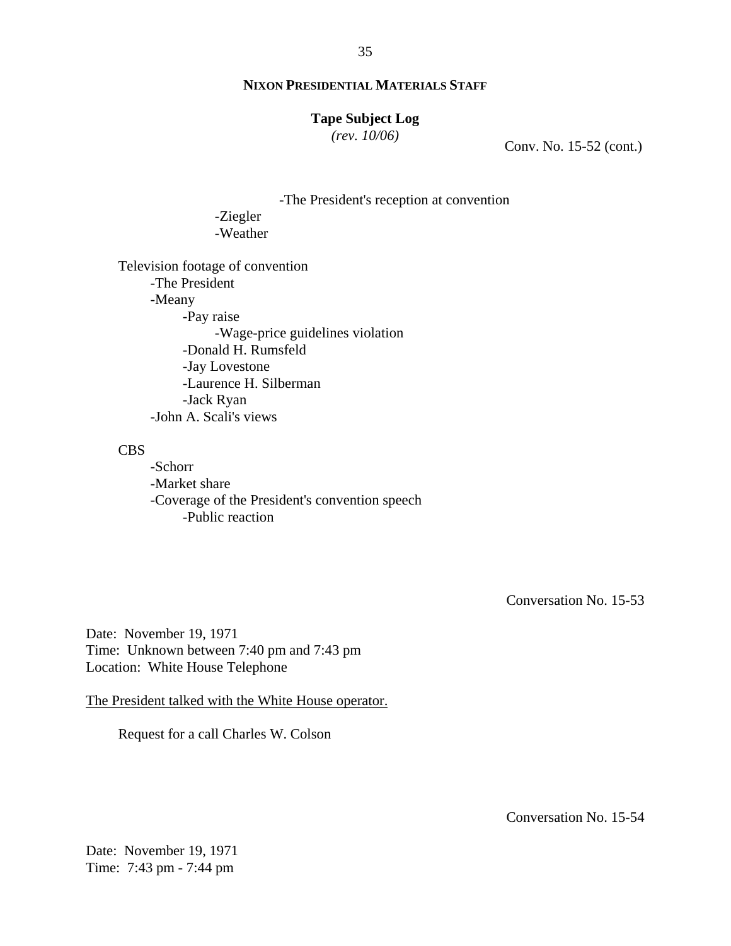# **Tape Subject Log**

*(rev. 10/06)*

Conv. No. 15-52 (cont.)

-The President's reception at convention

 -Ziegler -Weather

Television footage of convention -The President -Meany -Pay raise -Wage-price guidelines violation -Donald H. Rumsfeld -Jay Lovestone -Laurence H. Silberman -Jack Ryan -John A. Scali's views

CBS

-Schorr -Market share -Coverage of the President's convention speech -Public reaction

Conversation No. 15-53

Date: November 19, 1971 Time: Unknown between 7:40 pm and 7:43 pm Location: White House Telephone

The President talked with the White House operator.

Request for a call Charles W. Colson

Conversation No. 15-54

Date: November 19, 1971 Time: 7:43 pm - 7:44 pm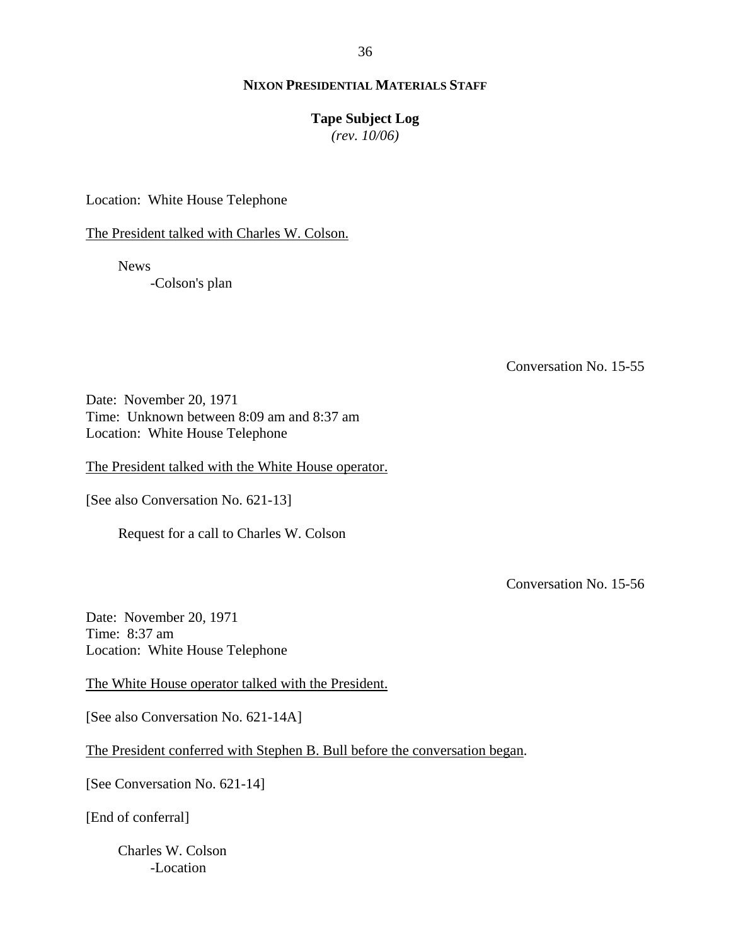36

## **NIXON PRESIDENTIAL MATERIALS STAFF**

#### **Tape Subject Log**

*(rev. 10/06)*

Location: White House Telephone

The President talked with Charles W. Colson.

News

-Colson's plan

Conversation No. 15-55

Date: November 20, 1971 Time: Unknown between 8:09 am and 8:37 am Location: White House Telephone

The President talked with the White House operator.

[See also Conversation No. 621-13]

Request for a call to Charles W. Colson

Conversation No. 15-56

Date: November 20, 1971 Time: 8:37 am Location: White House Telephone

The White House operator talked with the President.

[See also Conversation No. 621-14A]

The President conferred with Stephen B. Bull before the conversation began.

[See Conversation No. 621-14]

[End of conferral]

Charles W. Colson -Location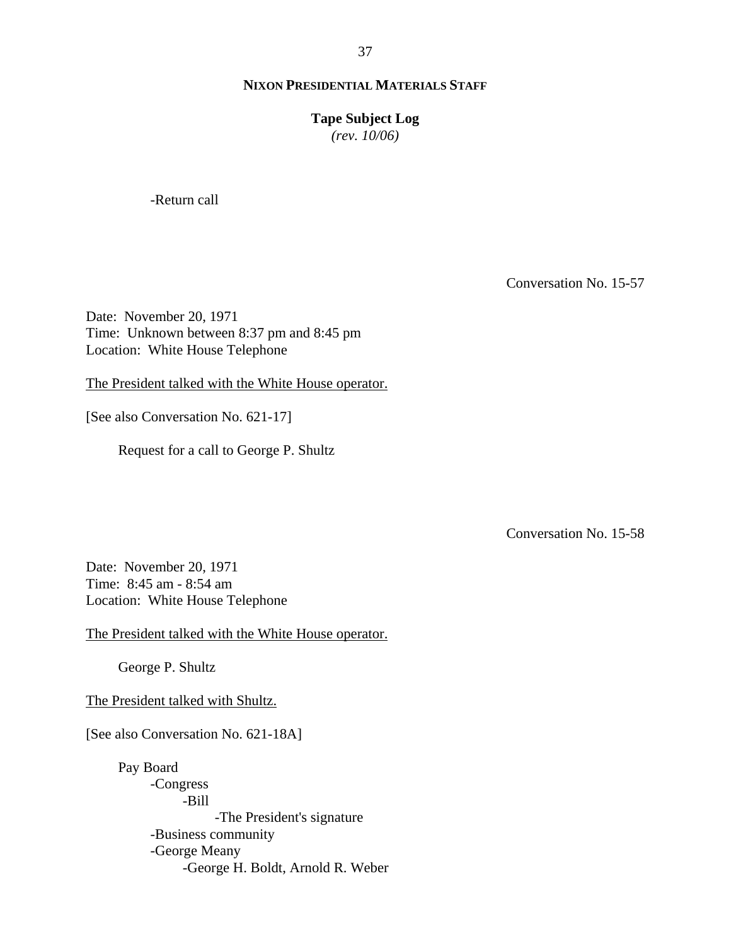37

#### **NIXON PRESIDENTIAL MATERIALS STAFF**

#### **Tape Subject Log**

*(rev. 10/06)*

-Return call

Conversation No. 15-57

Date: November 20, 1971 Time: Unknown between 8:37 pm and 8:45 pm Location: White House Telephone

The President talked with the White House operator.

[See also Conversation No. 621-17]

Request for a call to George P. Shultz

Conversation No. 15-58

Date: November 20, 1971 Time: 8:45 am - 8:54 am Location: White House Telephone

The President talked with the White House operator.

George P. Shultz

The President talked with Shultz.

[See also Conversation No. 621-18A]

Pay Board -Congress -Bill -The President's signature -Business community -George Meany -George H. Boldt, Arnold R. Weber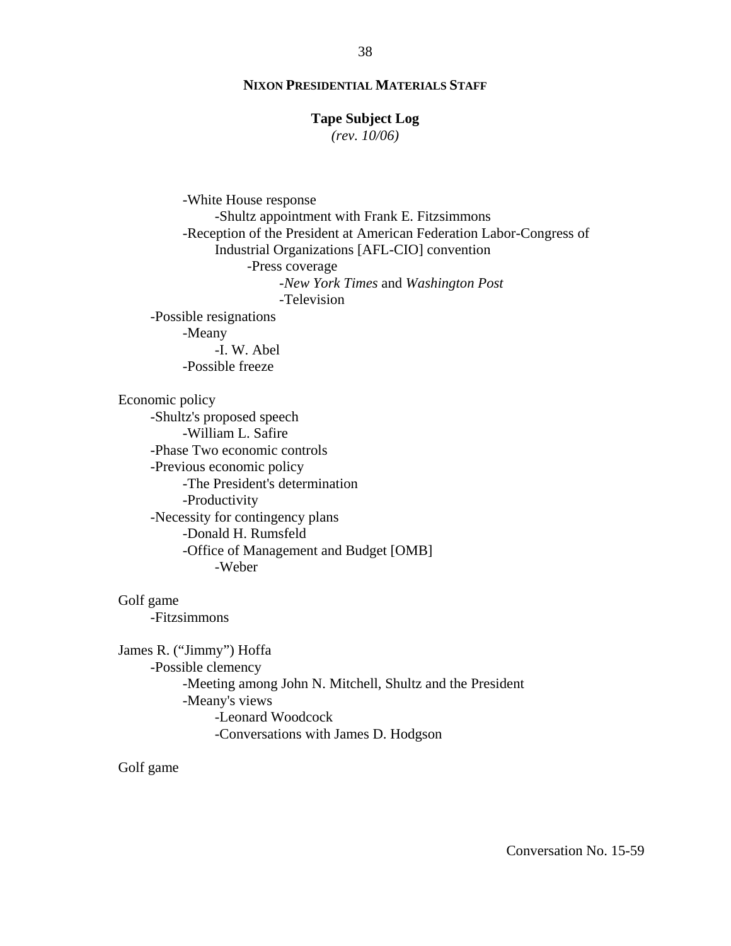#### **Tape Subject Log**

*(rev. 10/06)*

-White House response -Shultz appointment with Frank E. Fitzsimmons -Reception of the President at American Federation Labor-Congress of Industrial Organizations [AFL-CIO] convention -Press coverage -*New York Times* and *Washington Post* -Television -Possible resignations -Meany -I. W. Abel -Possible freeze

Economic policy

-Shultz's proposed speech -William L. Safire -Phase Two economic controls -Previous economic policy -The President's determination -Productivity -Necessity for contingency plans -Donald H. Rumsfeld -Office of Management and Budget [OMB] -Weber

Golf game -Fitzsimmons

James R. ("Jimmy") Hoffa -Possible clemency -Meeting among John N. Mitchell, Shultz and the President -Meany's views -Leonard Woodcock -Conversations with James D. Hodgson

Golf game

38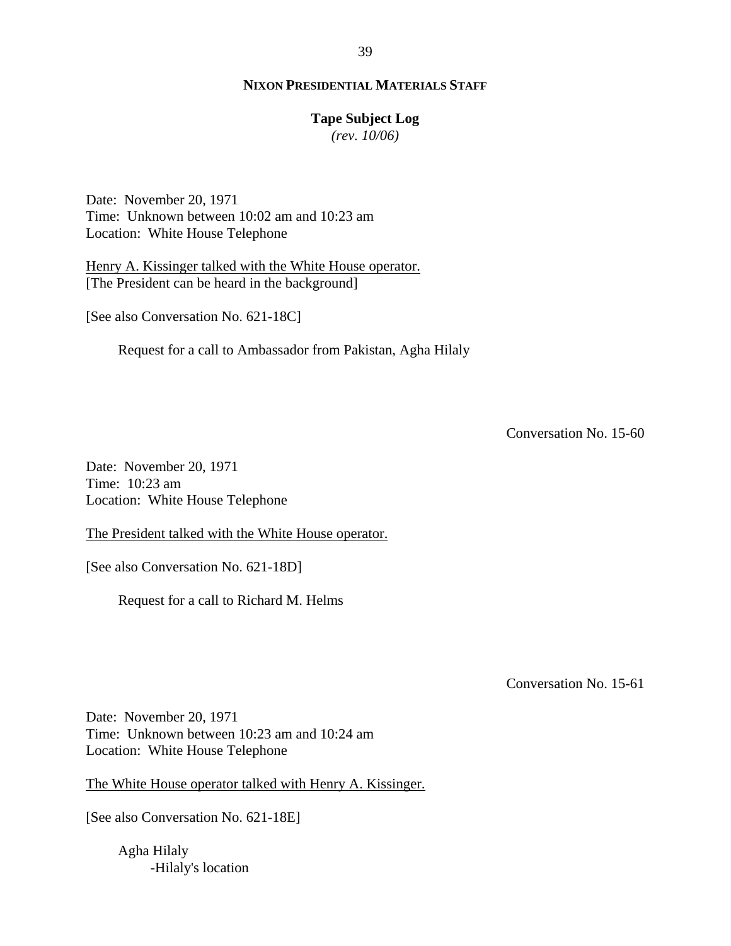#### **Tape Subject Log**

*(rev. 10/06)*

Date: November 20, 1971 Time: Unknown between 10:02 am and 10:23 am Location: White House Telephone

Henry A. Kissinger talked with the White House operator. [The President can be heard in the background]

[See also Conversation No. 621-18C]

Request for a call to Ambassador from Pakistan, Agha Hilaly

Conversation No. 15-60

Date: November 20, 1971 Time: 10:23 am Location: White House Telephone

The President talked with the White House operator.

[See also Conversation No. 621-18D]

Request for a call to Richard M. Helms

Conversation No. 15-61

Date: November 20, 1971 Time: Unknown between 10:23 am and 10:24 am Location: White House Telephone

The White House operator talked with Henry A. Kissinger.

[See also Conversation No. 621-18E]

Agha Hilaly -Hilaly's location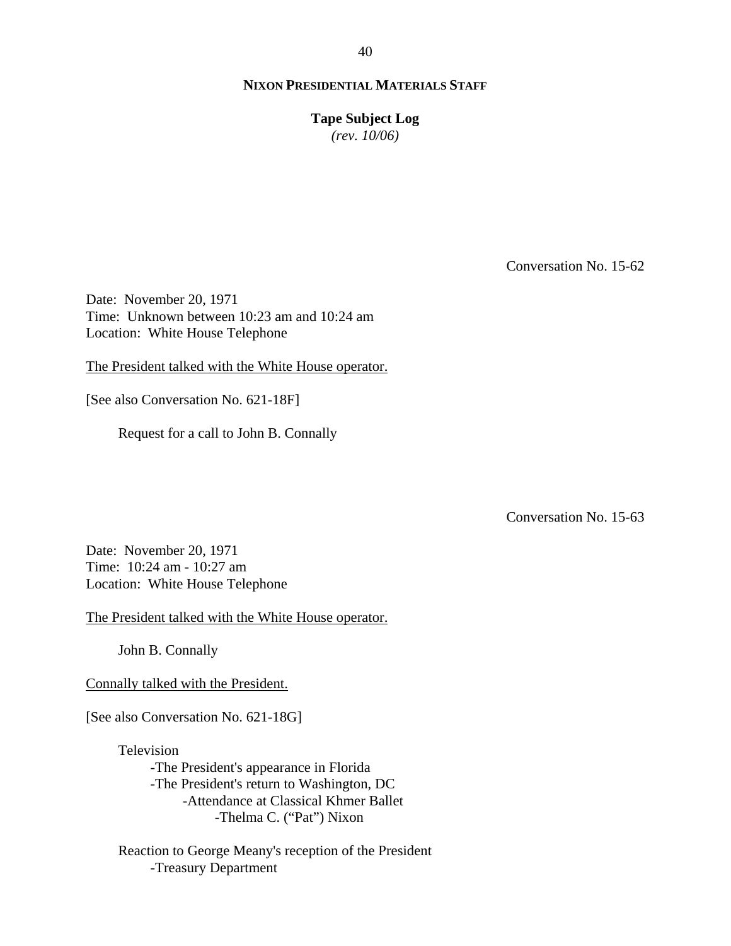**Tape Subject Log**

*(rev. 10/06)*

Conversation No. 15-62

Date: November 20, 1971 Time: Unknown between 10:23 am and 10:24 am Location: White House Telephone

The President talked with the White House operator.

[See also Conversation No. 621-18F]

Request for a call to John B. Connally

Conversation No. 15-63

Date: November 20, 1971 Time: 10:24 am - 10:27 am Location: White House Telephone

The President talked with the White House operator.

John B. Connally

Connally talked with the President.

[See also Conversation No. 621-18G]

Television -The President's appearance in Florida -The President's return to Washington, DC -Attendance at Classical Khmer Ballet -Thelma C. ("Pat") Nixon

Reaction to George Meany's reception of the President -Treasury Department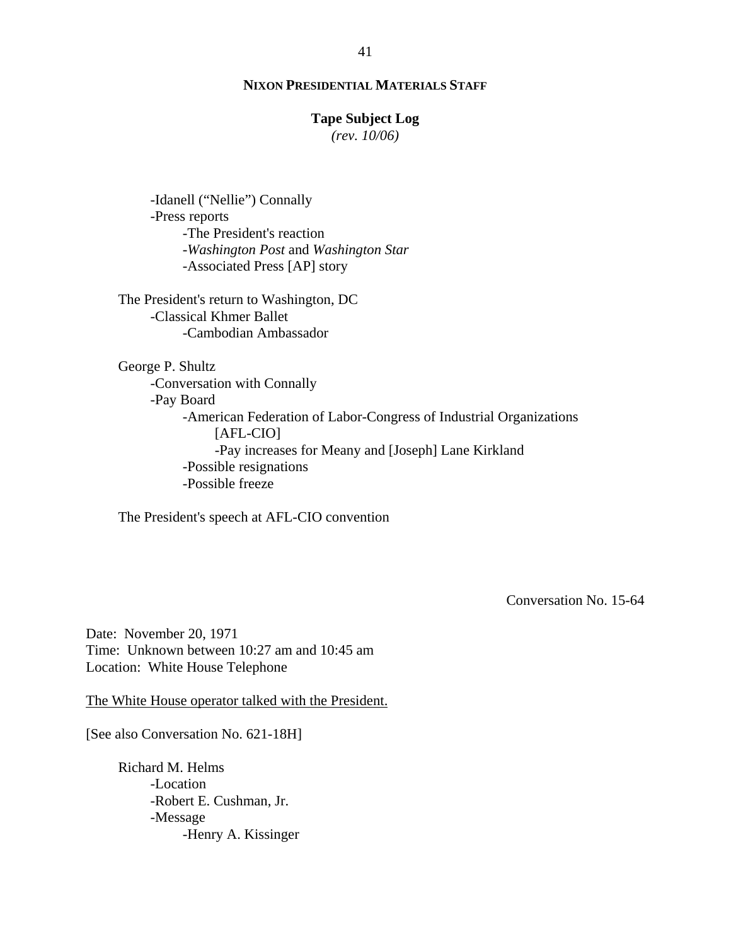#### **Tape Subject Log**

*(rev. 10/06)*

-Idanell ("Nellie") Connally -Press reports -The President's reaction -*Washington Post* and *Washington Star* -Associated Press [AP] story

The President's return to Washington, DC -Classical Khmer Ballet -Cambodian Ambassador

George P. Shultz -Conversation with Connally -Pay Board -American Federation of Labor-Congress of Industrial Organizations [AFL-CIO] -Pay increases for Meany and [Joseph] Lane Kirkland -Possible resignations -Possible freeze

The President's speech at AFL-CIO convention

Conversation No. 15-64

Date: November 20, 1971 Time: Unknown between 10:27 am and 10:45 am Location: White House Telephone

The White House operator talked with the President.

[See also Conversation No. 621-18H]

Richard M. Helms -Location -Robert E. Cushman, Jr. -Message -Henry A. Kissinger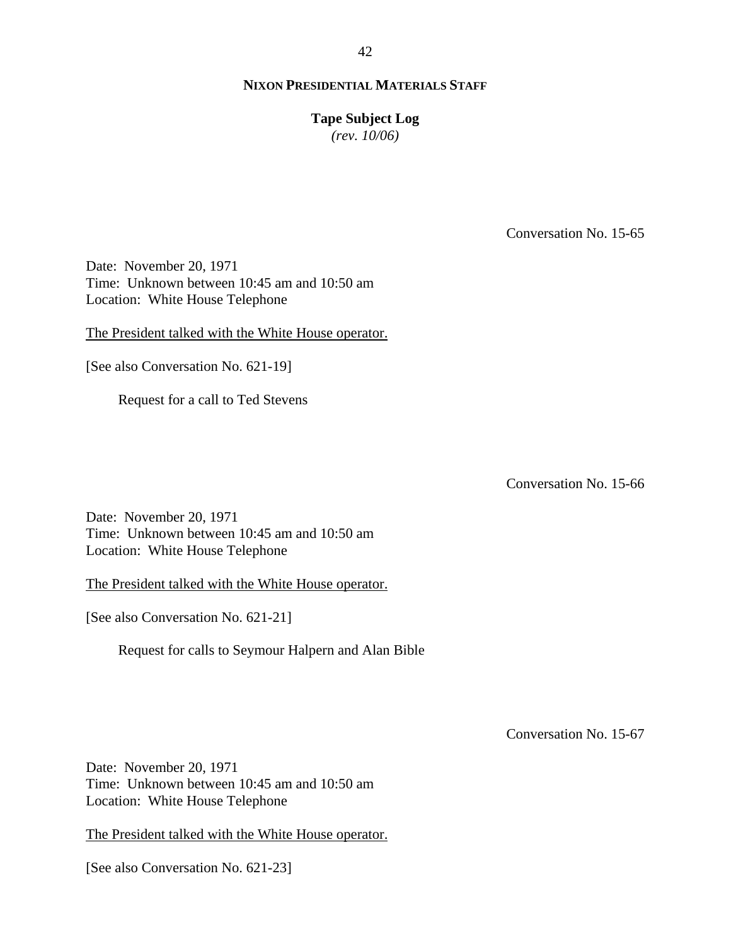## **Tape Subject Log**

*(rev. 10/06)*

Conversation No. 15-65

Date: November 20, 1971 Time: Unknown between 10:45 am and 10:50 am Location: White House Telephone

The President talked with the White House operator.

[See also Conversation No. 621-19]

Request for a call to Ted Stevens

Conversation No. 15-66

Date: November 20, 1971 Time: Unknown between 10:45 am and 10:50 am Location: White House Telephone

The President talked with the White House operator.

[See also Conversation No. 621-21]

Request for calls to Seymour Halpern and Alan Bible

Conversation No. 15-67

Date: November 20, 1971 Time: Unknown between 10:45 am and 10:50 am Location: White House Telephone

The President talked with the White House operator.

[See also Conversation No. 621-23]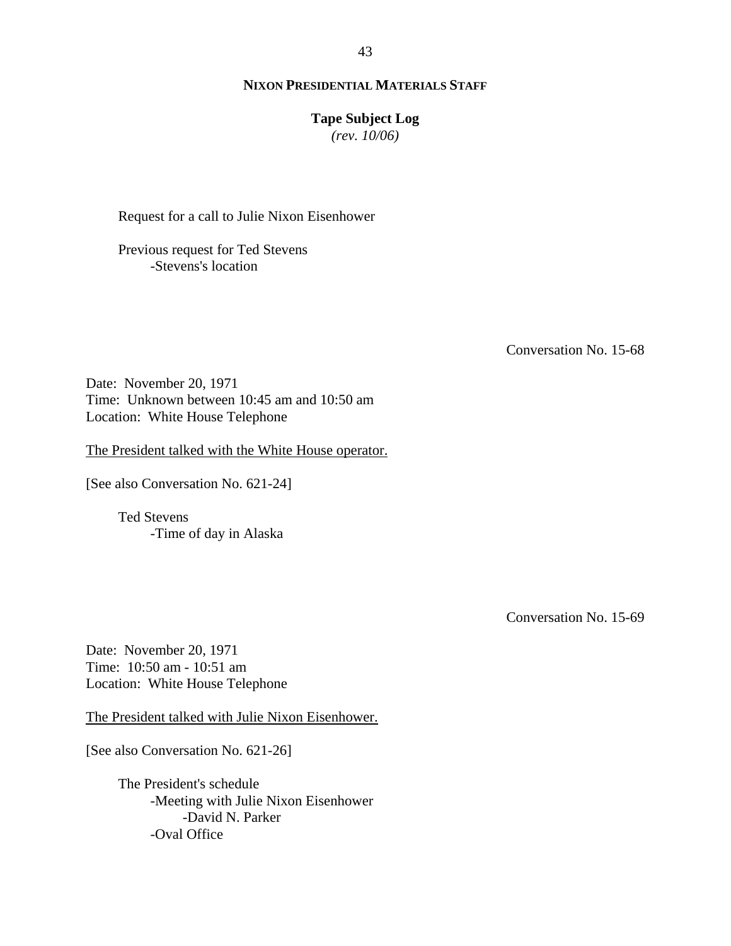#### **Tape Subject Log**

*(rev. 10/06)*

Request for a call to Julie Nixon Eisenhower

Previous request for Ted Stevens -Stevens's location

Conversation No. 15-68

Date: November 20, 1971 Time: Unknown between 10:45 am and 10:50 am Location: White House Telephone

The President talked with the White House operator.

[See also Conversation No. 621-24]

Ted Stevens -Time of day in Alaska

Conversation No. 15-69

Date: November 20, 1971 Time: 10:50 am - 10:51 am Location: White House Telephone

The President talked with Julie Nixon Eisenhower.

[See also Conversation No. 621-26]

The President's schedule -Meeting with Julie Nixon Eisenhower -David N. Parker -Oval Office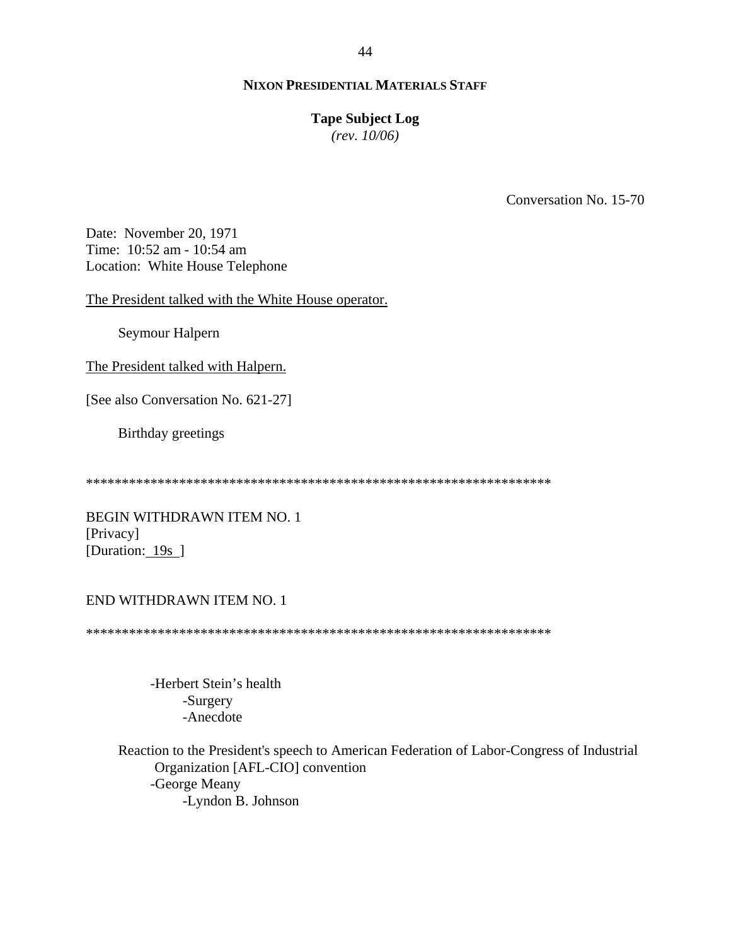#### **Tape Subject Log**

*(rev. 10/06)*

Conversation No. 15-70

Date: November 20, 1971 Time: 10:52 am - 10:54 am Location: White House Telephone

The President talked with the White House operator.

Seymour Halpern

The President talked with Halpern.

[See also Conversation No. 621-27]

Birthday greetings

\*\*\*\*\*\*\*\*\*\*\*\*\*\*\*\*\*\*\*\*\*\*\*\*\*\*\*\*\*\*\*\*\*\*\*\*\*\*\*\*\*\*\*\*\*\*\*\*\*\*\*\*\*\*\*\*\*\*\*\*\*\*\*\*\*

BEGIN WITHDRAWN ITEM NO. 1 [Privacy] [Duration: 19s ]

## END WITHDRAWN ITEM NO. 1

\*\*\*\*\*\*\*\*\*\*\*\*\*\*\*\*\*\*\*\*\*\*\*\*\*\*\*\*\*\*\*\*\*\*\*\*\*\*\*\*\*\*\*\*\*\*\*\*\*\*\*\*\*\*\*\*\*\*\*\*\*\*\*\*\*

 -Herbert Stein's health -Surgery -Anecdote

 Reaction to the President's speech to American Federation of Labor-Congress of Industrial Organization [AFL-CIO] convention -George Meany -Lyndon B. Johnson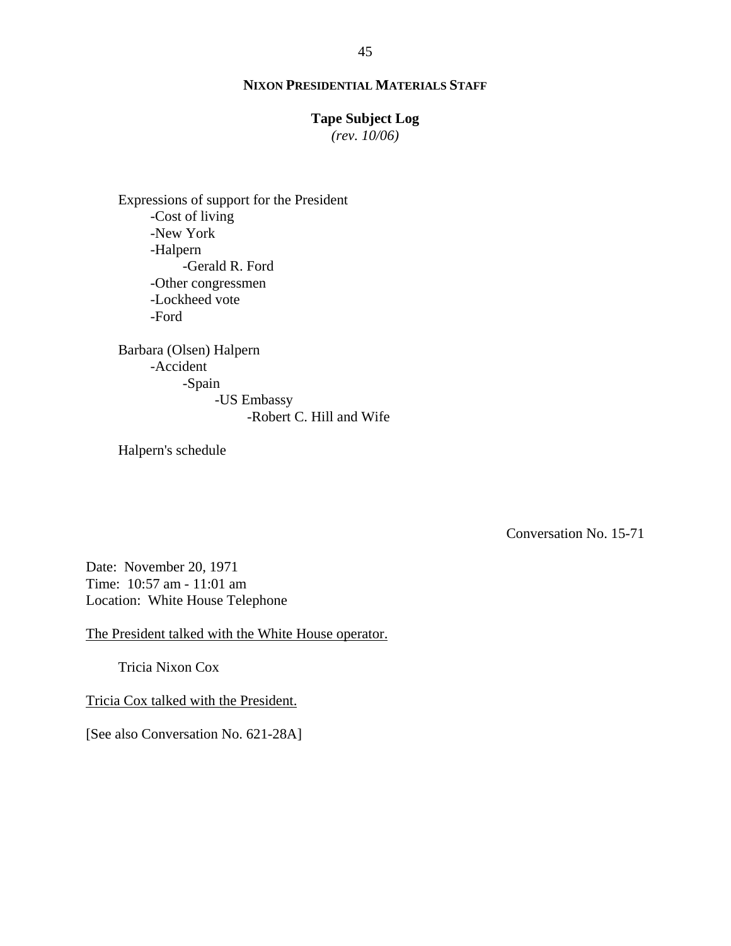#### **Tape Subject Log**

*(rev. 10/06)*

Expressions of support for the President -Cost of living -New York -Halpern -Gerald R. Ford -Other congressmen -Lockheed vote -Ford

Barbara (Olsen) Halpern -Accident -Spain -US Embassy -Robert C. Hill and Wife

Halpern's schedule

Conversation No. 15-71

Date: November 20, 1971 Time: 10:57 am - 11:01 am Location: White House Telephone

The President talked with the White House operator.

Tricia Nixon Cox

Tricia Cox talked with the President.

[See also Conversation No. 621-28A]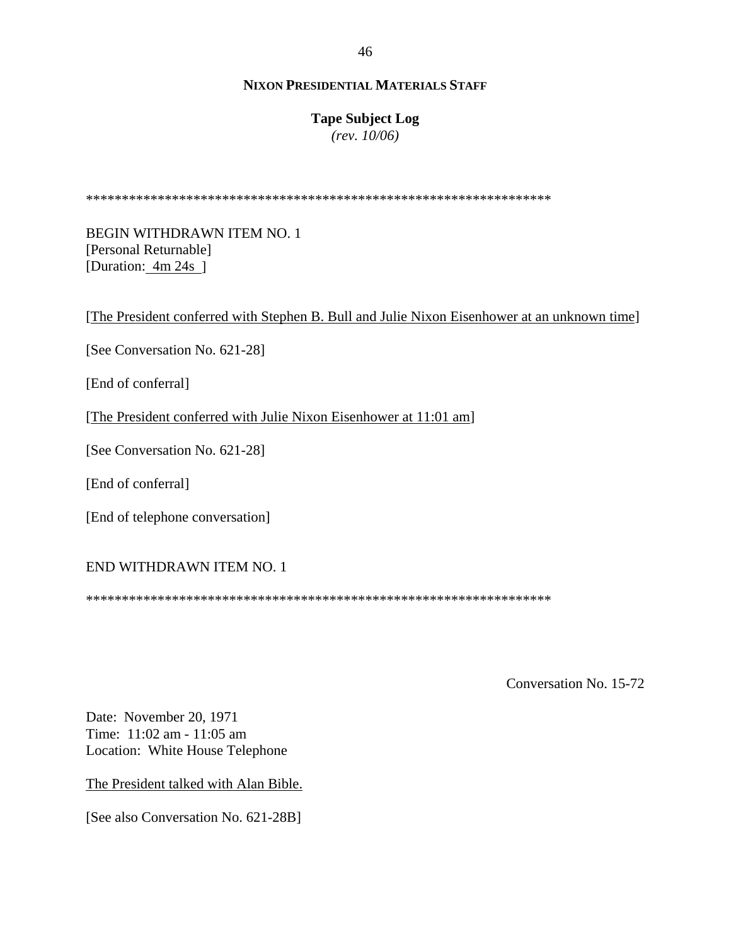# **Tape Subject Log**

*(rev. 10/06)*

\*\*\*\*\*\*\*\*\*\*\*\*\*\*\*\*\*\*\*\*\*\*\*\*\*\*\*\*\*\*\*\*\*\*\*\*\*\*\*\*\*\*\*\*\*\*\*\*\*\*\*\*\*\*\*\*\*\*\*\*\*\*\*\*\*

BEGIN WITHDRAWN ITEM NO. 1 [Personal Returnable] [Duration: 4m 24s ]

[The President conferred with Stephen B. Bull and Julie Nixon Eisenhower at an unknown time]

[See Conversation No. 621-28]

[End of conferral]

[The President conferred with Julie Nixon Eisenhower at 11:01 am]

[See Conversation No. 621-28]

[End of conferral]

[End of telephone conversation]

# END WITHDRAWN ITEM NO. 1

\*\*\*\*\*\*\*\*\*\*\*\*\*\*\*\*\*\*\*\*\*\*\*\*\*\*\*\*\*\*\*\*\*\*\*\*\*\*\*\*\*\*\*\*\*\*\*\*\*\*\*\*\*\*\*\*\*\*\*\*\*\*\*\*\*

Conversation No. 15-72

Date: November 20, 1971 Time: 11:02 am - 11:05 am Location: White House Telephone

The President talked with Alan Bible.

[See also Conversation No. 621-28B]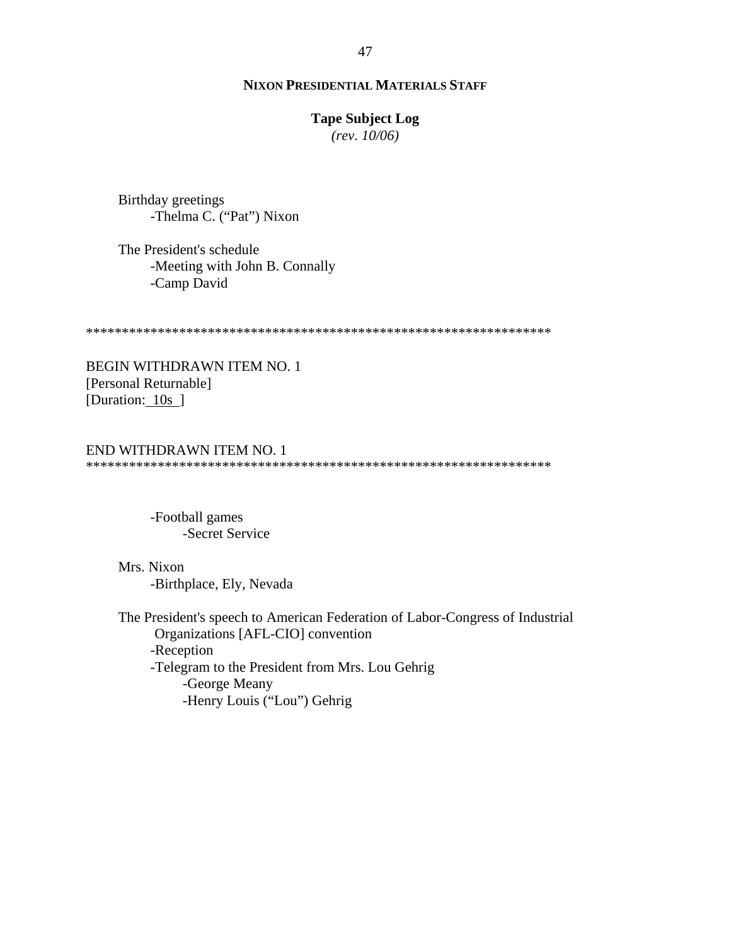#### **Tape Subject Log**

*(rev. 10/06)*

Birthday greetings -Thelma C. ("Pat") Nixon

The President's schedule -Meeting with John B. Connally -Camp David

\*\*\*\*\*\*\*\*\*\*\*\*\*\*\*\*\*\*\*\*\*\*\*\*\*\*\*\*\*\*\*\*\*\*\*\*\*\*\*\*\*\*\*\*\*\*\*\*\*\*\*\*\*\*\*\*\*\*\*\*\*\*\*\*\*

BEGIN WITHDRAWN ITEM NO. 1 [Personal Returnable] [Duration: 10s ]

#### END WITHDRAWN ITEM NO. 1 \*\*\*\*\*\*\*\*\*\*\*\*\*\*\*\*\*\*\*\*\*\*\*\*\*\*\*\*\*\*\*\*\*\*\*\*\*\*\*\*\*\*\*\*\*\*\*\*\*\*\*\*\*\*\*\*\*\*\*\*\*\*\*\*\*

-Football games -Secret Service

Mrs. Nixon -Birthplace, Ely, Nevada

 The President's speech to American Federation of Labor-Congress of Industrial Organizations [AFL-CIO] convention -Reception -Telegram to the President from Mrs. Lou Gehrig -George Meany -Henry Louis ("Lou") Gehrig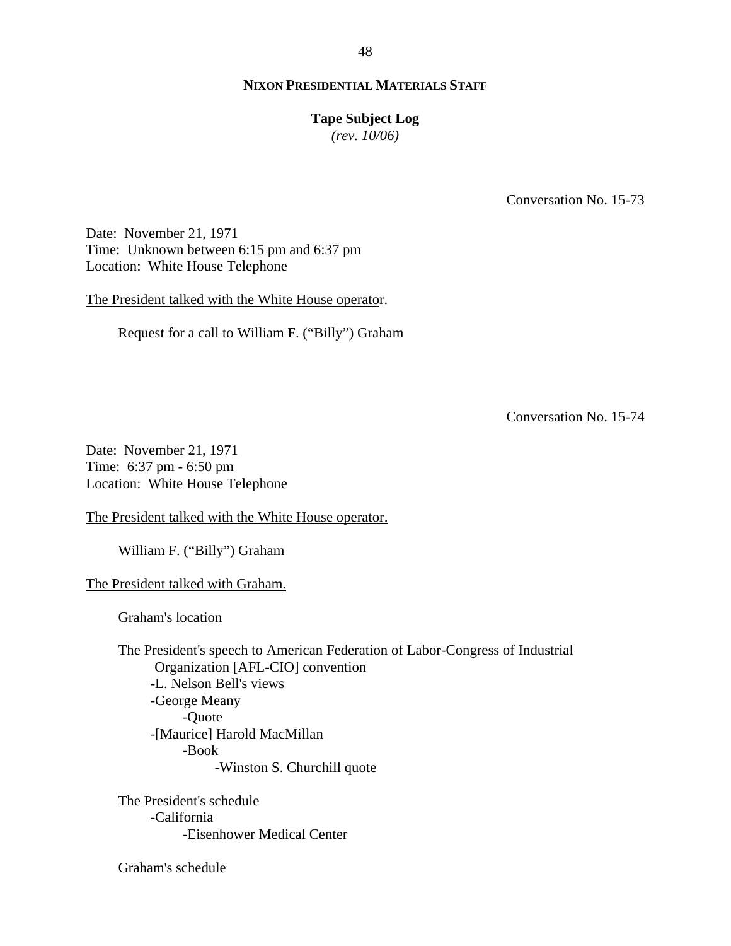#### **Tape Subject Log**

*(rev. 10/06)*

Conversation No. 15-73

Date: November 21, 1971 Time: Unknown between 6:15 pm and 6:37 pm Location: White House Telephone

The President talked with the White House operator.

Request for a call to William F. ("Billy") Graham

Conversation No. 15-74

Date: November 21, 1971 Time: 6:37 pm - 6:50 pm Location: White House Telephone

The President talked with the White House operator.

William F. ("Billy") Graham

The President talked with Graham.

Graham's location

 The President's speech to American Federation of Labor-Congress of Industrial Organization [AFL-CIO] convention -L. Nelson Bell's views -George Meany -Quote -[Maurice] Harold MacMillan -Book -Winston S. Churchill quote

The President's schedule -California -Eisenhower Medical Center

Graham's schedule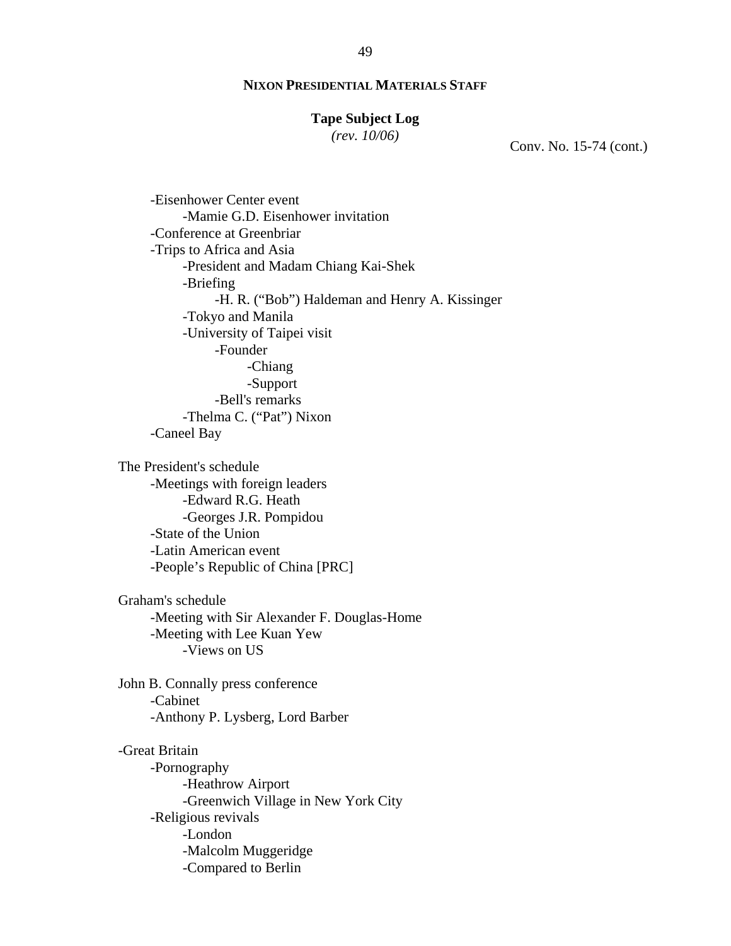#### **Tape Subject Log**

*(rev. 10/06)*

Conv. No. 15-74 (cont.)

-Eisenhower Center event -Mamie G.D. Eisenhower invitation -Conference at Greenbriar -Trips to Africa and Asia -President and Madam Chiang Kai-Shek -Briefing -H. R. ("Bob") Haldeman and Henry A. Kissinger -Tokyo and Manila -University of Taipei visit -Founder -Chiang -Support -Bell's remarks -Thelma C. ("Pat") Nixon -Caneel Bay

The President's schedule -Meetings with foreign leaders -Edward R.G. Heath -Georges J.R. Pompidou -State of the Union -Latin American event -People's Republic of China [PRC]

Graham's schedule -Meeting with Sir Alexander F. Douglas-Home -Meeting with Lee Kuan Yew -Views on US

John B. Connally press conference -Cabinet -Anthony P. Lysberg, Lord Barber

-Great Britain -Pornography -Heathrow Airport -Greenwich Village in New York City -Religious revivals -London -Malcolm Muggeridge -Compared to Berlin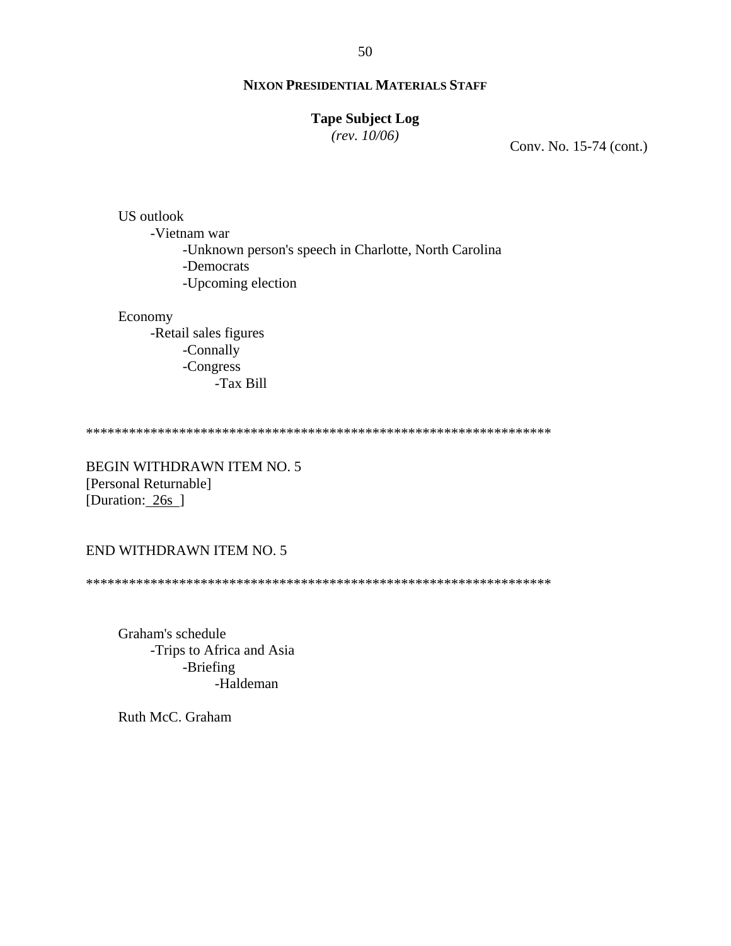#### **Tape Subject Log**

*(rev. 10/06)*

Conv. No. 15-74 (cont.)

US outlook -Vietnam war -Unknown person's speech in Charlotte, North Carolina -Democrats -Upcoming election

Economy

-Retail sales figures -Connally -Congress -Tax Bill

\*\*\*\*\*\*\*\*\*\*\*\*\*\*\*\*\*\*\*\*\*\*\*\*\*\*\*\*\*\*\*\*\*\*\*\*\*\*\*\*\*\*\*\*\*\*\*\*\*\*\*\*\*\*\*\*\*\*\*\*\*\*\*\*\*

BEGIN WITHDRAWN ITEM NO. 5 [Personal Returnable] [Duration: 26s ]

#### END WITHDRAWN ITEM NO. 5

\*\*\*\*\*\*\*\*\*\*\*\*\*\*\*\*\*\*\*\*\*\*\*\*\*\*\*\*\*\*\*\*\*\*\*\*\*\*\*\*\*\*\*\*\*\*\*\*\*\*\*\*\*\*\*\*\*\*\*\*\*\*\*\*\*

Graham's schedule -Trips to Africa and Asia -Briefing -Haldeman

Ruth McC. Graham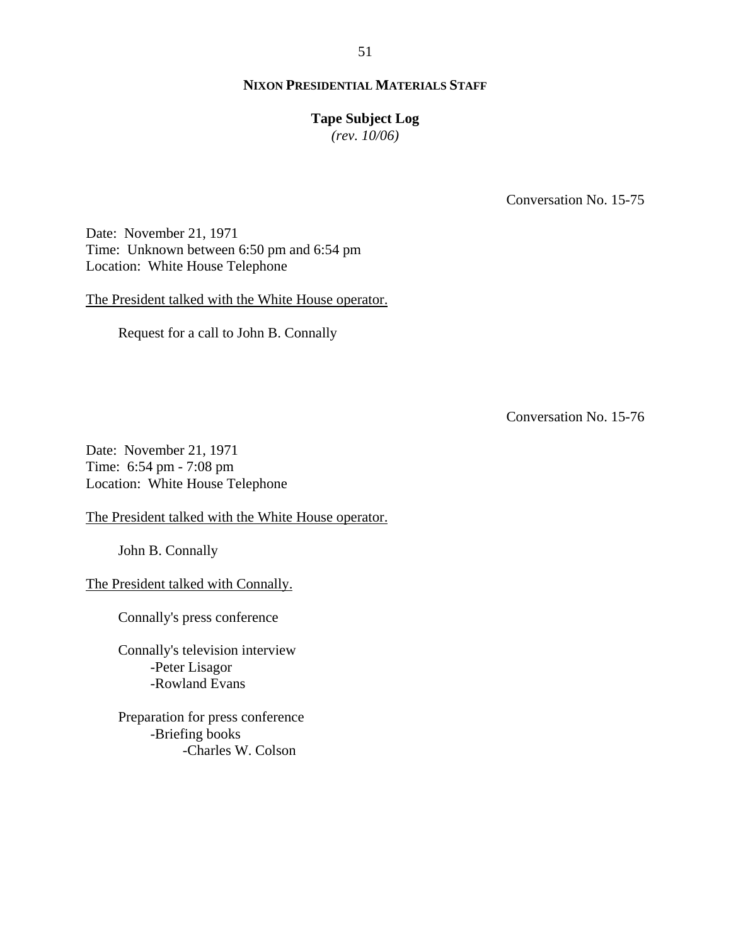#### **Tape Subject Log**

*(rev. 10/06)*

Conversation No. 15-75

Date: November 21, 1971 Time: Unknown between 6:50 pm and 6:54 pm Location: White House Telephone

The President talked with the White House operator.

Request for a call to John B. Connally

Conversation No. 15-76

Date: November 21, 1971 Time: 6:54 pm - 7:08 pm Location: White House Telephone

The President talked with the White House operator.

John B. Connally

The President talked with Connally.

Connally's press conference

Connally's television interview -Peter Lisagor -Rowland Evans

Preparation for press conference -Briefing books -Charles W. Colson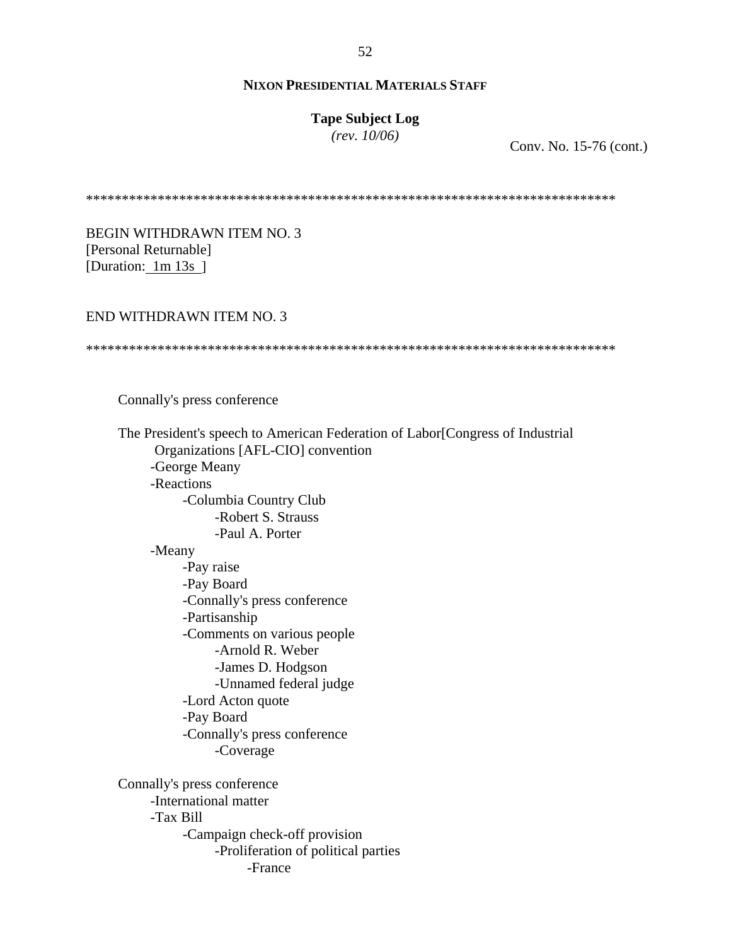## **Tape Subject Log**

*(rev. 10/06)*

Conv. No. 15-76 (cont.)

\*\*\*\*\*\*\*\*\*\*\*\*\*\*\*\*\*\*\*\*\*\*\*\*\*\*\*\*\*\*\*\*\*\*\*\*\*\*\*\*\*\*\*\*\*\*\*\*\*\*\*\*\*\*\*\*\*\*\*\*\*\*\*\*\*\*\*\*\*\*\*\*\*\*

BEGIN WITHDRAWN ITEM NO. 3 [Personal Returnable] [Duration: 1m 13s ]

#### END WITHDRAWN ITEM NO. 3

#### \*\*\*\*\*\*\*\*\*\*\*\*\*\*\*\*\*\*\*\*\*\*\*\*\*\*\*\*\*\*\*\*\*\*\*\*\*\*\*\*\*\*\*\*\*\*\*\*\*\*\*\*\*\*\*\*\*\*\*\*\*\*\*\*\*\*\*\*\*\*\*\*\*\*

Connally's press conference

 The President's speech to American Federation of Labor[Congress of Industrial Organizations [AFL-CIO] convention -George Meany -Reactions -Columbia Country Club -Robert S. Strauss -Paul A. Porter -Meany -Pay raise -Pay Board -Connally's press conference -Partisanship -Comments on various people -Arnold R. Weber -James D. Hodgson -Unnamed federal judge -Lord Acton quote -Pay Board -Connally's press conference -Coverage Connally's press conference -International matter -Tax Bill -Campaign check-off provision -Proliferation of political parties -France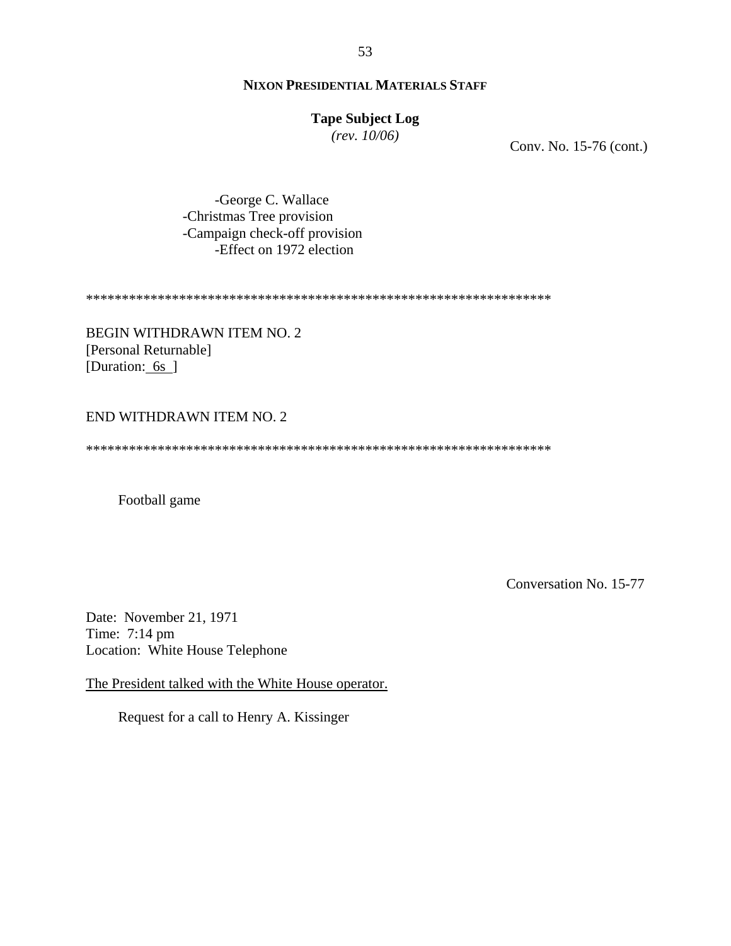# **Tape Subject Log**

*(rev. 10/06)*

Conv. No. 15-76 (cont.)

-George C. Wallace -Christmas Tree provision -Campaign check-off provision -Effect on 1972 election

\*\*\*\*\*\*\*\*\*\*\*\*\*\*\*\*\*\*\*\*\*\*\*\*\*\*\*\*\*\*\*\*\*\*\*\*\*\*\*\*\*\*\*\*\*\*\*\*\*\*\*\*\*\*\*\*\*\*\*\*\*\*\*\*\*

BEGIN WITHDRAWN ITEM NO. 2 [Personal Returnable] [Duration: 6s]

# END WITHDRAWN ITEM NO. 2

\*\*\*\*\*\*\*\*\*\*\*\*\*\*\*\*\*\*\*\*\*\*\*\*\*\*\*\*\*\*\*\*\*\*\*\*\*\*\*\*\*\*\*\*\*\*\*\*\*\*\*\*\*\*\*\*\*\*\*\*\*\*\*\*\*

Football game

Conversation No. 15-77

Date: November 21, 1971 Time: 7:14 pm Location: White House Telephone

The President talked with the White House operator.

Request for a call to Henry A. Kissinger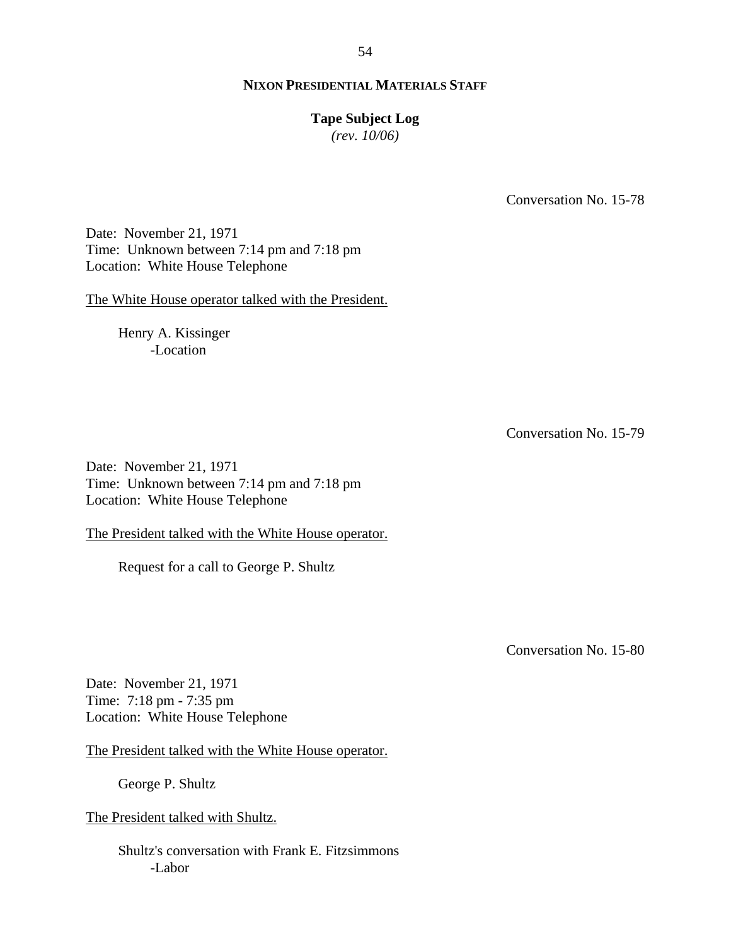## **Tape Subject Log**

*(rev. 10/06)*

Conversation No. 15-78

Date: November 21, 1971 Time: Unknown between 7:14 pm and 7:18 pm Location: White House Telephone

The White House operator talked with the President.

Henry A. Kissinger -Location

Conversation No. 15-79

Date: November 21, 1971 Time: Unknown between 7:14 pm and 7:18 pm Location: White House Telephone

The President talked with the White House operator.

Request for a call to George P. Shultz

Conversation No. 15-80

Date: November 21, 1971 Time: 7:18 pm - 7:35 pm Location: White House Telephone

The President talked with the White House operator.

George P. Shultz

The President talked with Shultz.

Shultz's conversation with Frank E. Fitzsimmons -Labor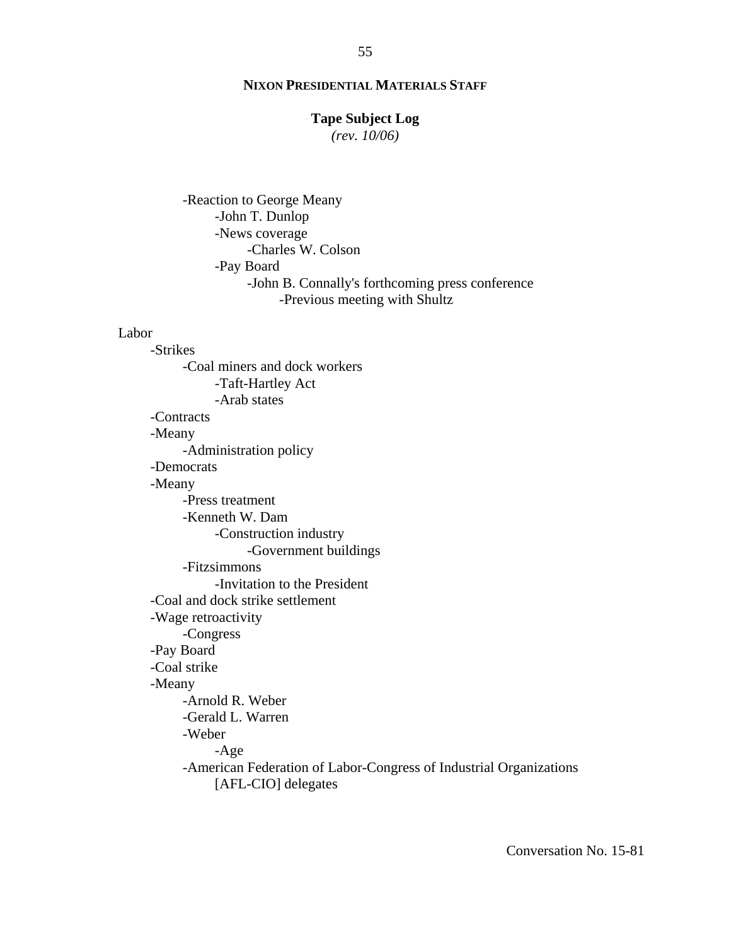#### **Tape Subject Log**

*(rev. 10/06)*

-Reaction to George Meany -John T. Dunlop -News coverage -Charles W. Colson -Pay Board -John B. Connally's forthcoming press conference -Previous meeting with Shultz

#### Labor

-Strikes -Coal miners and dock workers -Taft-Hartley Act -Arab states -Contracts -Meany -Administration policy -Democrats -Meany -Press treatment -Kenneth W. Dam -Construction industry -Government buildings -Fitzsimmons -Invitation to the President -Coal and dock strike settlement -Wage retroactivity -Congress -Pay Board -Coal strike -Meany -Arnold R. Weber -Gerald L. Warren -Weber -Age -American Federation of Labor-Congress of Industrial Organizations [AFL-CIO] delegates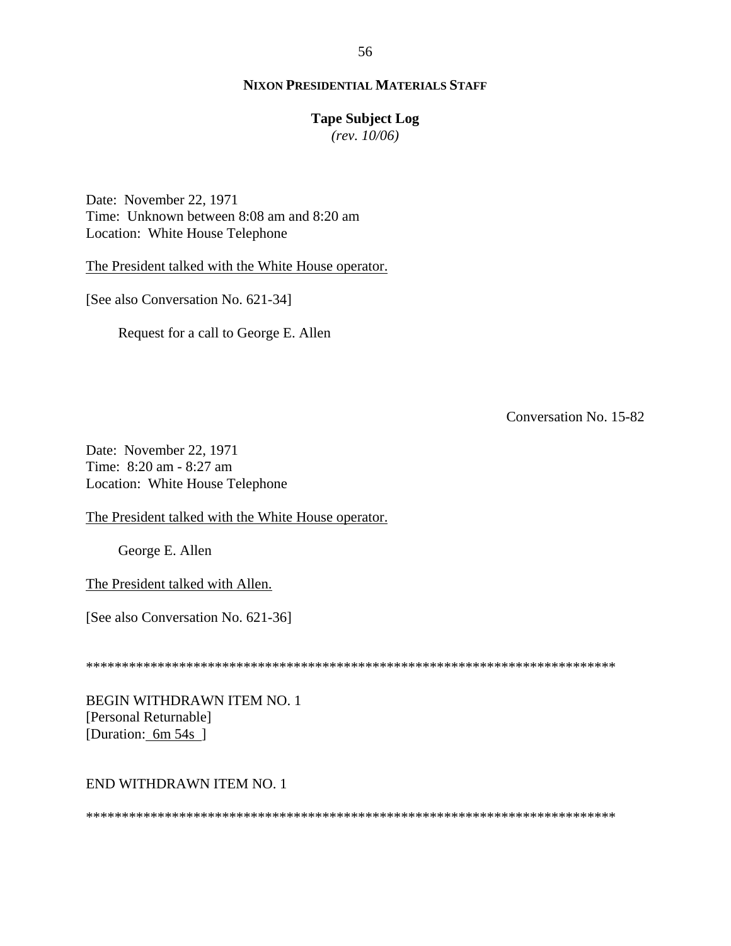## **Tape Subject Log**

*(rev. 10/06)*

Date: November 22, 1971 Time: Unknown between 8:08 am and 8:20 am Location: White House Telephone

The President talked with the White House operator.

[See also Conversation No. 621-34]

Request for a call to George E. Allen

Conversation No. 15-82

Date: November 22, 1971 Time: 8:20 am - 8:27 am Location: White House Telephone

The President talked with the White House operator.

George E. Allen

The President talked with Allen.

[See also Conversation No. 621-36]

\*\*\*\*\*\*\*\*\*\*\*\*\*\*\*\*\*\*\*\*\*\*\*\*\*\*\*\*\*\*\*\*\*\*\*\*\*\*\*\*\*\*\*\*\*\*\*\*\*\*\*\*\*\*\*\*\*\*\*\*\*\*\*\*\*\*\*\*\*\*\*\*\*\*

BEGIN WITHDRAWN ITEM NO. 1 [Personal Returnable] [Duration: 6m 54s ]

#### END WITHDRAWN ITEM NO. 1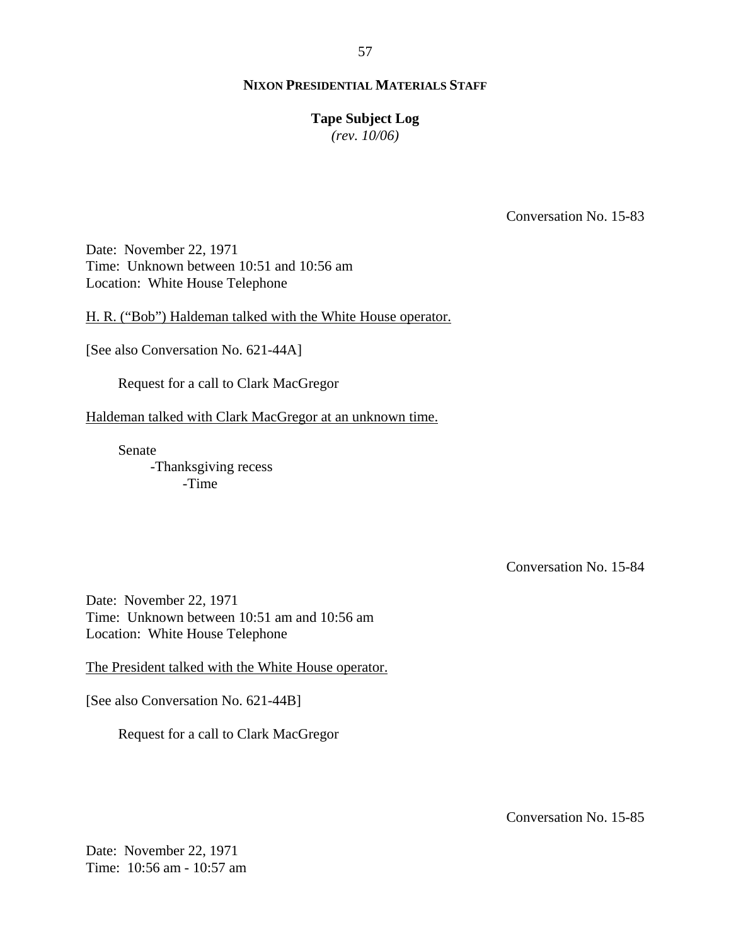#### 57

#### **NIXON PRESIDENTIAL MATERIALS STAFF**

#### **Tape Subject Log**

*(rev. 10/06)*

Conversation No. 15-83

Date: November 22, 1971 Time: Unknown between 10:51 and 10:56 am Location: White House Telephone

H. R. ("Bob") Haldeman talked with the White House operator.

[See also Conversation No. 621-44A]

Request for a call to Clark MacGregor

Haldeman talked with Clark MacGregor at an unknown time.

Senate -Thanksgiving recess -Time

Conversation No. 15-84

Date: November 22, 1971 Time: Unknown between 10:51 am and 10:56 am Location: White House Telephone

The President talked with the White House operator.

[See also Conversation No. 621-44B]

Request for a call to Clark MacGregor

Conversation No. 15-85

Date: November 22, 1971 Time: 10:56 am - 10:57 am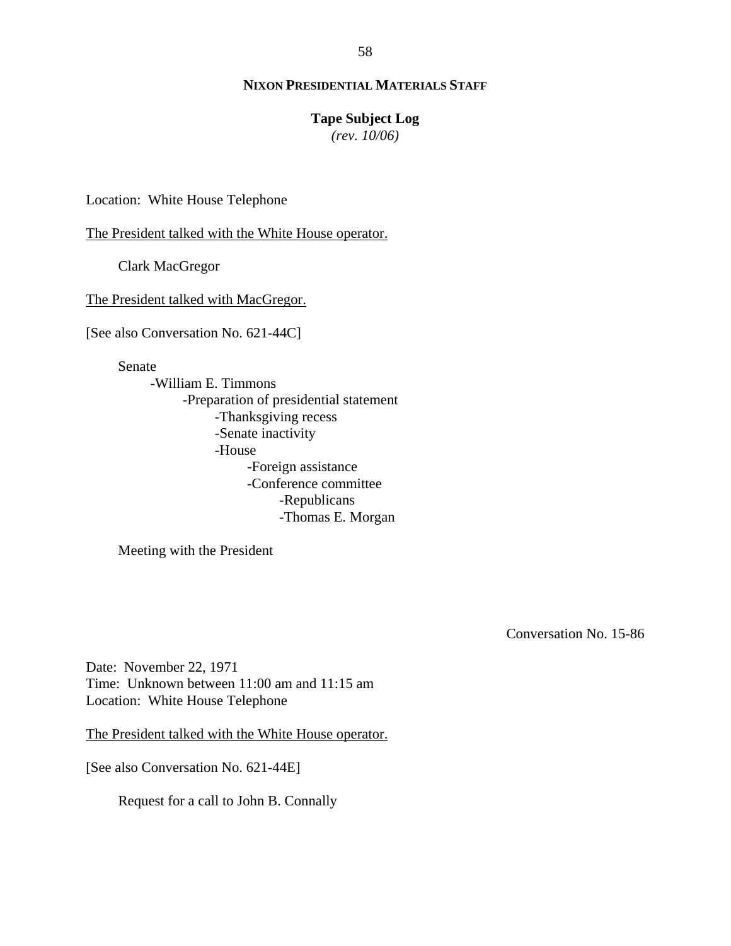#### **Tape Subject Log**

*(rev. 10/06)*

Location: White House Telephone

The President talked with the White House operator.

Clark MacGregor

The President talked with MacGregor.

[See also Conversation No. 621-44C]

Senate

-William E. Timmons -Preparation of presidential statement -Thanksgiving recess -Senate inactivity -House -Foreign assistance -Conference committee -Republicans -Thomas E. Morgan

Meeting with the President

Conversation No. 15-86

Date: November 22, 1971 Time: Unknown between 11:00 am and 11:15 am Location: White House Telephone

The President talked with the White House operator.

[See also Conversation No. 621-44E]

Request for a call to John B. Connally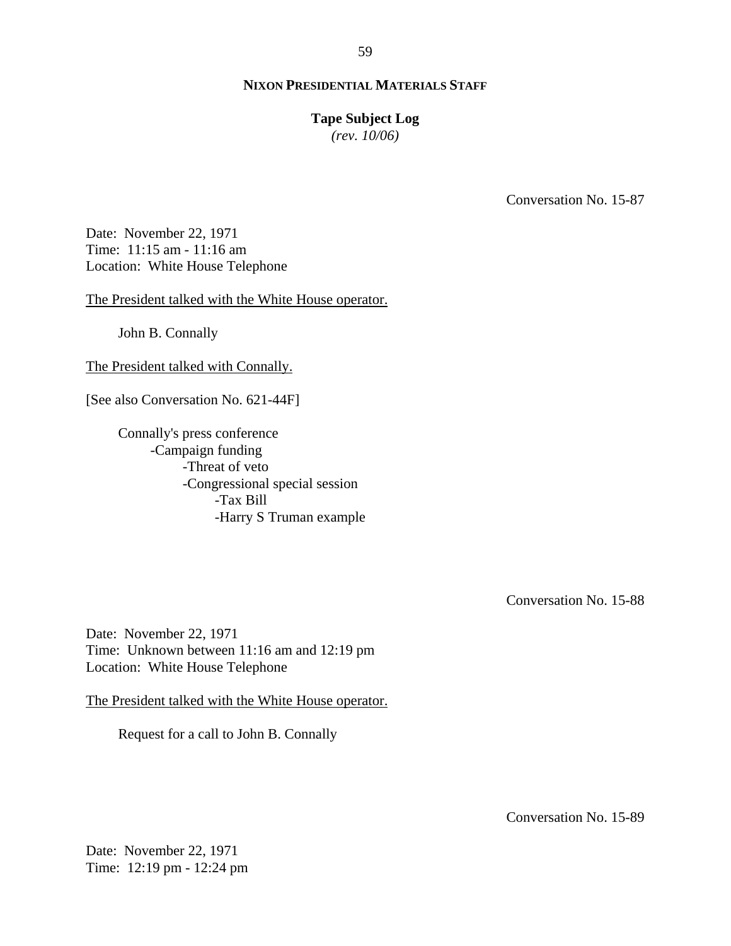#### **Tape Subject Log**

*(rev. 10/06)*

Conversation No. 15-87

Date: November 22, 1971 Time: 11:15 am - 11:16 am Location: White House Telephone

The President talked with the White House operator.

John B. Connally

The President talked with Connally.

[See also Conversation No. 621-44F]

Connally's press conference -Campaign funding -Threat of veto -Congressional special session -Tax Bill -Harry S Truman example

Conversation No. 15-88

Date: November 22, 1971 Time: Unknown between 11:16 am and 12:19 pm Location: White House Telephone

The President talked with the White House operator.

Request for a call to John B. Connally

Conversation No. 15-89

Date: November 22, 1971 Time: 12:19 pm - 12:24 pm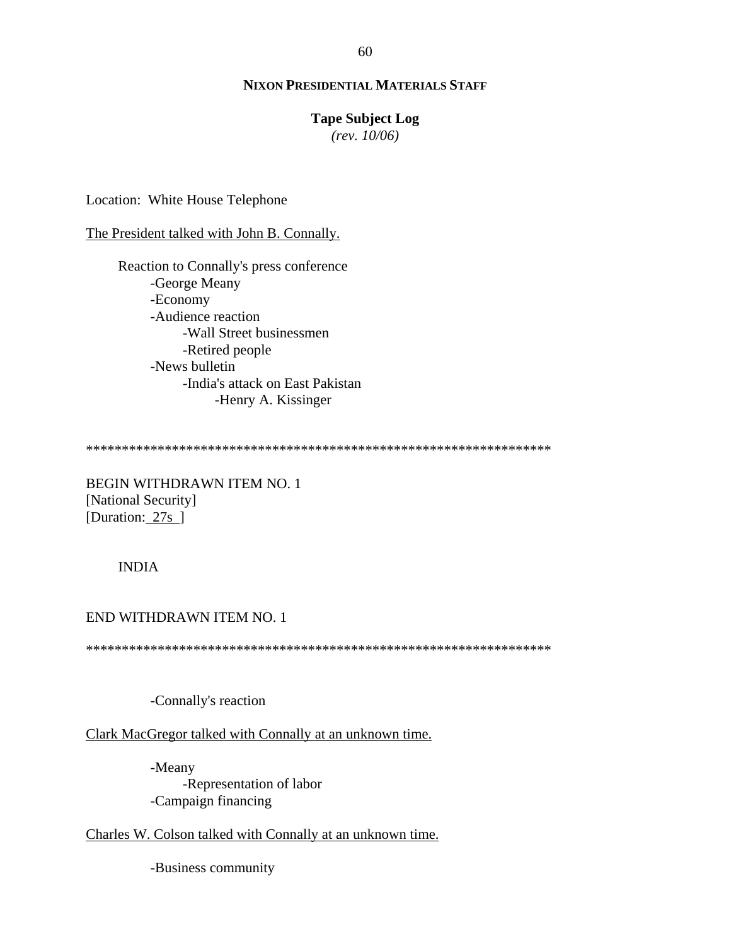#### **Tape Subject Log**

*(rev. 10/06)*

Location: White House Telephone

The President talked with John B. Connally.

Reaction to Connally's press conference -George Meany -Economy -Audience reaction -Wall Street businessmen -Retired people -News bulletin -India's attack on East Pakistan -Henry A. Kissinger

\*\*\*\*\*\*\*\*\*\*\*\*\*\*\*\*\*\*\*\*\*\*\*\*\*\*\*\*\*\*\*\*\*\*\*\*\*\*\*\*\*\*\*\*\*\*\*\*\*\*\*\*\*\*\*\*\*\*\*\*\*\*\*\*\*

BEGIN WITHDRAWN ITEM NO. 1 [National Security] [Duration: 27s ]

INDIA

# END WITHDRAWN ITEM NO. 1

\*\*\*\*\*\*\*\*\*\*\*\*\*\*\*\*\*\*\*\*\*\*\*\*\*\*\*\*\*\*\*\*\*\*\*\*\*\*\*\*\*\*\*\*\*\*\*\*\*\*\*\*\*\*\*\*\*\*\*\*\*\*\*\*\*

-Connally's reaction

Clark MacGregor talked with Connally at an unknown time.

-Meany -Representation of labor -Campaign financing

Charles W. Colson talked with Connally at an unknown time.

-Business community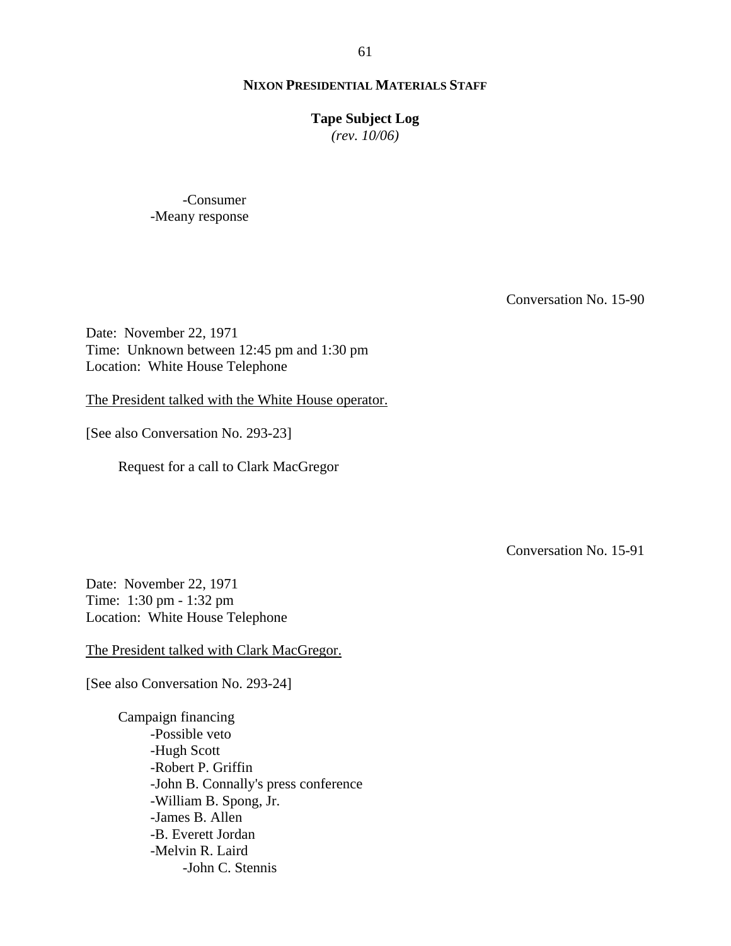#### **Tape Subject Log**

*(rev. 10/06)*

-Consumer -Meany response

Conversation No. 15-90

Date: November 22, 1971 Time: Unknown between 12:45 pm and 1:30 pm Location: White House Telephone

The President talked with the White House operator.

[See also Conversation No. 293-23]

Request for a call to Clark MacGregor

Conversation No. 15-91

Date: November 22, 1971 Time: 1:30 pm - 1:32 pm Location: White House Telephone

The President talked with Clark MacGregor.

[See also Conversation No. 293-24]

Campaign financing -Possible veto -Hugh Scott -Robert P. Griffin -John B. Connally's press conference -William B. Spong, Jr. -James B. Allen -B. Everett Jordan -Melvin R. Laird -John C. Stennis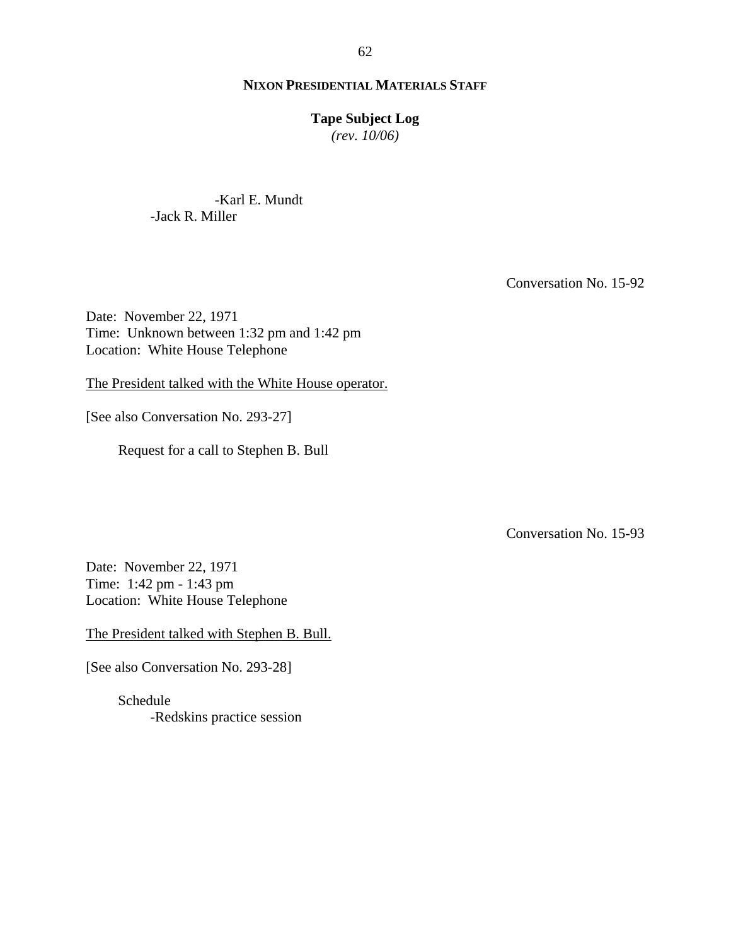#### **Tape Subject Log**

*(rev. 10/06)*

-Karl E. Mundt -Jack R. Miller

Conversation No. 15-92

Date: November 22, 1971 Time: Unknown between 1:32 pm and 1:42 pm Location: White House Telephone

The President talked with the White House operator.

[See also Conversation No. 293-27]

Request for a call to Stephen B. Bull

Conversation No. 15-93

Date: November 22, 1971 Time: 1:42 pm - 1:43 pm Location: White House Telephone

The President talked with Stephen B. Bull.

[See also Conversation No. 293-28]

Schedule -Redskins practice session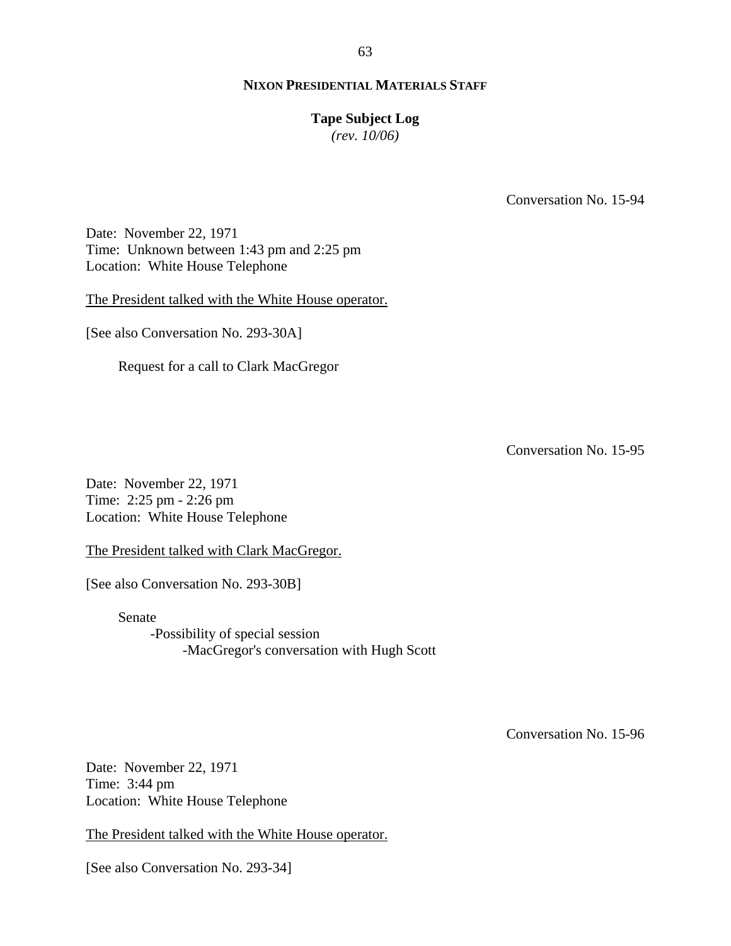#### **Tape Subject Log**

*(rev. 10/06)*

Conversation No. 15-94

Date: November 22, 1971 Time: Unknown between 1:43 pm and 2:25 pm Location: White House Telephone

The President talked with the White House operator.

[See also Conversation No. 293-30A]

Request for a call to Clark MacGregor

Conversation No. 15-95

Date: November 22, 1971 Time: 2:25 pm - 2:26 pm Location: White House Telephone

The President talked with Clark MacGregor.

[See also Conversation No. 293-30B]

Senate -Possibility of special session -MacGregor's conversation with Hugh Scott

Conversation No. 15-96

Date: November 22, 1971 Time: 3:44 pm Location: White House Telephone

The President talked with the White House operator.

[See also Conversation No. 293-34]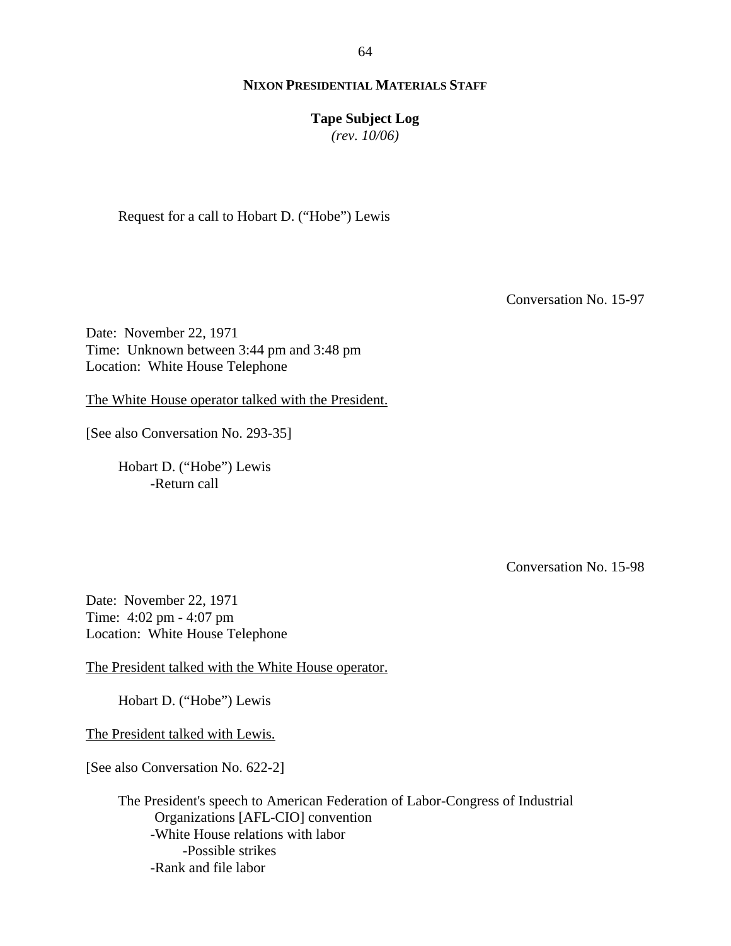64

## **NIXON PRESIDENTIAL MATERIALS STAFF**

**Tape Subject Log**

*(rev. 10/06)*

Request for a call to Hobart D. ("Hobe") Lewis

Conversation No. 15-97

Date: November 22, 1971 Time: Unknown between 3:44 pm and 3:48 pm Location: White House Telephone

The White House operator talked with the President.

[See also Conversation No. 293-35]

Hobart D. ("Hobe") Lewis -Return call

Conversation No. 15-98

Date: November 22, 1971 Time: 4:02 pm - 4:07 pm Location: White House Telephone

The President talked with the White House operator.

Hobart D. ("Hobe") Lewis

The President talked with Lewis.

[See also Conversation No. 622-2]

 The President's speech to American Federation of Labor-Congress of Industrial Organizations [AFL-CIO] convention -White House relations with labor -Possible strikes -Rank and file labor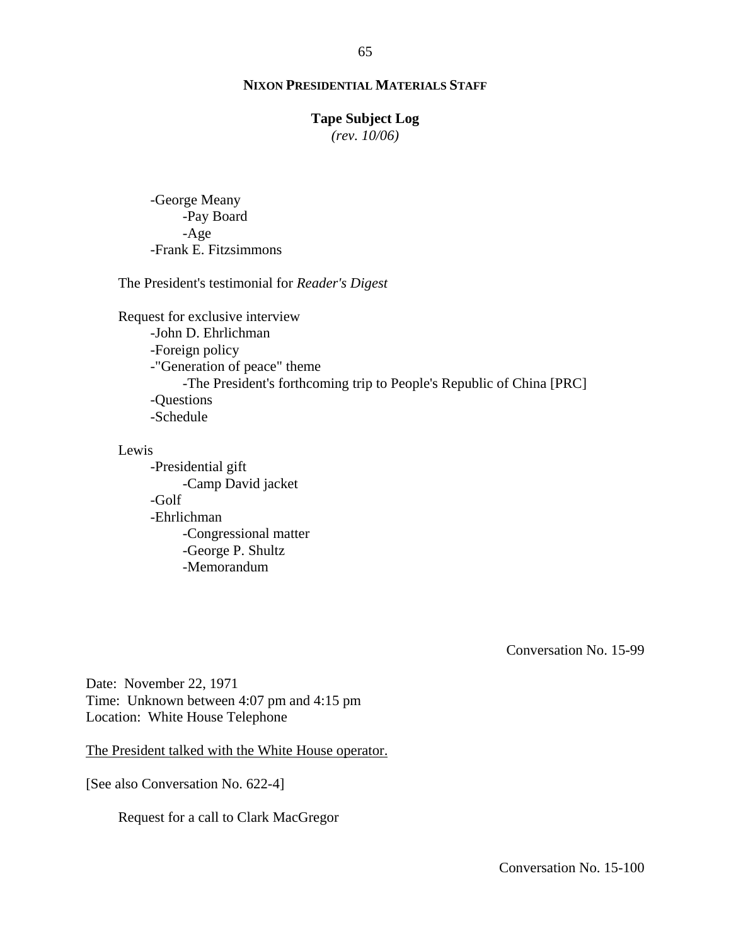#### **Tape Subject Log**

*(rev. 10/06)*

-George Meany -Pay Board -Age -Frank E. Fitzsimmons

The President's testimonial for *Reader's Digest*

Request for exclusive interview -John D. Ehrlichman -Foreign policy -"Generation of peace" theme -The President's forthcoming trip to People's Republic of China [PRC] -Questions -Schedule

Lewis

-Presidential gift -Camp David jacket -Golf -Ehrlichman -Congressional matter -George P. Shultz -Memorandum

Conversation No. 15-99

Date: November 22, 1971 Time: Unknown between 4:07 pm and 4:15 pm Location: White House Telephone

The President talked with the White House operator.

[See also Conversation No. 622-4]

Request for a call to Clark MacGregor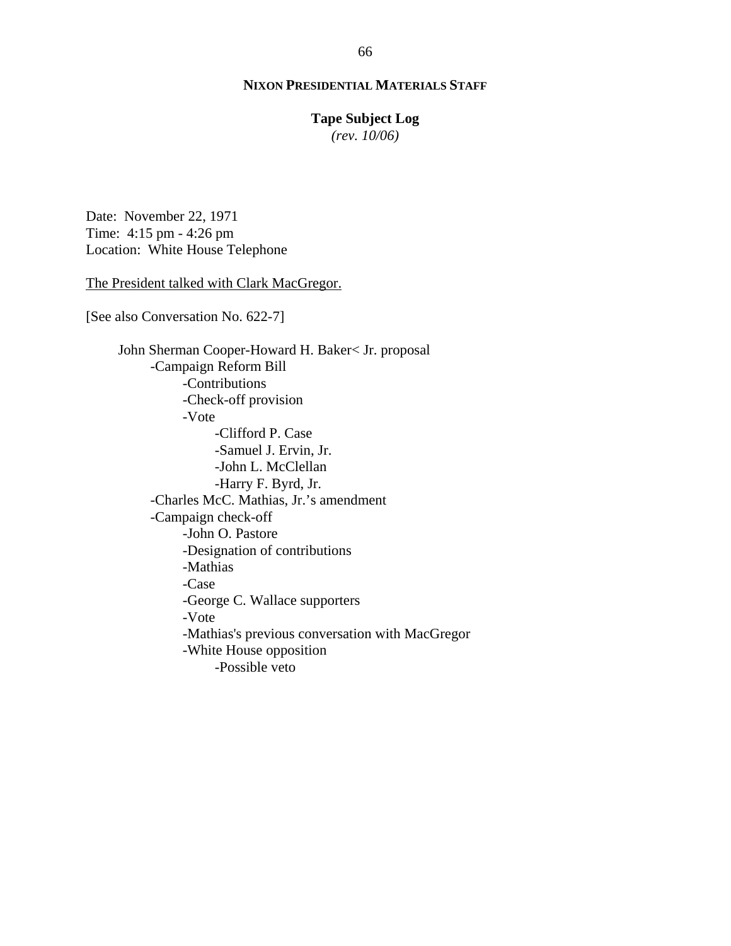#### **Tape Subject Log**

*(rev. 10/06)*

Date: November 22, 1971 Time: 4:15 pm - 4:26 pm Location: White House Telephone

#### The President talked with Clark MacGregor.

[See also Conversation No. 622-7]

John Sherman Cooper-Howard H. Baker< Jr. proposal -Campaign Reform Bill -Contributions -Check-off provision -Vote -Clifford P. Case -Samuel J. Ervin, Jr. -John L. McClellan -Harry F. Byrd, Jr. -Charles McC. Mathias, Jr.'s amendment -Campaign check-off -John O. Pastore -Designation of contributions -Mathias -Case -George C. Wallace supporters -Vote -Mathias's previous conversation with MacGregor -White House opposition -Possible veto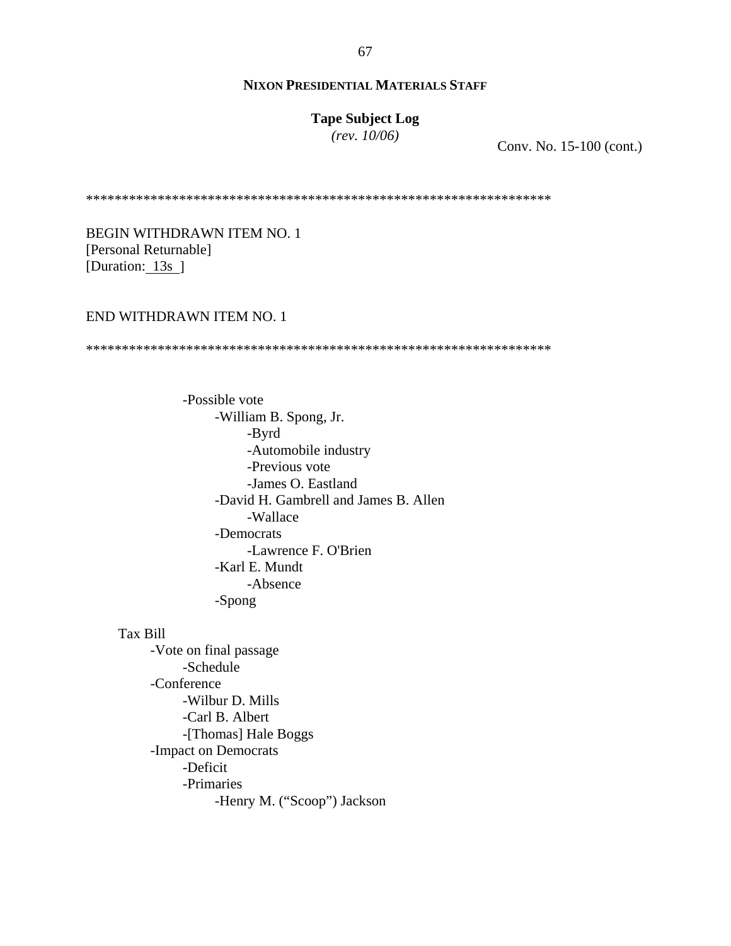# **Tape Subject Log**

*(rev. 10/06)*

Conv. No. 15-100 (cont.)

\*\*\*\*\*\*\*\*\*\*\*\*\*\*\*\*\*\*\*\*\*\*\*\*\*\*\*\*\*\*\*\*\*\*\*\*\*\*\*\*\*\*\*\*\*\*\*\*\*\*\*\*\*\*\*\*\*\*\*\*\*\*\*\*\*

BEGIN WITHDRAWN ITEM NO. 1 [Personal Returnable] [Duration: 13s ]

#### END WITHDRAWN ITEM NO. 1

\*\*\*\*\*\*\*\*\*\*\*\*\*\*\*\*\*\*\*\*\*\*\*\*\*\*\*\*\*\*\*\*\*\*\*\*\*\*\*\*\*\*\*\*\*\*\*\*\*\*\*\*\*\*\*\*\*\*\*\*\*\*\*\*\*

-Possible vote -William B. Spong, Jr. -Byrd -Automobile industry -Previous vote -James O. Eastland -David H. Gambrell and James B. Allen -Wallace -Democrats -Lawrence F. O'Brien -Karl E. Mundt -Absence -Spong

Tax Bill

-Vote on final passage -Schedule -Conference -Wilbur D. Mills -Carl B. Albert -[Thomas] Hale Boggs -Impact on Democrats -Deficit -Primaries -Henry M. ("Scoop") Jackson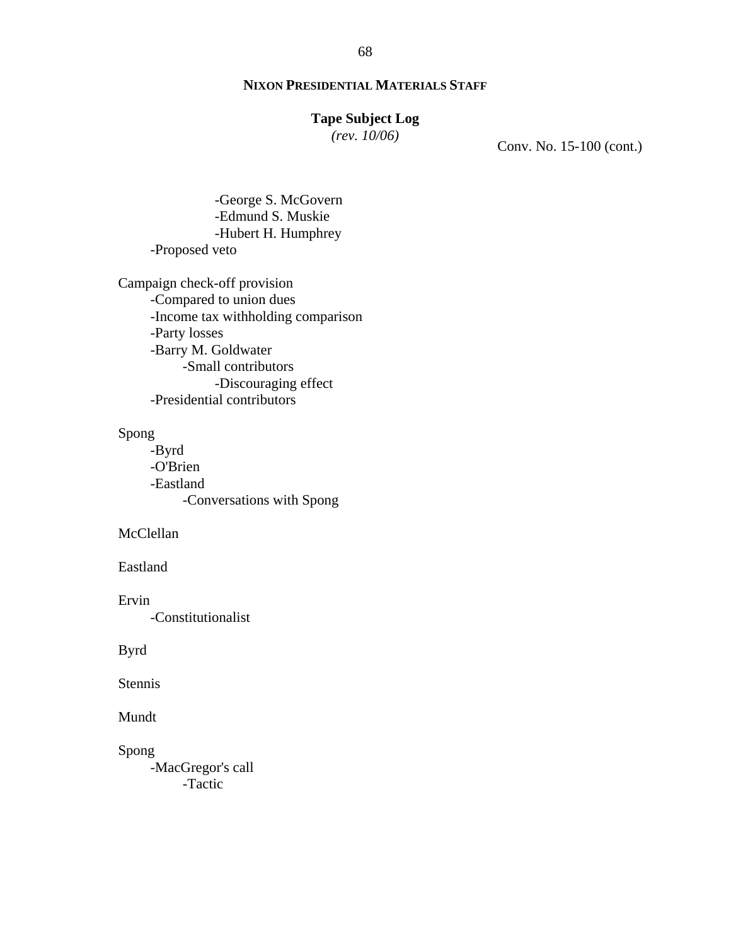#### **Tape Subject Log**

*(rev. 10/06)*

Conv. No. 15-100 (cont.)

-George S. McGovern -Edmund S. Muskie -Hubert H. Humphrey -Proposed veto

Campaign check-off provision -Compared to union dues -Income tax withholding comparison -Party losses -Barry M. Goldwater -Small contributors -Discouraging effect -Presidential contributors

Spong

-Byrd -O'Brien -Eastland -Conversations with Spong

McClellan

Eastland

Ervin -Constitutionalist

Byrd

Stennis

Mundt

Spong

-MacGregor's call -Tactic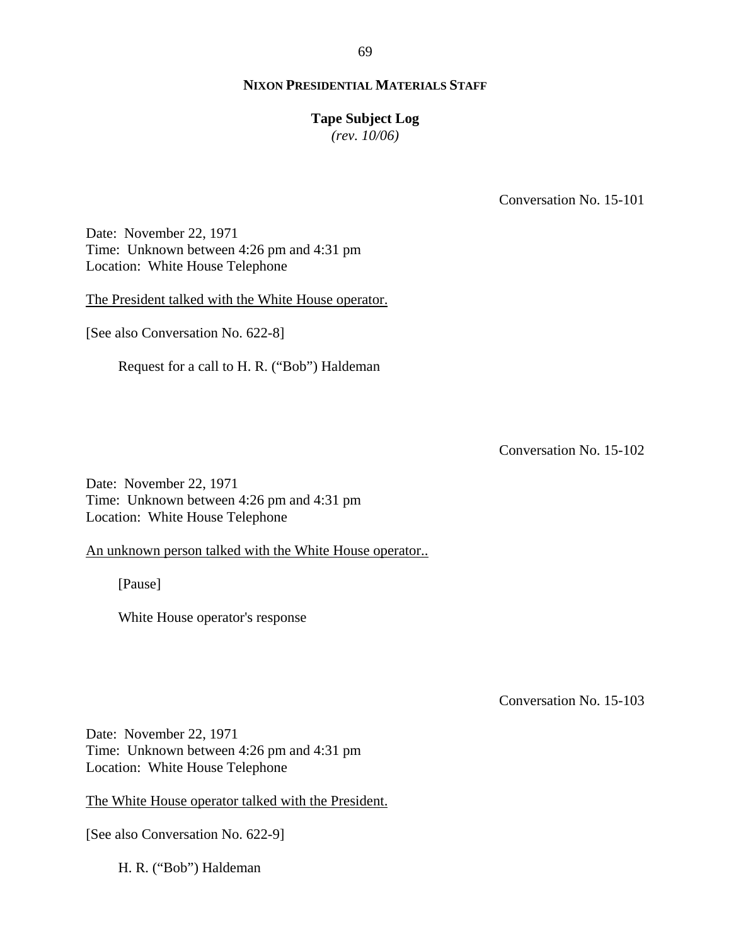#### **Tape Subject Log**

*(rev. 10/06)*

Conversation No. 15-101

Date: November 22, 1971 Time: Unknown between 4:26 pm and 4:31 pm Location: White House Telephone

The President talked with the White House operator.

[See also Conversation No. 622-8]

Request for a call to H. R. ("Bob") Haldeman

Conversation No. 15-102

Date: November 22, 1971 Time: Unknown between 4:26 pm and 4:31 pm Location: White House Telephone

An unknown person talked with the White House operator..

[Pause]

White House operator's response

Conversation No. 15-103

Date: November 22, 1971 Time: Unknown between 4:26 pm and 4:31 pm Location: White House Telephone

The White House operator talked with the President.

[See also Conversation No. 622-9]

H. R. ("Bob") Haldeman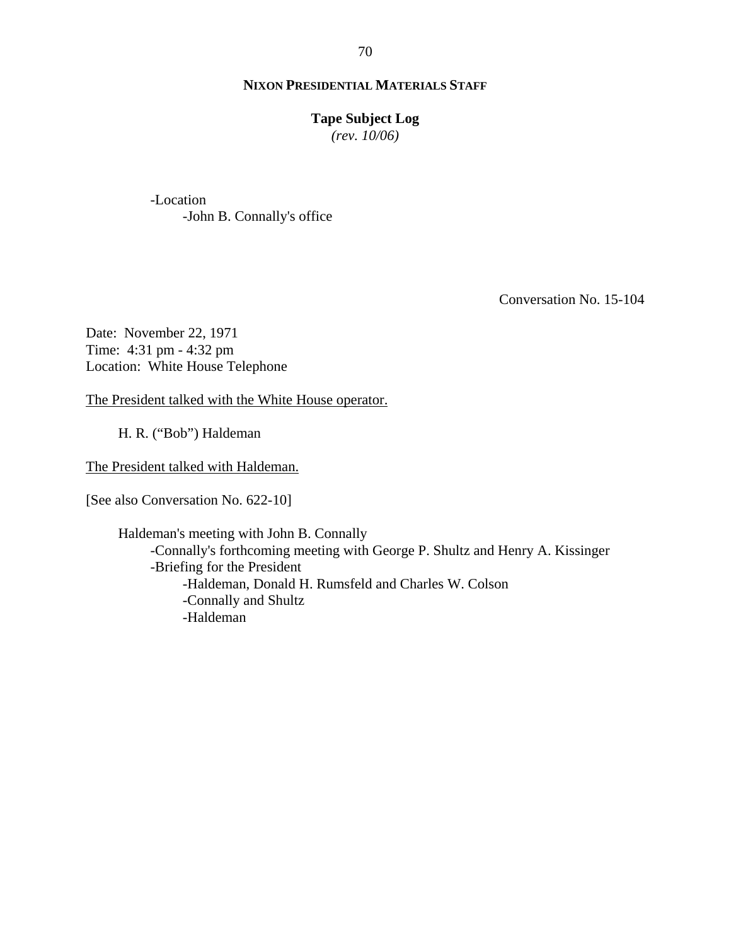#### **Tape Subject Log**

*(rev. 10/06)*

-Location -John B. Connally's office

Conversation No. 15-104

Date: November 22, 1971 Time: 4:31 pm - 4:32 pm Location: White House Telephone

The President talked with the White House operator.

H. R. ("Bob") Haldeman

The President talked with Haldeman.

[See also Conversation No. 622-10]

Haldeman's meeting with John B. Connally -Connally's forthcoming meeting with George P. Shultz and Henry A. Kissinger -Briefing for the President -Haldeman, Donald H. Rumsfeld and Charles W. Colson -Connally and Shultz -Haldeman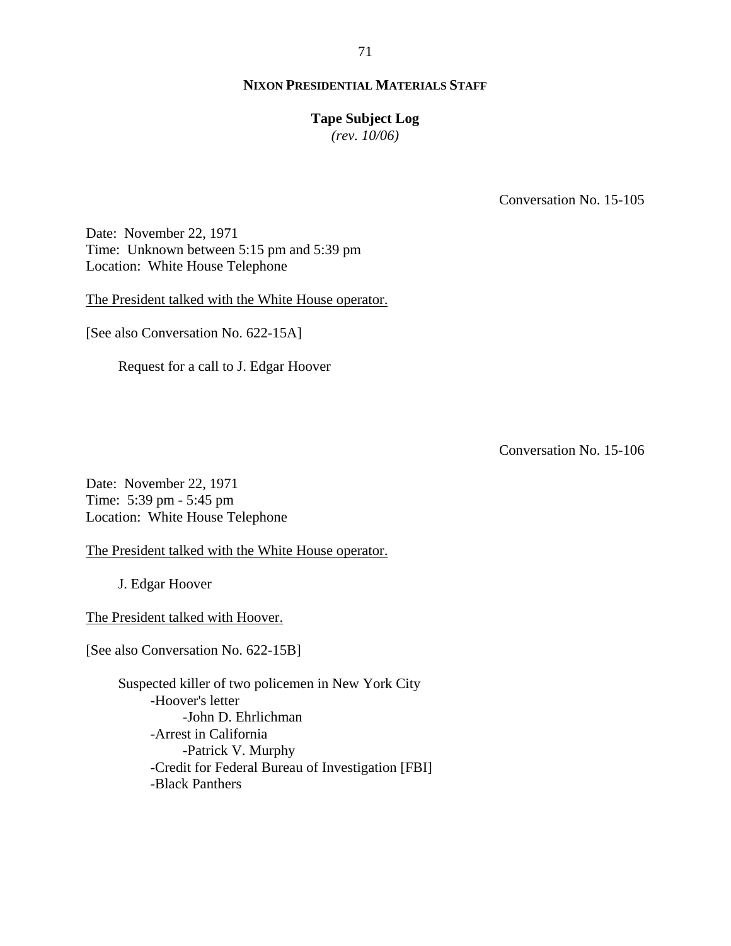## **Tape Subject Log**

*(rev. 10/06)*

Conversation No. 15-105

Date: November 22, 1971 Time: Unknown between 5:15 pm and 5:39 pm Location: White House Telephone

The President talked with the White House operator.

[See also Conversation No. 622-15A]

Request for a call to J. Edgar Hoover

Conversation No. 15-106

Date: November 22, 1971 Time: 5:39 pm - 5:45 pm Location: White House Telephone

The President talked with the White House operator.

J. Edgar Hoover

The President talked with Hoover.

[See also Conversation No. 622-15B]

Suspected killer of two policemen in New York City -Hoover's letter -John D. Ehrlichman -Arrest in California -Patrick V. Murphy -Credit for Federal Bureau of Investigation [FBI] -Black Panthers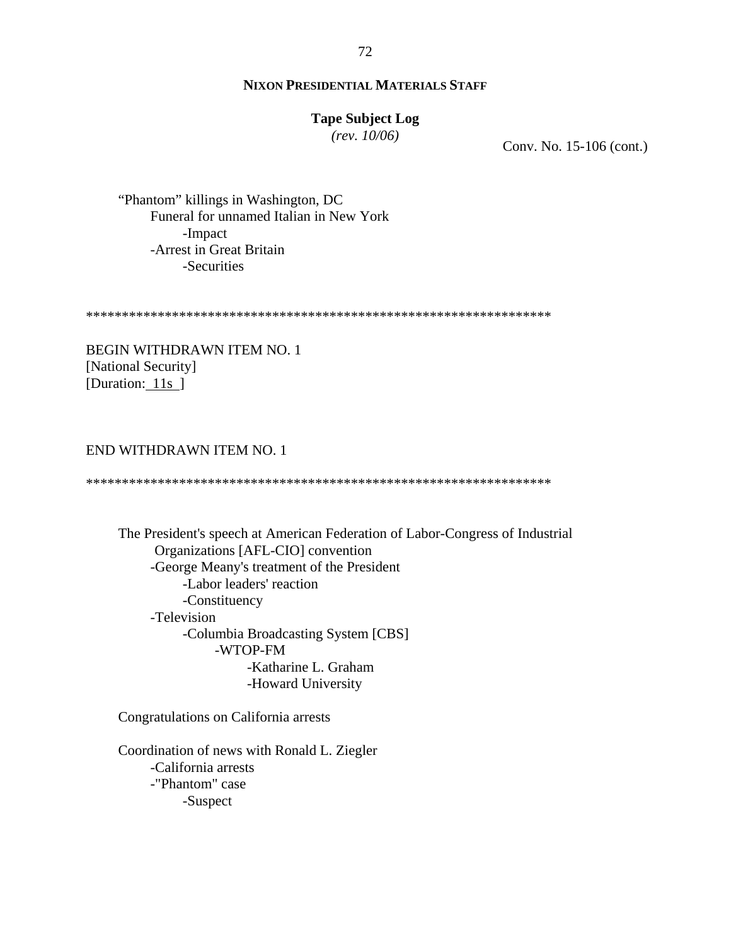## **Tape Subject Log**

*(rev. 10/06)*

Conv. No. 15-106 (cont.)

"Phantom" killings in Washington, DC Funeral for unnamed Italian in New York -Impact -Arrest in Great Britain -Securities

\*\*\*\*\*\*\*\*\*\*\*\*\*\*\*\*\*\*\*\*\*\*\*\*\*\*\*\*\*\*\*\*\*\*\*\*\*\*\*\*\*\*\*\*\*\*\*\*\*\*\*\*\*\*\*\*\*\*\*\*\*\*\*\*\*

BEGIN WITHDRAWN ITEM NO. 1 [National Security] [Duration: 11s ]

## END WITHDRAWN ITEM NO. 1

\*\*\*\*\*\*\*\*\*\*\*\*\*\*\*\*\*\*\*\*\*\*\*\*\*\*\*\*\*\*\*\*\*\*\*\*\*\*\*\*\*\*\*\*\*\*\*\*\*\*\*\*\*\*\*\*\*\*\*\*\*\*\*\*\*

 The President's speech at American Federation of Labor-Congress of Industrial Organizations [AFL-CIO] convention -George Meany's treatment of the President -Labor leaders' reaction -Constituency -Television -Columbia Broadcasting System [CBS] -WTOP-FM -Katharine L. Graham -Howard University

Congratulations on California arrests

Coordination of news with Ronald L. Ziegler -California arrests -"Phantom" case -Suspect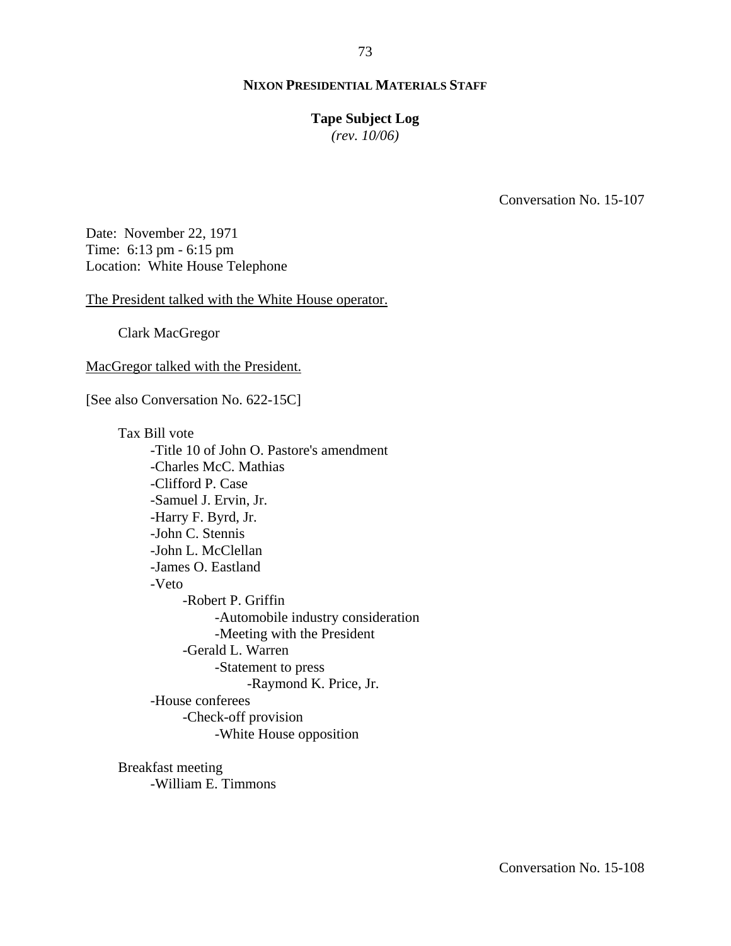#### **Tape Subject Log**

*(rev. 10/06)*

Conversation No. 15-107

Date: November 22, 1971 Time: 6:13 pm - 6:15 pm Location: White House Telephone

The President talked with the White House operator.

Clark MacGregor

MacGregor talked with the President.

[See also Conversation No. 622-15C]

Tax Bill vote -Title 10 of John O. Pastore's amendment -Charles McC. Mathias -Clifford P. Case -Samuel J. Ervin, Jr. -Harry F. Byrd, Jr. -John C. Stennis -John L. McClellan -James O. Eastland -Veto -Robert P. Griffin -Automobile industry consideration -Meeting with the President -Gerald L. Warren -Statement to press -Raymond K. Price, Jr. -House conferees -Check-off provision -White House opposition

Breakfast meeting -William E. Timmons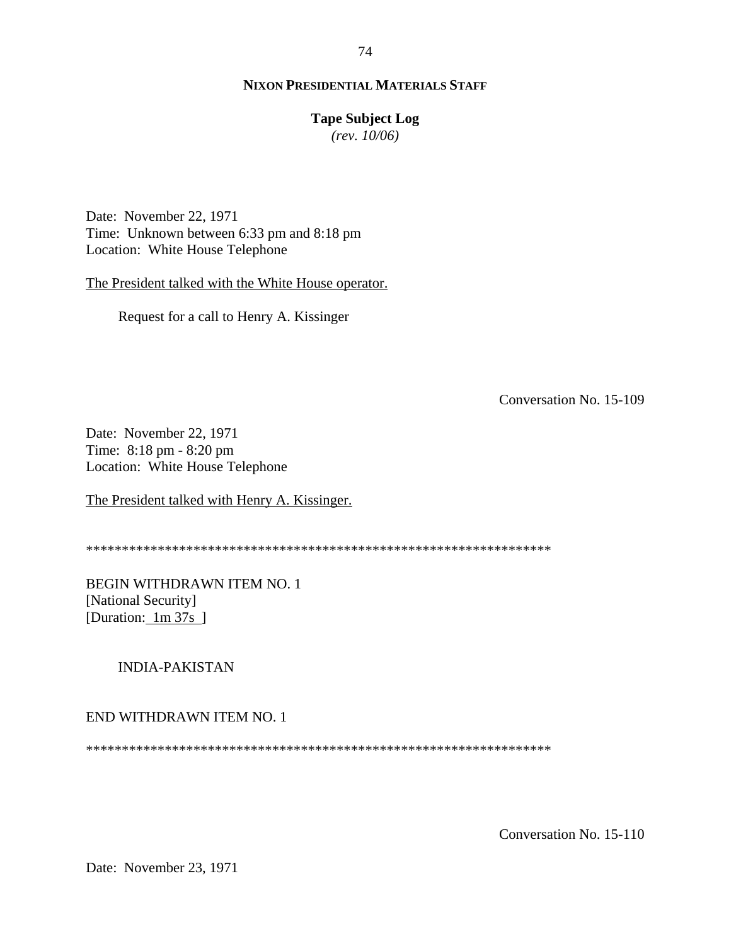# **Tape Subject Log**

*(rev. 10/06)*

Date: November 22, 1971 Time: Unknown between 6:33 pm and 8:18 pm Location: White House Telephone

The President talked with the White House operator.

Request for a call to Henry A. Kissinger

Conversation No. 15-109

Date: November 22, 1971 Time: 8:18 pm - 8:20 pm Location: White House Telephone

The President talked with Henry A. Kissinger.

\*\*\*\*\*\*\*\*\*\*\*\*\*\*\*\*\*\*\*\*\*\*\*\*\*\*\*\*\*\*\*\*\*\*\*\*\*\*\*\*\*\*\*\*\*\*\*\*\*\*\*\*\*\*\*\*\*\*\*\*\*\*\*\*\*

BEGIN WITHDRAWN ITEM NO. 1 [National Security] [Duration: 1m 37s]

# INDIA-PAKISTAN

#### END WITHDRAWN ITEM NO. 1

\*\*\*\*\*\*\*\*\*\*\*\*\*\*\*\*\*\*\*\*\*\*\*\*\*\*\*\*\*\*\*\*\*\*\*\*\*\*\*\*\*\*\*\*\*\*\*\*\*\*\*\*\*\*\*\*\*\*\*\*\*\*\*\*\*

Conversation No. 15-110

Date: November 23, 1971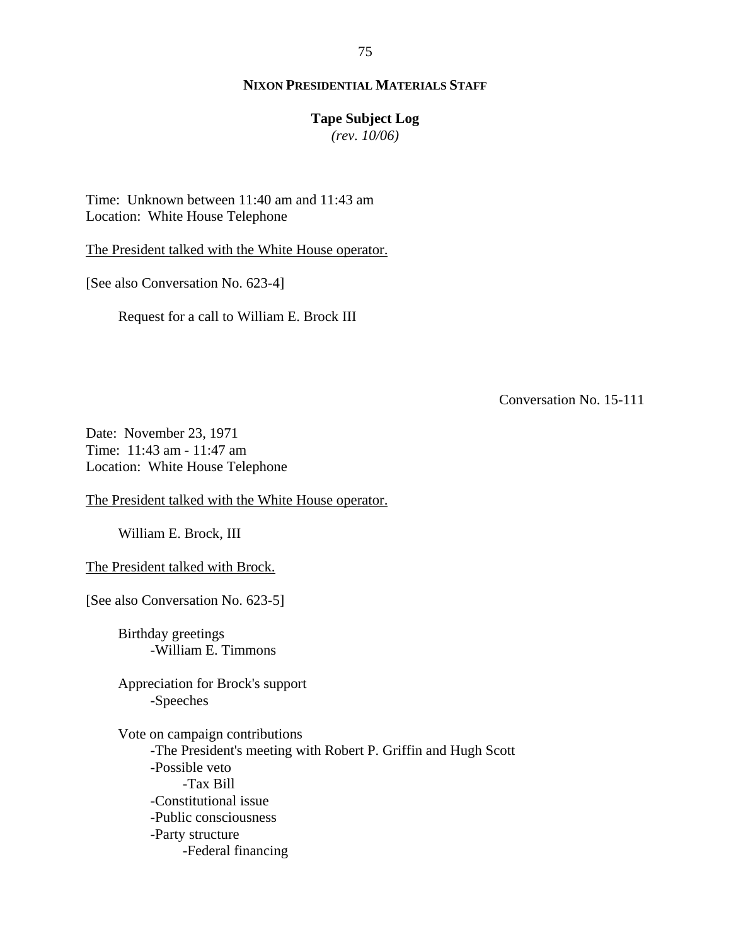# **Tape Subject Log**

*(rev. 10/06)*

Time: Unknown between 11:40 am and 11:43 am Location: White House Telephone

The President talked with the White House operator.

[See also Conversation No. 623-4]

Request for a call to William E. Brock III

Conversation No. 15-111

Date: November 23, 1971 Time: 11:43 am - 11:47 am Location: White House Telephone

The President talked with the White House operator.

William E. Brock, III

The President talked with Brock.

[See also Conversation No. 623-5]

Birthday greetings -William E. Timmons

Appreciation for Brock's support -Speeches

Vote on campaign contributions -The President's meeting with Robert P. Griffin and Hugh Scott -Possible veto -Tax Bill -Constitutional issue -Public consciousness -Party structure -Federal financing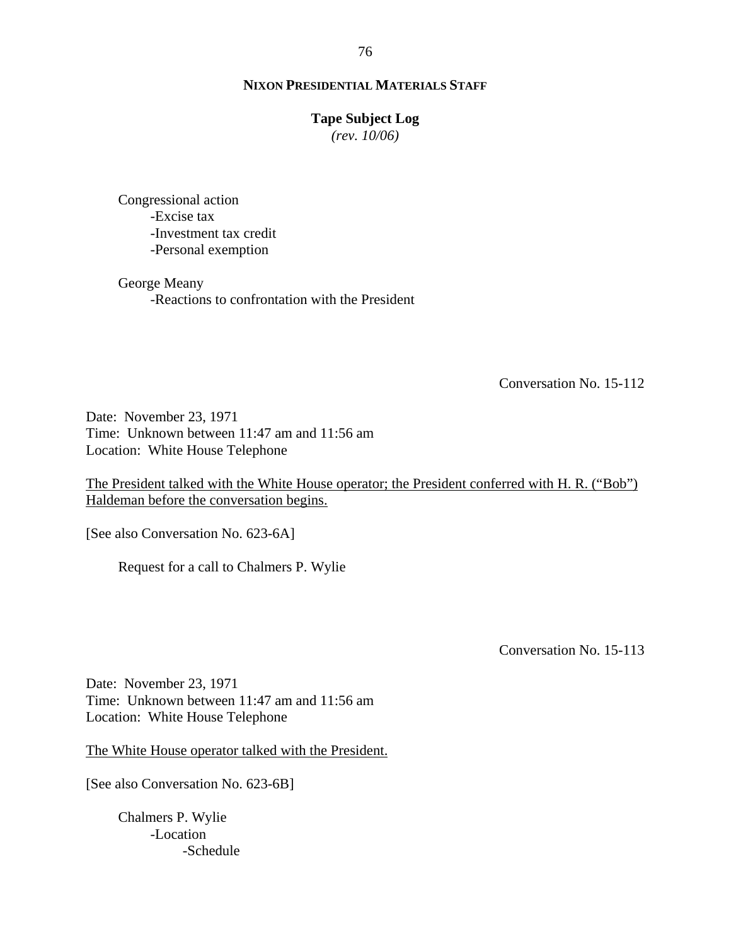## **Tape Subject Log**

*(rev. 10/06)*

Congressional action -Excise tax -Investment tax credit -Personal exemption

George Meany -Reactions to confrontation with the President

Conversation No. 15-112

Date: November 23, 1971 Time: Unknown between 11:47 am and 11:56 am Location: White House Telephone

The President talked with the White House operator; the President conferred with H. R. ("Bob") Haldeman before the conversation begins.

[See also Conversation No. 623-6A]

Request for a call to Chalmers P. Wylie

Conversation No. 15-113

Date: November 23, 1971 Time: Unknown between 11:47 am and 11:56 am Location: White House Telephone

The White House operator talked with the President.

[See also Conversation No. 623-6B]

Chalmers P. Wylie -Location -Schedule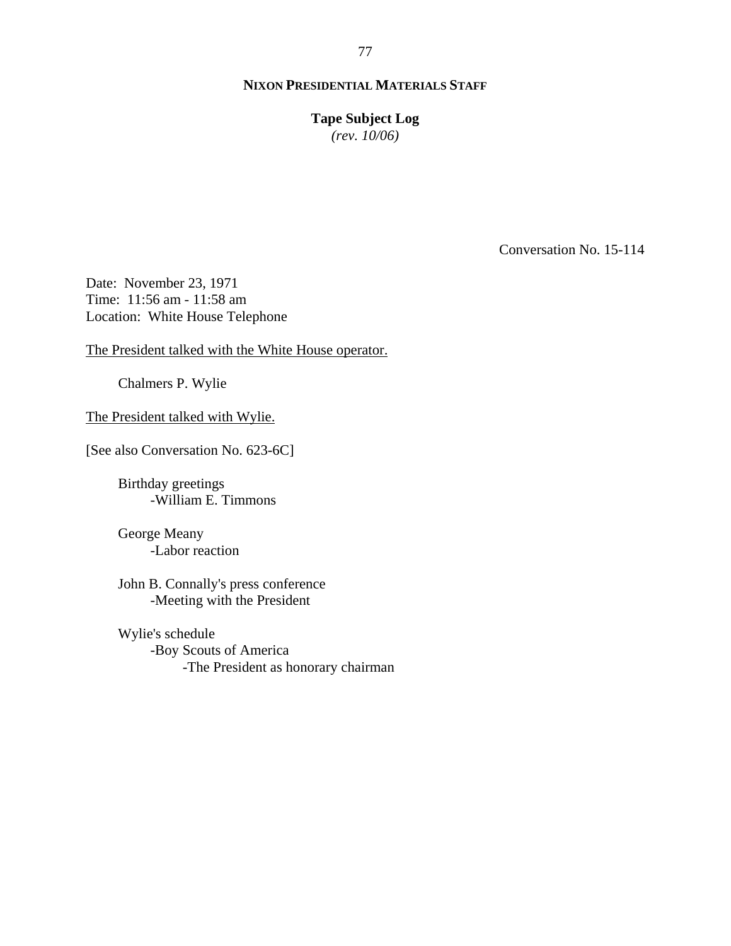**Tape Subject Log**

*(rev. 10/06)*

Conversation No. 15-114

Date: November 23, 1971 Time: 11:56 am - 11:58 am Location: White House Telephone

The President talked with the White House operator.

Chalmers P. Wylie

The President talked with Wylie.

[See also Conversation No. 623-6C]

Birthday greetings -William E. Timmons

George Meany -Labor reaction

John B. Connally's press conference -Meeting with the President

Wylie's schedule -Boy Scouts of America -The President as honorary chairman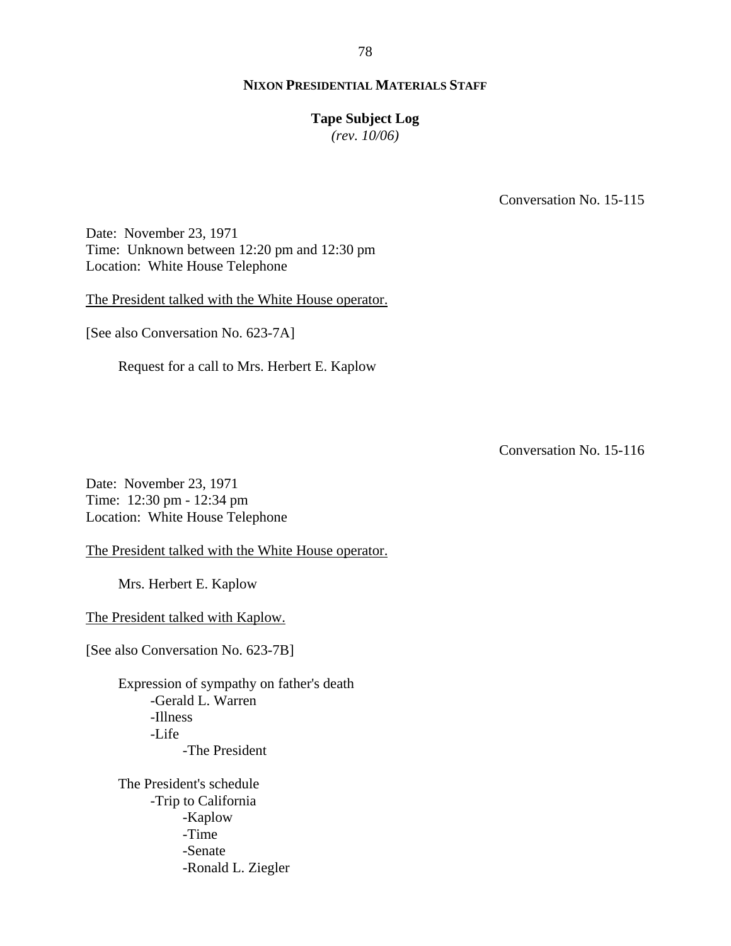## **Tape Subject Log**

*(rev. 10/06)*

Conversation No. 15-115

Date: November 23, 1971 Time: Unknown between 12:20 pm and 12:30 pm Location: White House Telephone

The President talked with the White House operator.

[See also Conversation No. 623-7A]

Request for a call to Mrs. Herbert E. Kaplow

Conversation No. 15-116

Date: November 23, 1971 Time: 12:30 pm - 12:34 pm Location: White House Telephone

The President talked with the White House operator.

Mrs. Herbert E. Kaplow

The President talked with Kaplow.

[See also Conversation No. 623-7B]

Expression of sympathy on father's death -Gerald L. Warren -Illness -Life -The President

The President's schedule -Trip to California -Kaplow -Time -Senate -Ronald L. Ziegler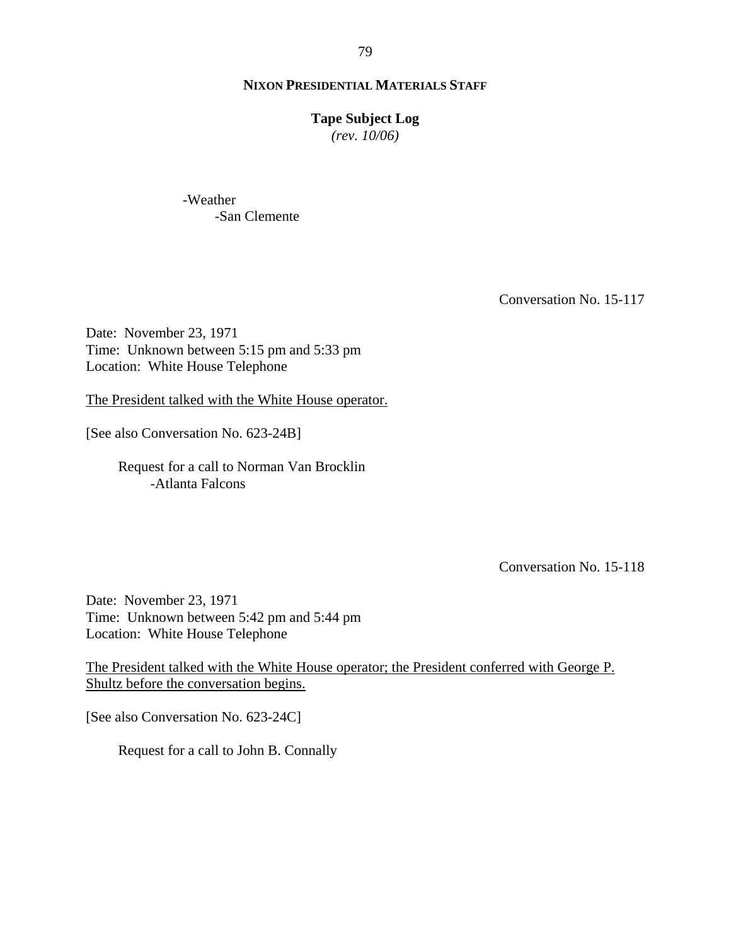#### **Tape Subject Log**

*(rev. 10/06)*

-Weather -San Clemente

Conversation No. 15-117

Date: November 23, 1971 Time: Unknown between 5:15 pm and 5:33 pm Location: White House Telephone

The President talked with the White House operator.

[See also Conversation No. 623-24B]

Request for a call to Norman Van Brocklin -Atlanta Falcons

Conversation No. 15-118

Date: November 23, 1971 Time: Unknown between 5:42 pm and 5:44 pm Location: White House Telephone

The President talked with the White House operator; the President conferred with George P. Shultz before the conversation begins.

[See also Conversation No. 623-24C]

Request for a call to John B. Connally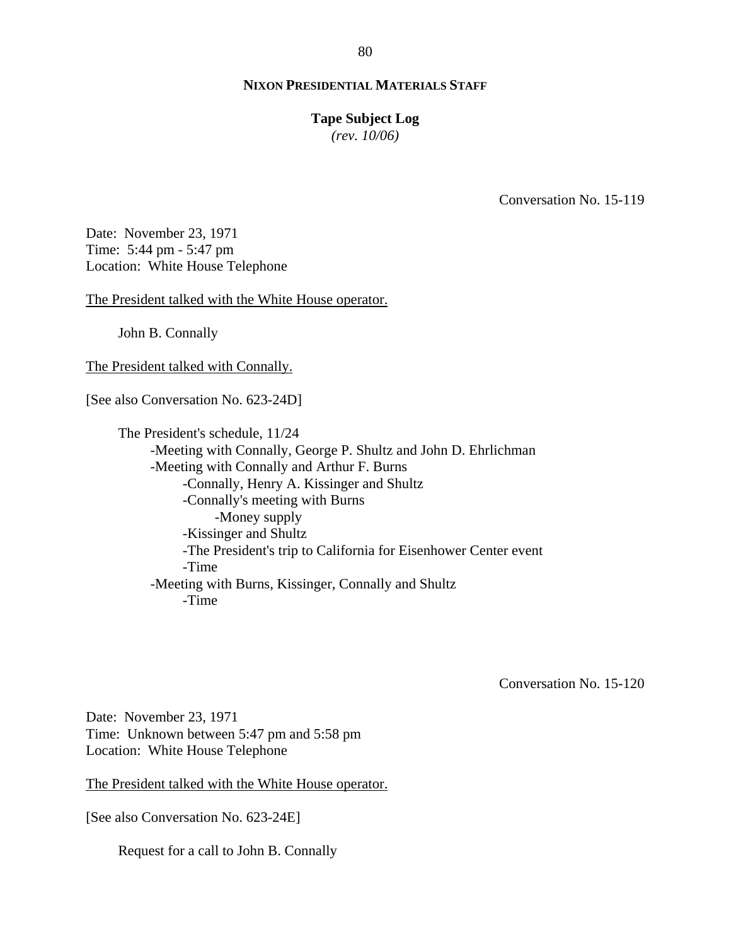#### **Tape Subject Log**

*(rev. 10/06)*

Conversation No. 15-119

Date: November 23, 1971 Time: 5:44 pm - 5:47 pm Location: White House Telephone

The President talked with the White House operator.

John B. Connally

The President talked with Connally.

[See also Conversation No. 623-24D]

The President's schedule, 11/24 -Meeting with Connally, George P. Shultz and John D. Ehrlichman -Meeting with Connally and Arthur F. Burns -Connally, Henry A. Kissinger and Shultz -Connally's meeting with Burns -Money supply -Kissinger and Shultz -The President's trip to California for Eisenhower Center event -Time -Meeting with Burns, Kissinger, Connally and Shultz -Time

Conversation No. 15-120

Date: November 23, 1971 Time: Unknown between 5:47 pm and 5:58 pm Location: White House Telephone

The President talked with the White House operator.

[See also Conversation No. 623-24E]

Request for a call to John B. Connally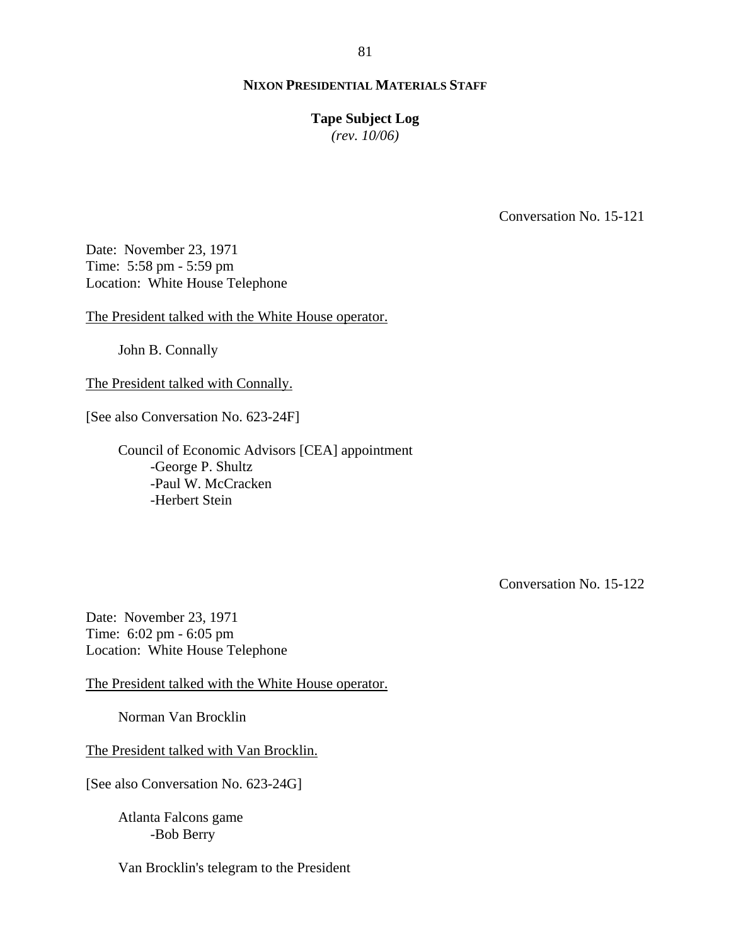# 81

# **NIXON PRESIDENTIAL MATERIALS STAFF**

#### **Tape Subject Log**

*(rev. 10/06)*

Conversation No. 15-121

Date: November 23, 1971 Time: 5:58 pm - 5:59 pm Location: White House Telephone

The President talked with the White House operator.

John B. Connally

The President talked with Connally.

[See also Conversation No. 623-24F]

Council of Economic Advisors [CEA] appointment -George P. Shultz -Paul W. McCracken -Herbert Stein

Conversation No. 15-122

Date: November 23, 1971 Time: 6:02 pm - 6:05 pm Location: White House Telephone

The President talked with the White House operator.

Norman Van Brocklin

The President talked with Van Brocklin.

[See also Conversation No. 623-24G]

Atlanta Falcons game -Bob Berry

Van Brocklin's telegram to the President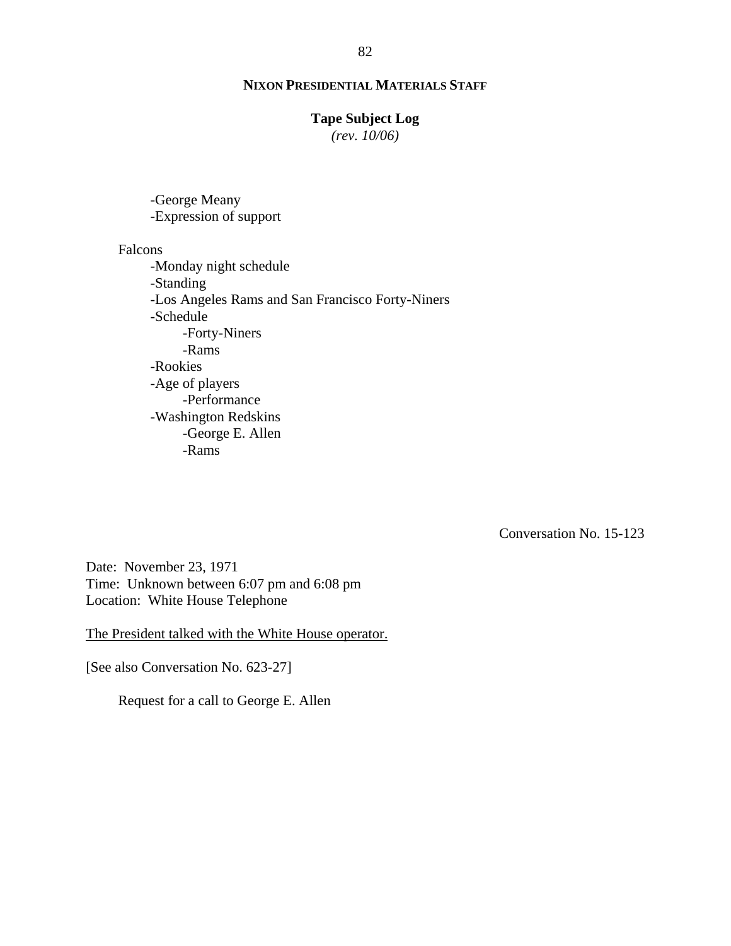## **Tape Subject Log**

*(rev. 10/06)*

-George Meany -Expression of support

Falcons

-Monday night schedule -Standing -Los Angeles Rams and San Francisco Forty-Niners -Schedule -Forty-Niners -Rams -Rookies -Age of players -Performance -Washington Redskins -George E. Allen -Rams

Conversation No. 15-123

Date: November 23, 1971 Time: Unknown between 6:07 pm and 6:08 pm Location: White House Telephone

The President talked with the White House operator.

[See also Conversation No. 623-27]

Request for a call to George E. Allen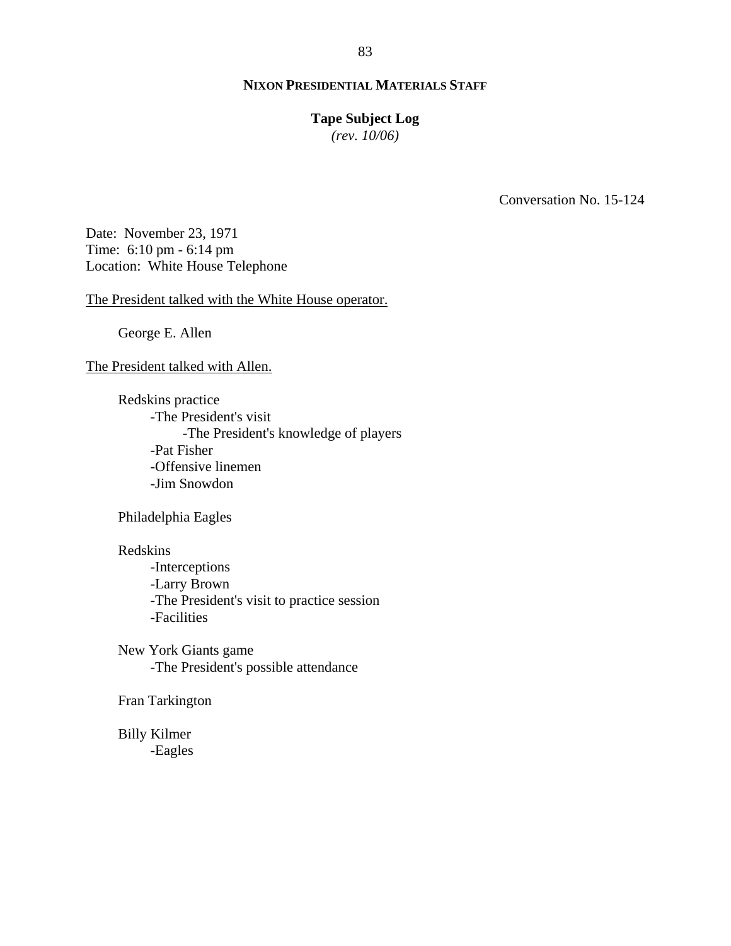# **Tape Subject Log**

*(rev. 10/06)*

Conversation No. 15-124

Date: November 23, 1971 Time: 6:10 pm - 6:14 pm Location: White House Telephone

The President talked with the White House operator.

George E. Allen

The President talked with Allen.

Redskins practice -The President's visit -The President's knowledge of players -Pat Fisher -Offensive linemen -Jim Snowdon

Philadelphia Eagles

Redskins

-Interceptions -Larry Brown -The President's visit to practice session -Facilities

New York Giants game -The President's possible attendance

Fran Tarkington

Billy Kilmer -Eagles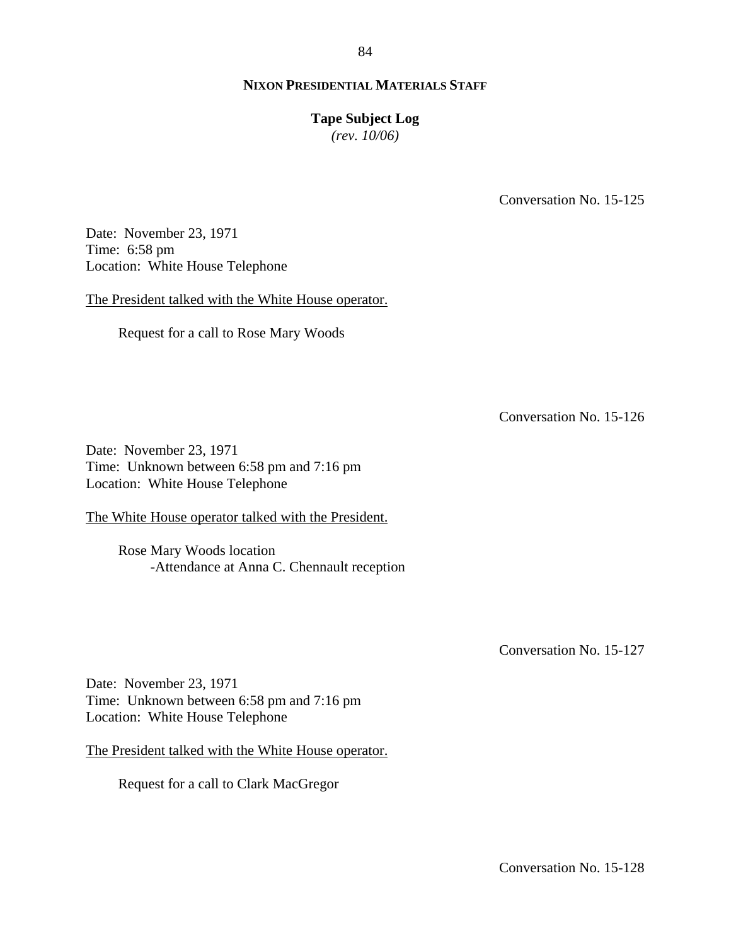## **Tape Subject Log**

*(rev. 10/06)*

Conversation No. 15-125

Date: November 23, 1971 Time: 6:58 pm Location: White House Telephone

The President talked with the White House operator.

Request for a call to Rose Mary Woods

Conversation No. 15-126

Date: November 23, 1971 Time: Unknown between 6:58 pm and 7:16 pm Location: White House Telephone

The White House operator talked with the President.

Rose Mary Woods location -Attendance at Anna C. Chennault reception

Conversation No. 15-127

Date: November 23, 1971 Time: Unknown between 6:58 pm and 7:16 pm Location: White House Telephone

The President talked with the White House operator.

Request for a call to Clark MacGregor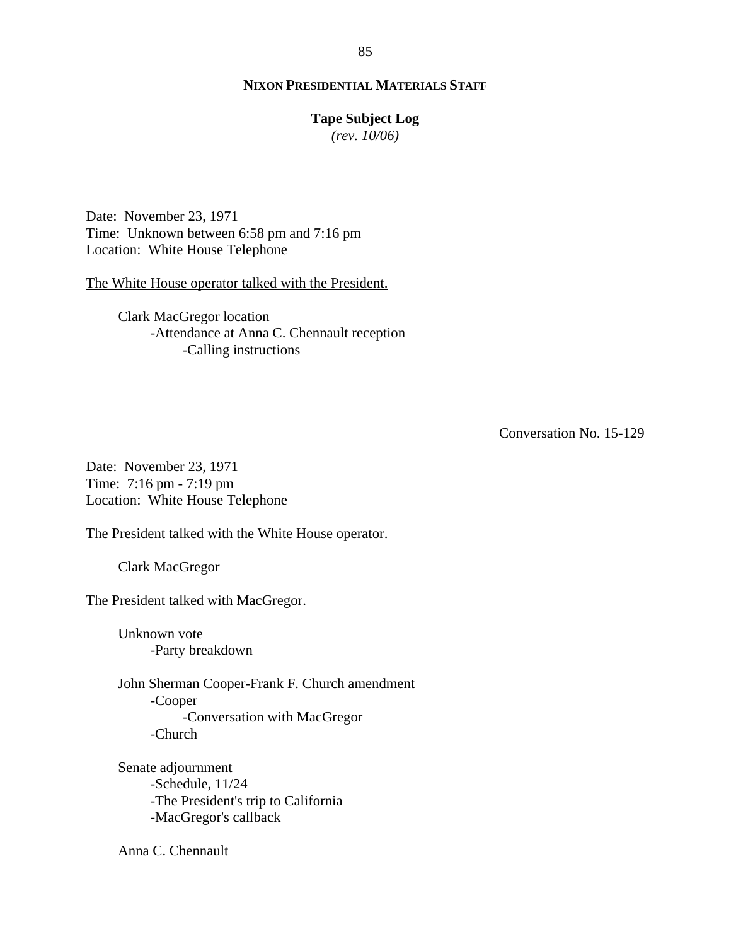#### **Tape Subject Log**

*(rev. 10/06)*

Date: November 23, 1971 Time: Unknown between 6:58 pm and 7:16 pm Location: White House Telephone

The White House operator talked with the President.

Clark MacGregor location -Attendance at Anna C. Chennault reception -Calling instructions

Conversation No. 15-129

Date: November 23, 1971 Time: 7:16 pm - 7:19 pm Location: White House Telephone

The President talked with the White House operator.

Clark MacGregor

The President talked with MacGregor.

Unknown vote -Party breakdown

John Sherman Cooper-Frank F. Church amendment -Cooper -Conversation with MacGregor -Church

Senate adjournment -Schedule, 11/24 -The President's trip to California -MacGregor's callback

Anna C. Chennault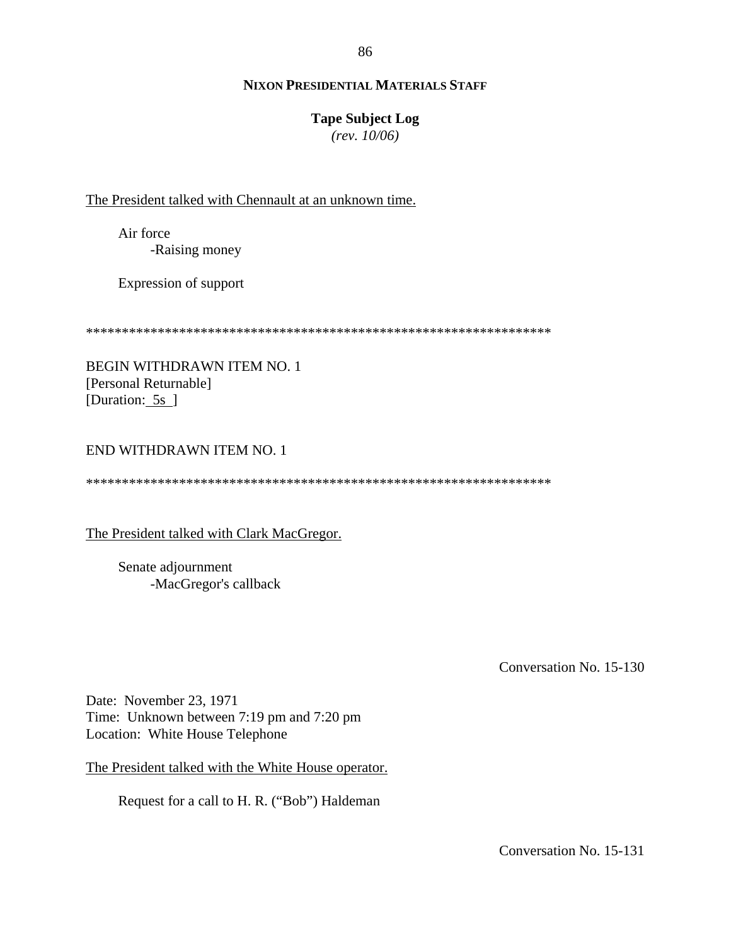86

# **NIXON PRESIDENTIAL MATERIALS STAFF**

# **Tape Subject Log**

*(rev. 10/06)*

The President talked with Chennault at an unknown time.

Air force -Raising money

Expression of support

\*\*\*\*\*\*\*\*\*\*\*\*\*\*\*\*\*\*\*\*\*\*\*\*\*\*\*\*\*\*\*\*\*\*\*\*\*\*\*\*\*\*\*\*\*\*\*\*\*\*\*\*\*\*\*\*\*\*\*\*\*\*\*\*\*

BEGIN WITHDRAWN ITEM NO. 1 [Personal Returnable] [Duration: 5s ]

# END WITHDRAWN ITEM NO. 1

\*\*\*\*\*\*\*\*\*\*\*\*\*\*\*\*\*\*\*\*\*\*\*\*\*\*\*\*\*\*\*\*\*\*\*\*\*\*\*\*\*\*\*\*\*\*\*\*\*\*\*\*\*\*\*\*\*\*\*\*\*\*\*\*\*

The President talked with Clark MacGregor.

Senate adjournment -MacGregor's callback

Conversation No. 15-130

Date: November 23, 1971 Time: Unknown between 7:19 pm and 7:20 pm Location: White House Telephone

The President talked with the White House operator.

Request for a call to H. R. ("Bob") Haldeman

Conversation No. 15-131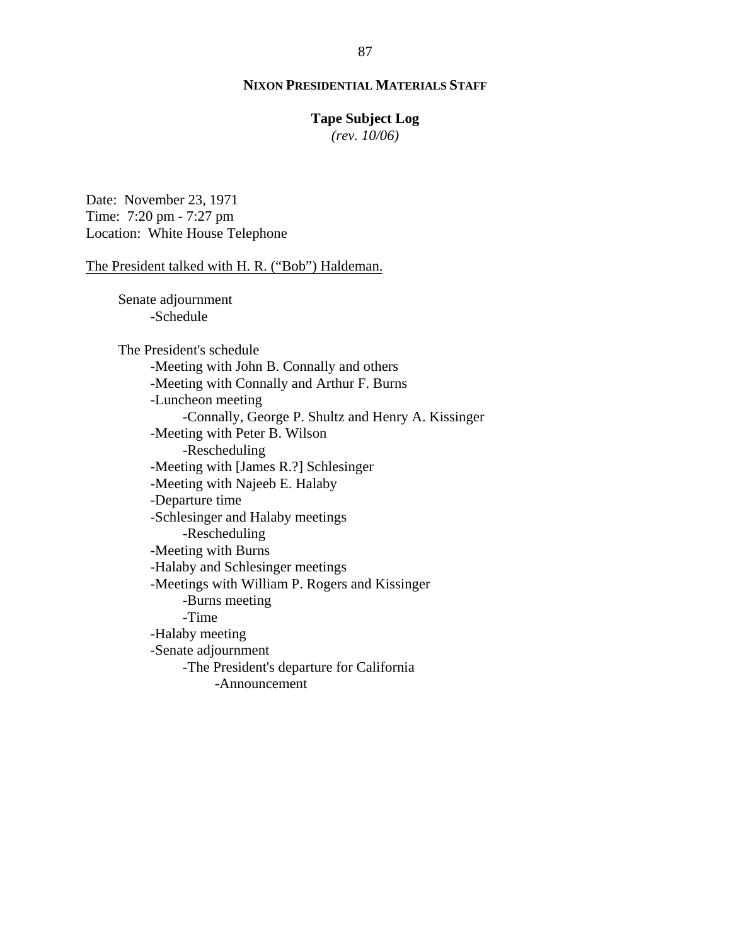# **Tape Subject Log**

*(rev. 10/06)*

Date: November 23, 1971 Time: 7:20 pm - 7:27 pm Location: White House Telephone

#### The President talked with H. R. ("Bob") Haldeman.

Senate adjournment -Schedule

The President's schedule -Meeting with John B. Connally and others -Meeting with Connally and Arthur F. Burns -Luncheon meeting -Connally, George P. Shultz and Henry A. Kissinger -Meeting with Peter B. Wilson -Rescheduling -Meeting with [James R.?] Schlesinger -Meeting with Najeeb E. Halaby -Departure time -Schlesinger and Halaby meetings -Rescheduling -Meeting with Burns -Halaby and Schlesinger meetings -Meetings with William P. Rogers and Kissinger -Burns meeting -Time -Halaby meeting -Senate adjournment -The President's departure for California -Announcement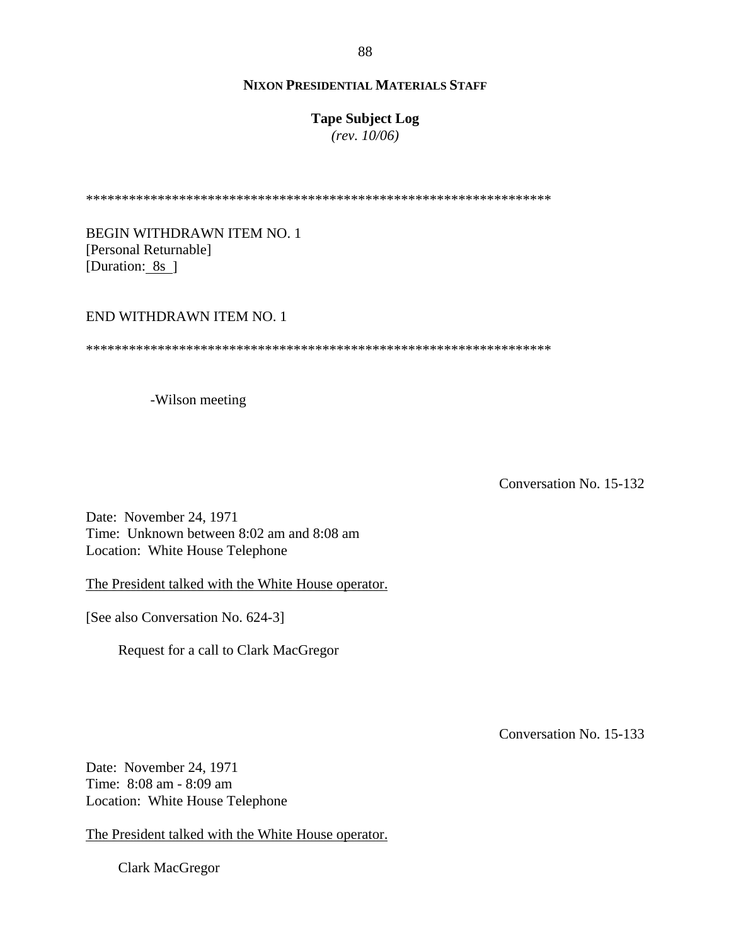# **Tape Subject Log**

*(rev. 10/06)*

\*\*\*\*\*\*\*\*\*\*\*\*\*\*\*\*\*\*\*\*\*\*\*\*\*\*\*\*\*\*\*\*\*\*\*\*\*\*\*\*\*\*\*\*\*\*\*\*\*\*\*\*\*\*\*\*\*\*\*\*\*\*\*\*\*

BEGIN WITHDRAWN ITEM NO. 1 [Personal Returnable] [Duration: 8s ]

#### END WITHDRAWN ITEM NO. 1

\*\*\*\*\*\*\*\*\*\*\*\*\*\*\*\*\*\*\*\*\*\*\*\*\*\*\*\*\*\*\*\*\*\*\*\*\*\*\*\*\*\*\*\*\*\*\*\*\*\*\*\*\*\*\*\*\*\*\*\*\*\*\*\*\*

-Wilson meeting

Conversation No. 15-132

Date: November 24, 1971 Time: Unknown between 8:02 am and 8:08 am Location: White House Telephone

The President talked with the White House operator.

[See also Conversation No. 624-3]

Request for a call to Clark MacGregor

Conversation No. 15-133

Date: November 24, 1971 Time: 8:08 am - 8:09 am Location: White House Telephone

The President talked with the White House operator.

Clark MacGregor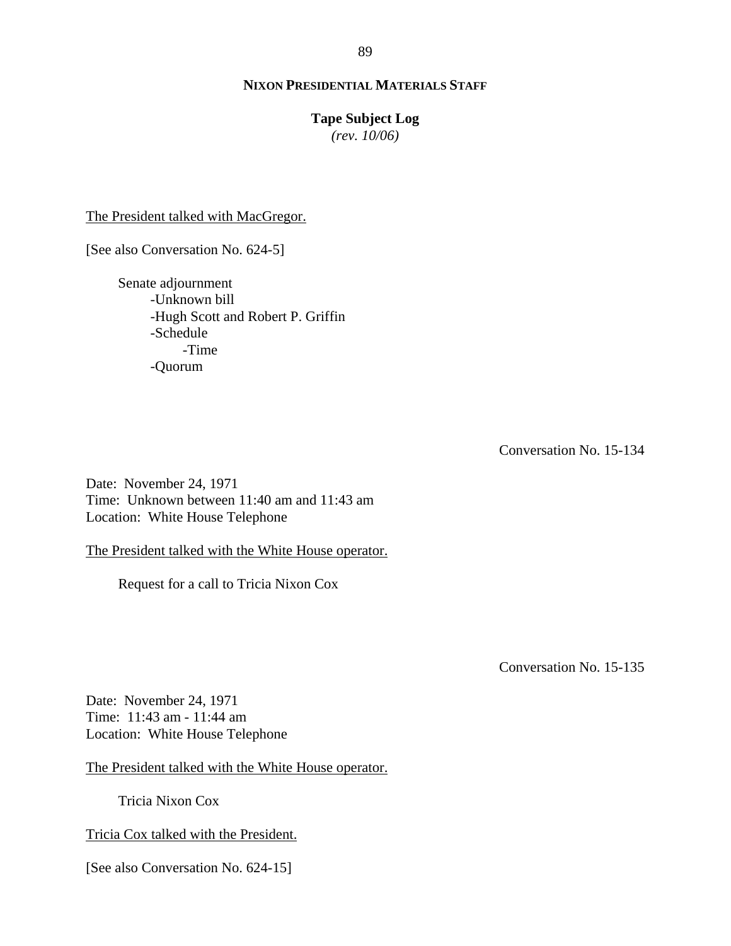#### **Tape Subject Log**

*(rev. 10/06)*

The President talked with MacGregor.

[See also Conversation No. 624-5]

Senate adjournment -Unknown bill -Hugh Scott and Robert P. Griffin -Schedule -Time -Quorum

Conversation No. 15-134

Date: November 24, 1971 Time: Unknown between 11:40 am and 11:43 am Location: White House Telephone

The President talked with the White House operator.

Request for a call to Tricia Nixon Cox

Conversation No. 15-135

Date: November 24, 1971 Time: 11:43 am - 11:44 am Location: White House Telephone

The President talked with the White House operator.

Tricia Nixon Cox

Tricia Cox talked with the President.

[See also Conversation No. 624-15]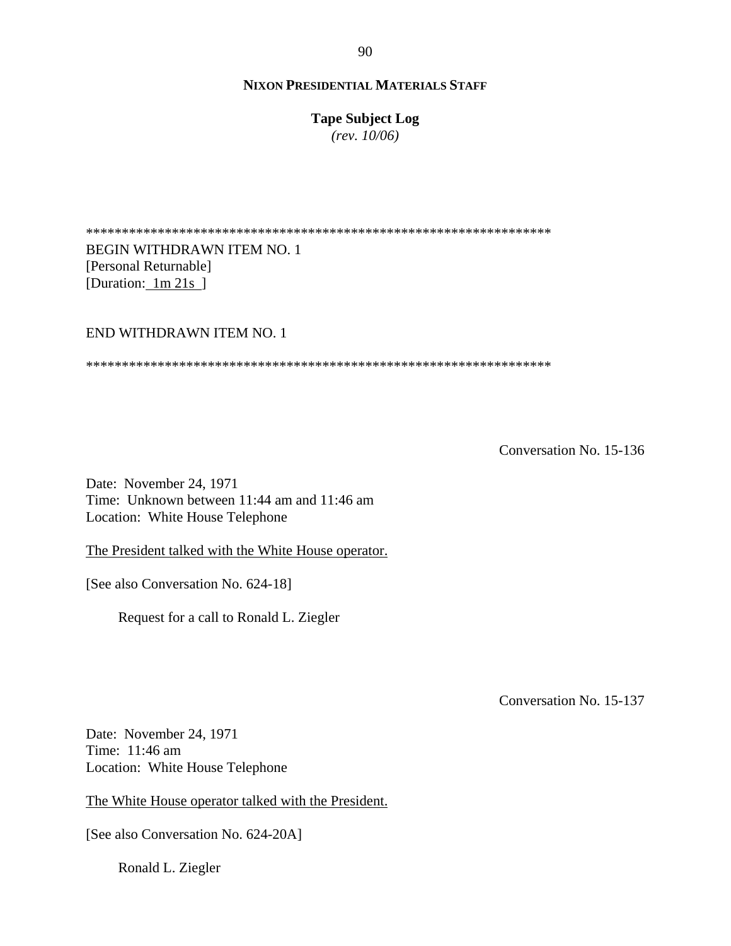**Tape Subject Log**

*(rev. 10/06)*

\*\*\*\*\*\*\*\*\*\*\*\*\*\*\*\*\*\*\*\*\*\*\*\*\*\*\*\*\*\*\*\*\*\*\*\*\*\*\*\*\*\*\*\*\*\*\*\*\*\*\*\*\*\*\*\*\*\*\*\*\*\*\*\*\* BEGIN WITHDRAWN ITEM NO. 1 [Personal Returnable] [Duration: 1m 21s ]

# END WITHDRAWN ITEM NO. 1

\*\*\*\*\*\*\*\*\*\*\*\*\*\*\*\*\*\*\*\*\*\*\*\*\*\*\*\*\*\*\*\*\*\*\*\*\*\*\*\*\*\*\*\*\*\*\*\*\*\*\*\*\*\*\*\*\*\*\*\*\*\*\*\*\*

Conversation No. 15-136

Date: November 24, 1971 Time: Unknown between 11:44 am and 11:46 am Location: White House Telephone

The President talked with the White House operator.

[See also Conversation No. 624-18]

Request for a call to Ronald L. Ziegler

Conversation No. 15-137

Date: November 24, 1971 Time: 11:46 am Location: White House Telephone

The White House operator talked with the President.

[See also Conversation No. 624-20A]

Ronald L. Ziegler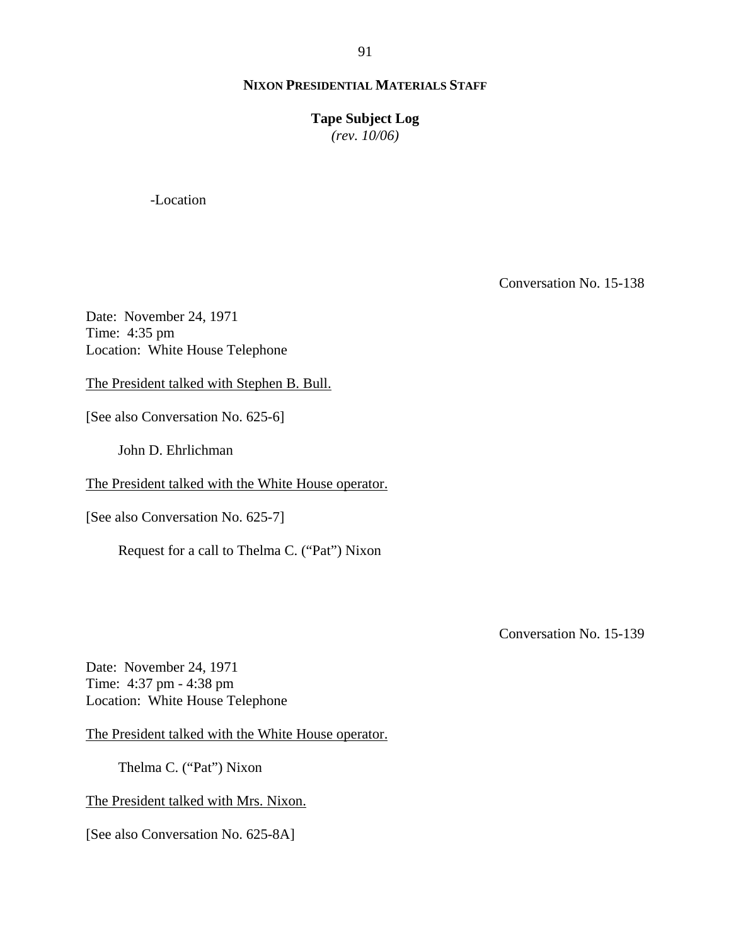# **Tape Subject Log**

*(rev. 10/06)*

-Location

Conversation No. 15-138

Date: November 24, 1971 Time: 4:35 pm Location: White House Telephone

The President talked with Stephen B. Bull.

[See also Conversation No. 625-6]

John D. Ehrlichman

The President talked with the White House operator.

[See also Conversation No. 625-7]

Request for a call to Thelma C. ("Pat") Nixon

Conversation No. 15-139

Date: November 24, 1971 Time: 4:37 pm - 4:38 pm Location: White House Telephone

The President talked with the White House operator.

Thelma C. ("Pat") Nixon

The President talked with Mrs. Nixon.

[See also Conversation No. 625-8A]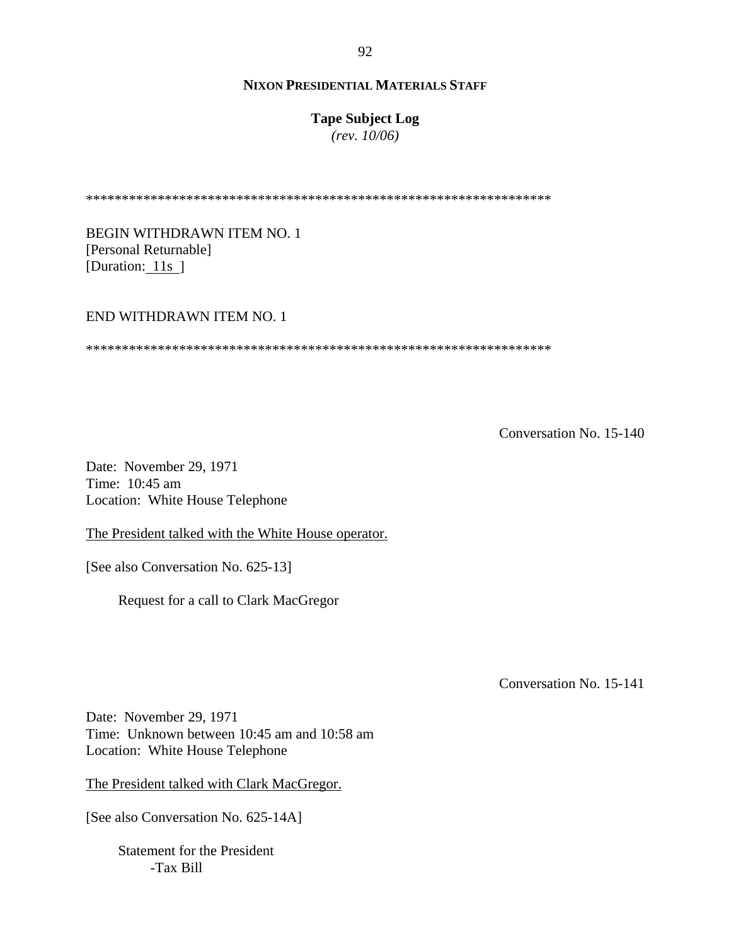# **Tape Subject Log**

*(rev. 10/06)*

\*\*\*\*\*\*\*\*\*\*\*\*\*\*\*\*\*\*\*\*\*\*\*\*\*\*\*\*\*\*\*\*\*\*\*\*\*\*\*\*\*\*\*\*\*\*\*\*\*\*\*\*\*\*\*\*\*\*\*\*\*\*\*\*\*

BEGIN WITHDRAWN ITEM NO. 1 [Personal Returnable] [Duration: 11s]

#### END WITHDRAWN ITEM NO. 1

\*\*\*\*\*\*\*\*\*\*\*\*\*\*\*\*\*\*\*\*\*\*\*\*\*\*\*\*\*\*\*\*\*\*\*\*\*\*\*\*\*\*\*\*\*\*\*\*\*\*\*\*\*\*\*\*\*\*\*\*\*\*\*\*\*

Conversation No. 15-140

Date: November 29, 1971 Time: 10:45 am Location: White House Telephone

The President talked with the White House operator.

[See also Conversation No. 625-13]

Request for a call to Clark MacGregor

Conversation No. 15-141

Date: November 29, 1971 Time: Unknown between 10:45 am and 10:58 am Location: White House Telephone

The President talked with Clark MacGregor.

[See also Conversation No. 625-14A]

Statement for the President -Tax Bill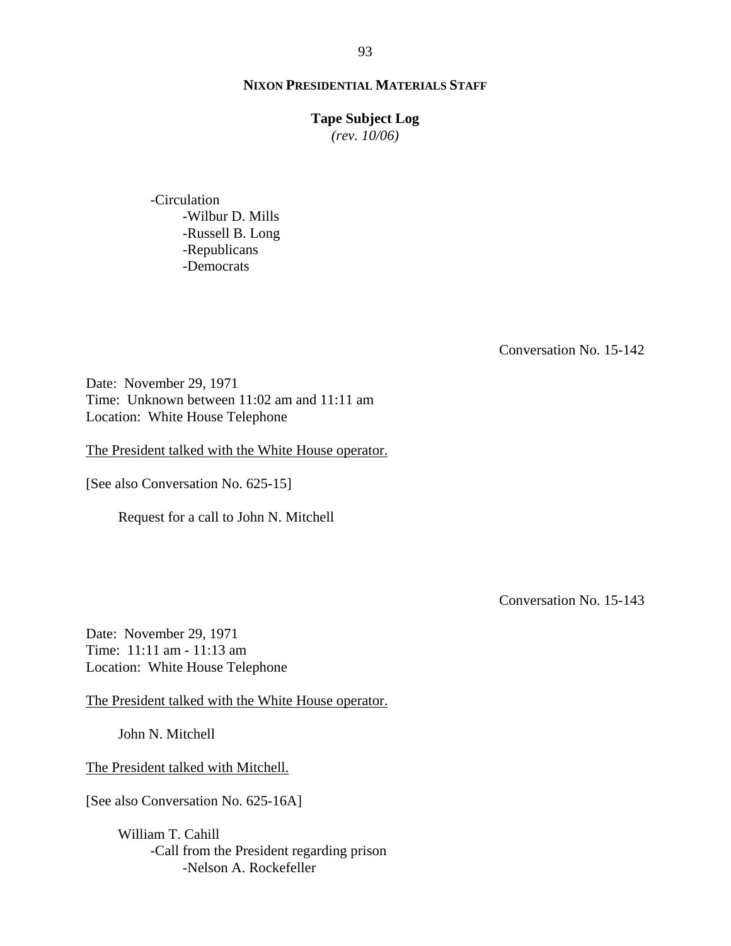# **Tape Subject Log**

*(rev. 10/06)*

-Circulation -Wilbur D. Mills -Russell B. Long -Republicans -Democrats

Conversation No. 15-142

Date: November 29, 1971 Time: Unknown between 11:02 am and 11:11 am Location: White House Telephone

The President talked with the White House operator.

[See also Conversation No. 625-15]

Request for a call to John N. Mitchell

Conversation No. 15-143

Date: November 29, 1971 Time: 11:11 am - 11:13 am Location: White House Telephone

The President talked with the White House operator.

John N. Mitchell

The President talked with Mitchell.

[See also Conversation No. 625-16A]

William T. Cahill -Call from the President regarding prison -Nelson A. Rockefeller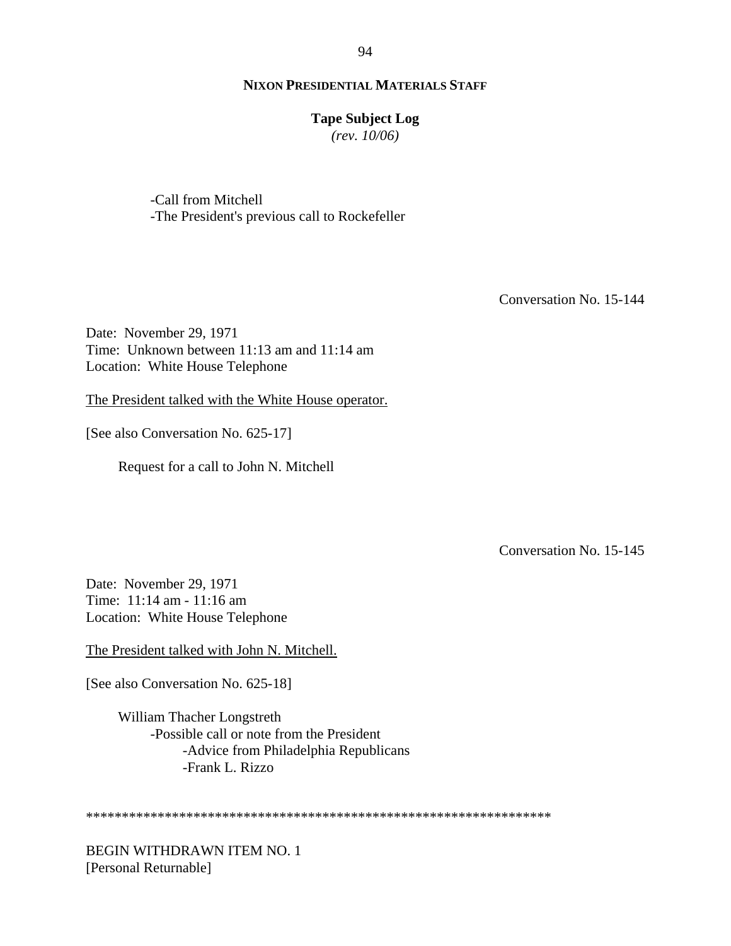#### **Tape Subject Log**

*(rev. 10/06)*

-Call from Mitchell -The President's previous call to Rockefeller

Conversation No. 15-144

Date: November 29, 1971 Time: Unknown between 11:13 am and 11:14 am Location: White House Telephone

The President talked with the White House operator.

[See also Conversation No. 625-17]

Request for a call to John N. Mitchell

Conversation No. 15-145

Date: November 29, 1971 Time: 11:14 am - 11:16 am Location: White House Telephone

The President talked with John N. Mitchell.

[See also Conversation No. 625-18]

William Thacher Longstreth -Possible call or note from the President -Advice from Philadelphia Republicans -Frank L. Rizzo

\*\*\*\*\*\*\*\*\*\*\*\*\*\*\*\*\*\*\*\*\*\*\*\*\*\*\*\*\*\*\*\*\*\*\*\*\*\*\*\*\*\*\*\*\*\*\*\*\*\*\*\*\*\*\*\*\*\*\*\*\*\*\*\*\*

BEGIN WITHDRAWN ITEM NO. 1 [Personal Returnable]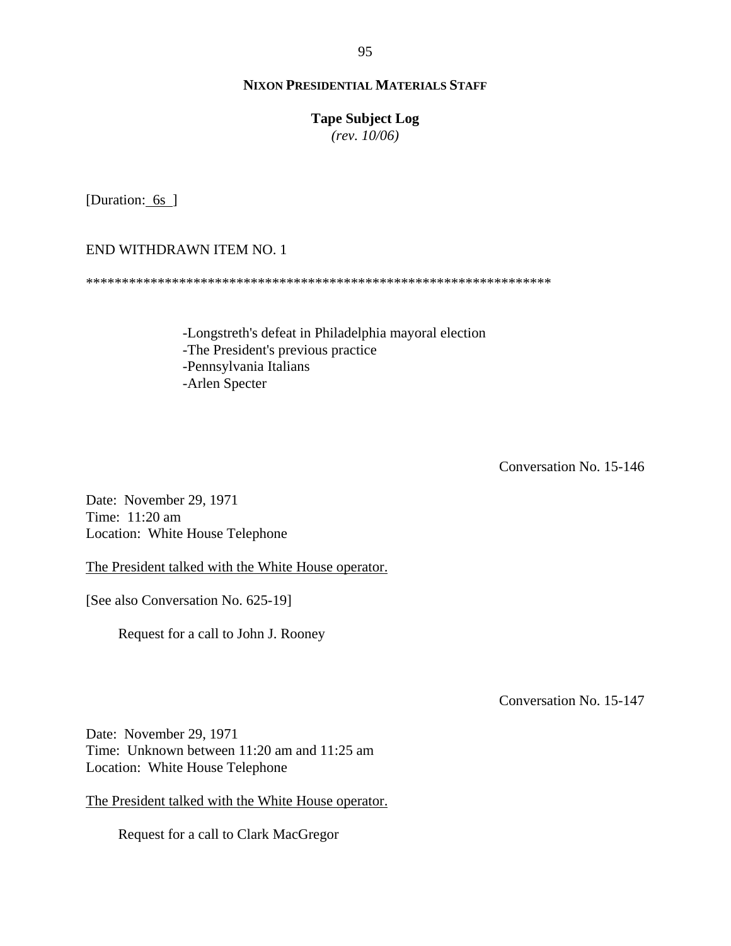# **Tape Subject Log**

*(rev. 10/06)*

[Duration: 6s ]

END WITHDRAWN ITEM NO. 1

\*\*\*\*\*\*\*\*\*\*\*\*\*\*\*\*\*\*\*\*\*\*\*\*\*\*\*\*\*\*\*\*\*\*\*\*\*\*\*\*\*\*\*\*\*\*\*\*\*\*\*\*\*\*\*\*\*\*\*\*\*\*\*\*\*

-Longstreth's defeat in Philadelphia mayoral election -The President's previous practice -Pennsylvania Italians -Arlen Specter

Conversation No. 15-146

Date: November 29, 1971 Time: 11:20 am Location: White House Telephone

The President talked with the White House operator.

[See also Conversation No. 625-19]

Request for a call to John J. Rooney

Conversation No. 15-147

Date: November 29, 1971 Time: Unknown between 11:20 am and 11:25 am Location: White House Telephone

The President talked with the White House operator.

Request for a call to Clark MacGregor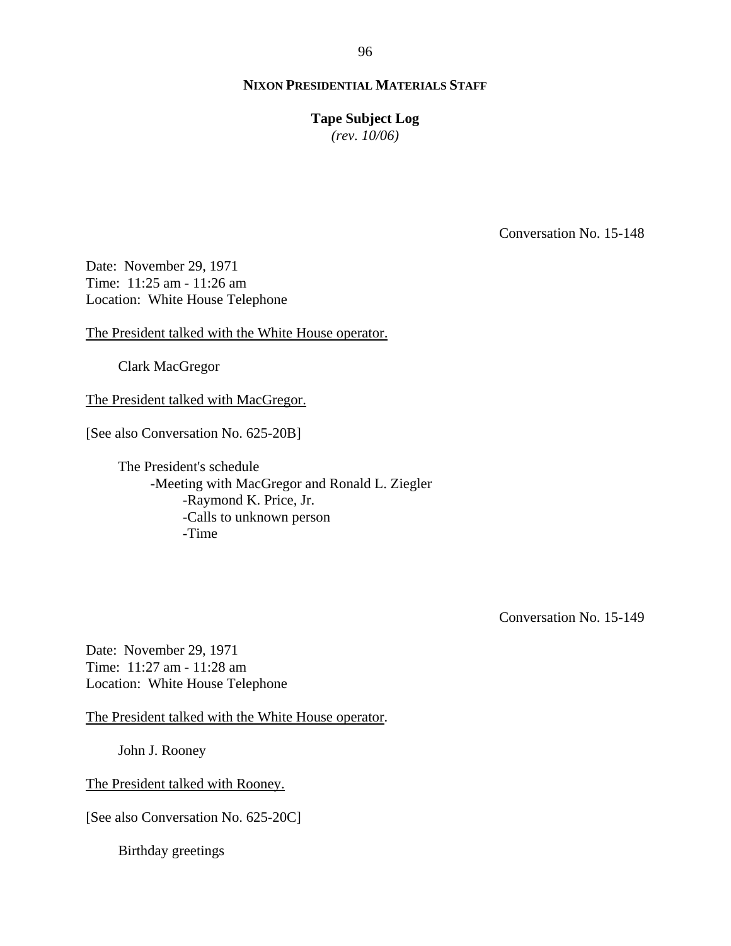# **Tape Subject Log**

*(rev. 10/06)*

Conversation No. 15-148

Date: November 29, 1971 Time: 11:25 am - 11:26 am Location: White House Telephone

The President talked with the White House operator.

Clark MacGregor

The President talked with MacGregor.

[See also Conversation No. 625-20B]

The President's schedule -Meeting with MacGregor and Ronald L. Ziegler -Raymond K. Price, Jr. -Calls to unknown person -Time

Conversation No. 15-149

Date: November 29, 1971 Time: 11:27 am - 11:28 am Location: White House Telephone

The President talked with the White House operator.

John J. Rooney

The President talked with Rooney.

[See also Conversation No. 625-20C]

Birthday greetings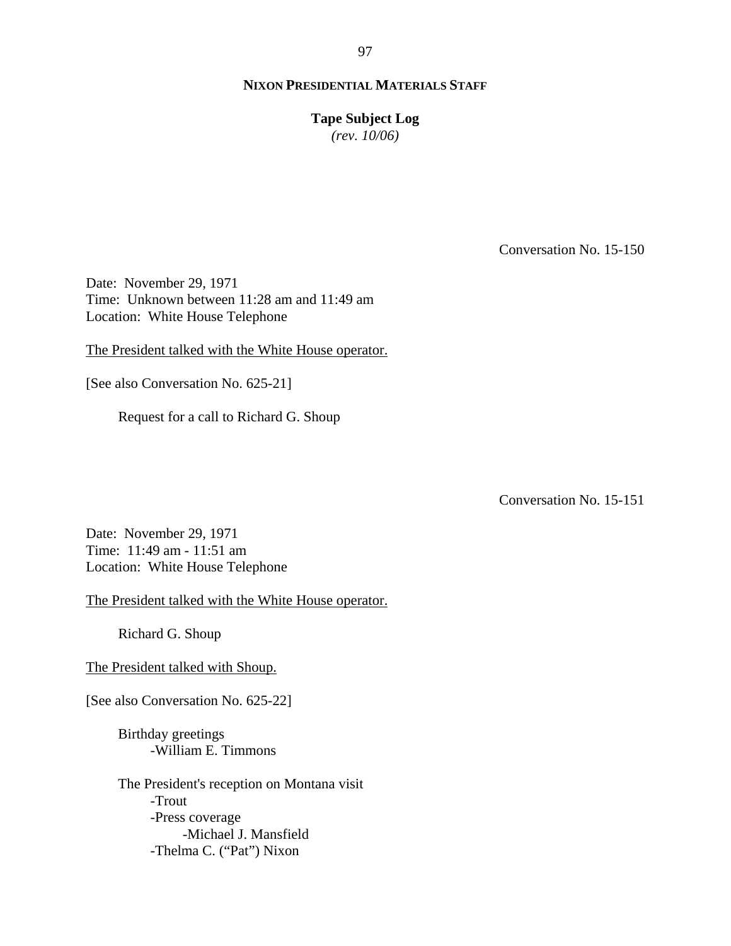**Tape Subject Log**

*(rev. 10/06)*

Conversation No. 15-150

Date: November 29, 1971 Time: Unknown between 11:28 am and 11:49 am Location: White House Telephone

The President talked with the White House operator.

[See also Conversation No. 625-21]

Request for a call to Richard G. Shoup

Conversation No. 15-151

Date: November 29, 1971 Time: 11:49 am - 11:51 am Location: White House Telephone

The President talked with the White House operator.

Richard G. Shoup

The President talked with Shoup.

[See also Conversation No. 625-22]

Birthday greetings -William E. Timmons

The President's reception on Montana visit -Trout -Press coverage -Michael J. Mansfield -Thelma C. ("Pat") Nixon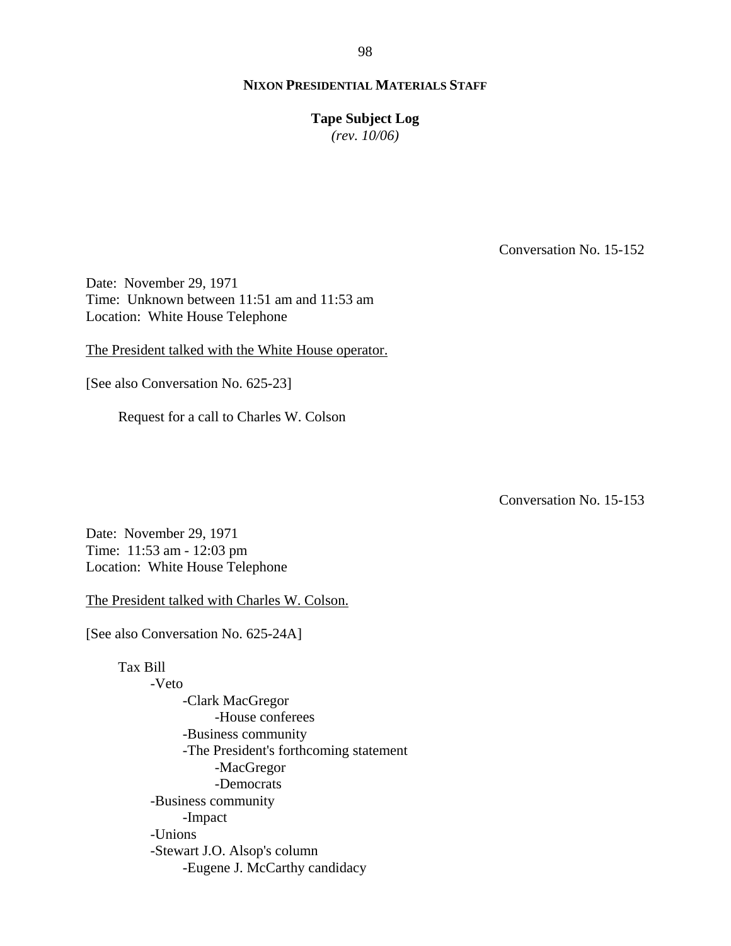**Tape Subject Log**

*(rev. 10/06)*

Conversation No. 15-152

Date: November 29, 1971 Time: Unknown between 11:51 am and 11:53 am Location: White House Telephone

The President talked with the White House operator.

[See also Conversation No. 625-23]

Request for a call to Charles W. Colson

Conversation No. 15-153

Date: November 29, 1971 Time: 11:53 am - 12:03 pm Location: White House Telephone

The President talked with Charles W. Colson.

[See also Conversation No. 625-24A]

Tax Bill -Veto -Clark MacGregor -House conferees -Business community -The President's forthcoming statement -MacGregor -Democrats -Business community -Impact -Unions -Stewart J.O. Alsop's column -Eugene J. McCarthy candidacy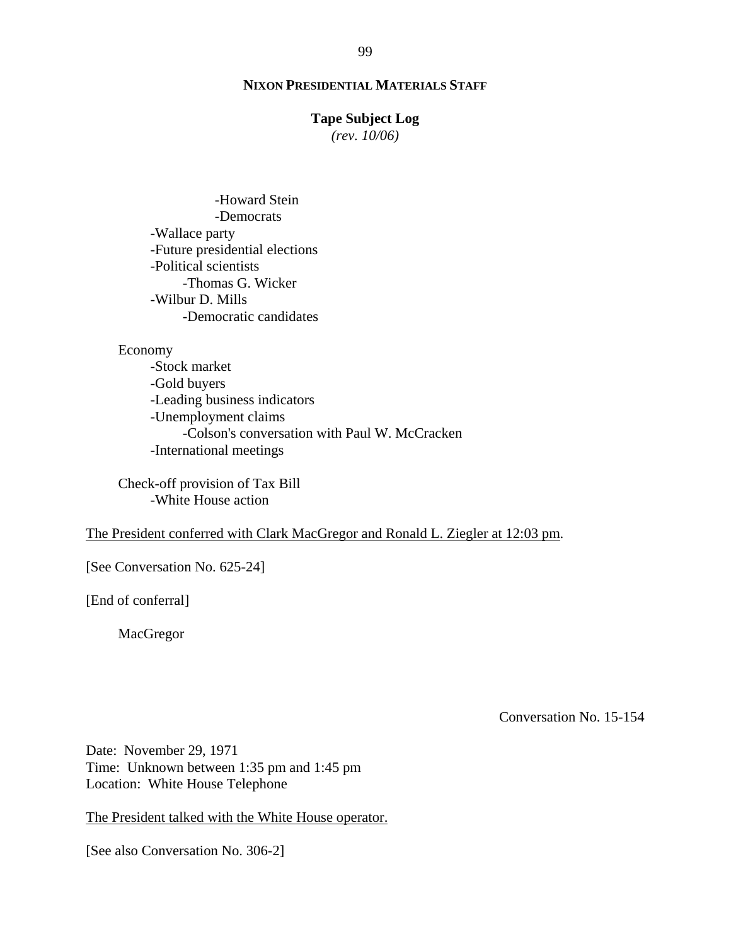#### **Tape Subject Log**

*(rev. 10/06)*

-Howard Stein -Democrats -Wallace party -Future presidential elections -Political scientists -Thomas G. Wicker -Wilbur D. Mills -Democratic candidates

#### Economy

 -Stock market -Gold buyers -Leading business indicators -Unemployment claims -Colson's conversation with Paul W. McCracken -International meetings

Check-off provision of Tax Bill -White House action

# The President conferred with Clark MacGregor and Ronald L. Ziegler at 12:03 pm.

[See Conversation No. 625-24]

[End of conferral]

MacGregor

Conversation No. 15-154

Date: November 29, 1971 Time: Unknown between 1:35 pm and 1:45 pm Location: White House Telephone

The President talked with the White House operator.

[See also Conversation No. 306-2]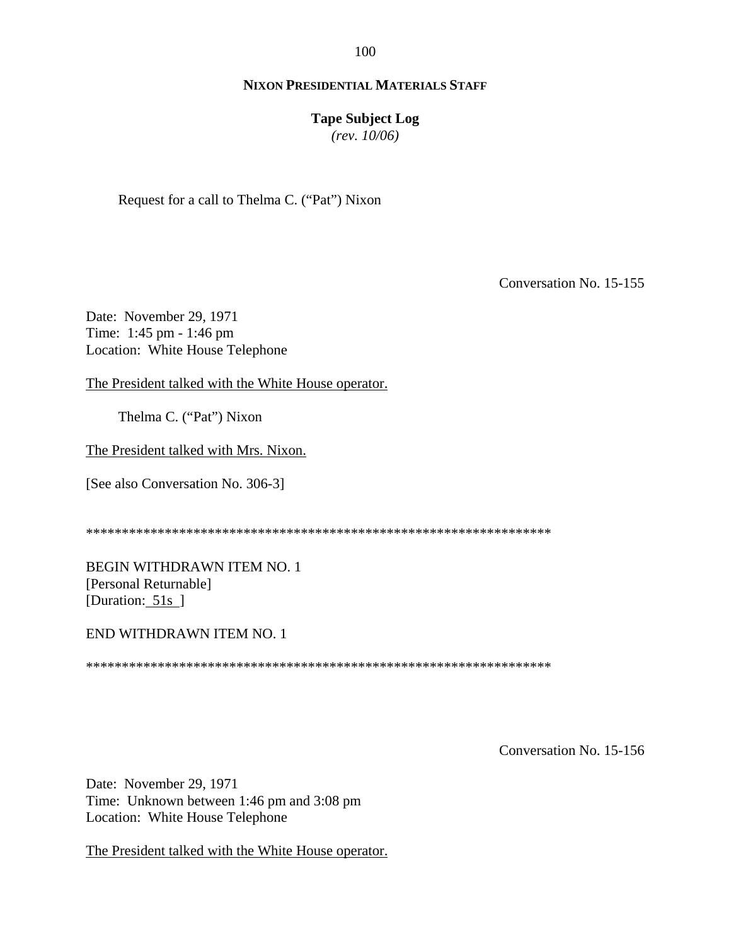100

# **NIXON PRESIDENTIAL MATERIALS STAFF**

#### **Tape Subject Log**

*(rev. 10/06)*

Request for a call to Thelma C. ("Pat") Nixon

Conversation No. 15-155

Date: November 29, 1971 Time: 1:45 pm - 1:46 pm Location: White House Telephone

The President talked with the White House operator.

Thelma C. ("Pat") Nixon

The President talked with Mrs. Nixon.

[See also Conversation No. 306-3]

\*\*\*\*\*\*\*\*\*\*\*\*\*\*\*\*\*\*\*\*\*\*\*\*\*\*\*\*\*\*\*\*\*\*\*\*\*\*\*\*\*\*\*\*\*\*\*\*\*\*\*\*\*\*\*\*\*\*\*\*\*\*\*\*\*

BEGIN WITHDRAWN ITEM NO. 1 [Personal Returnable] [Duration: 51s]

END WITHDRAWN ITEM NO. 1

\*\*\*\*\*\*\*\*\*\*\*\*\*\*\*\*\*\*\*\*\*\*\*\*\*\*\*\*\*\*\*\*\*\*\*\*\*\*\*\*\*\*\*\*\*\*\*\*\*\*\*\*\*\*\*\*\*\*\*\*\*\*\*\*\*

Conversation No. 15-156

Date: November 29, 1971 Time: Unknown between 1:46 pm and 3:08 pm Location: White House Telephone

The President talked with the White House operator.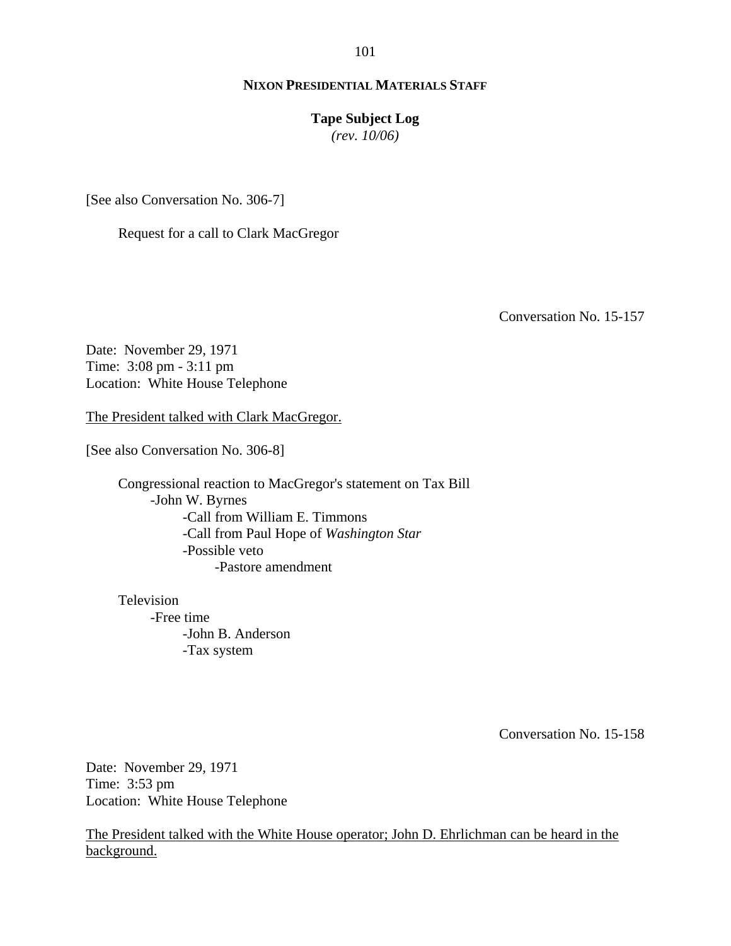#### **Tape Subject Log**

*(rev. 10/06)*

[See also Conversation No. 306-7]

Request for a call to Clark MacGregor

Conversation No. 15-157

Date: November 29, 1971 Time: 3:08 pm - 3:11 pm Location: White House Telephone

The President talked with Clark MacGregor.

[See also Conversation No. 306-8]

Congressional reaction to MacGregor's statement on Tax Bill -John W. Byrnes -Call from William E. Timmons -Call from Paul Hope of *Washington Star* -Possible veto -Pastore amendment

Television -Free time -John B. Anderson -Tax system

Conversation No. 15-158

Date: November 29, 1971 Time: 3:53 pm Location: White House Telephone

The President talked with the White House operator; John D. Ehrlichman can be heard in the background.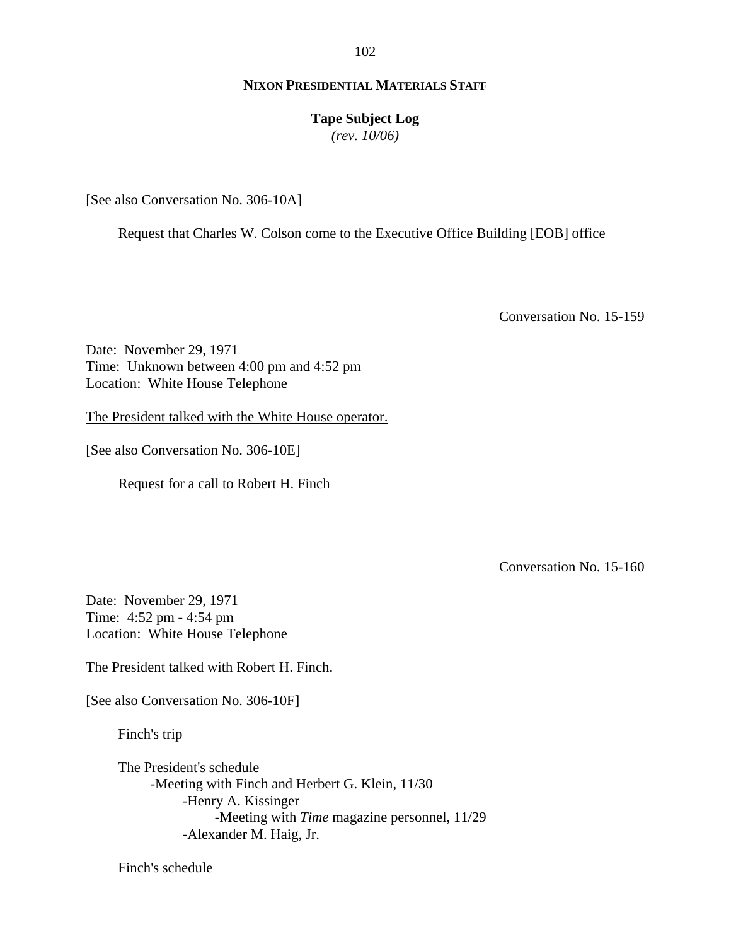**Tape Subject Log**

*(rev. 10/06)*

[See also Conversation No. 306-10A]

Request that Charles W. Colson come to the Executive Office Building [EOB] office

Conversation No. 15-159

Date: November 29, 1971 Time: Unknown between 4:00 pm and 4:52 pm Location: White House Telephone

The President talked with the White House operator.

[See also Conversation No. 306-10E]

Request for a call to Robert H. Finch

Conversation No. 15-160

Date: November 29, 1971 Time: 4:52 pm - 4:54 pm Location: White House Telephone

The President talked with Robert H. Finch.

[See also Conversation No. 306-10F]

Finch's trip

The President's schedule -Meeting with Finch and Herbert G. Klein, 11/30 -Henry A. Kissinger -Meeting with *Time* magazine personnel, 11/29 -Alexander M. Haig, Jr.

Finch's schedule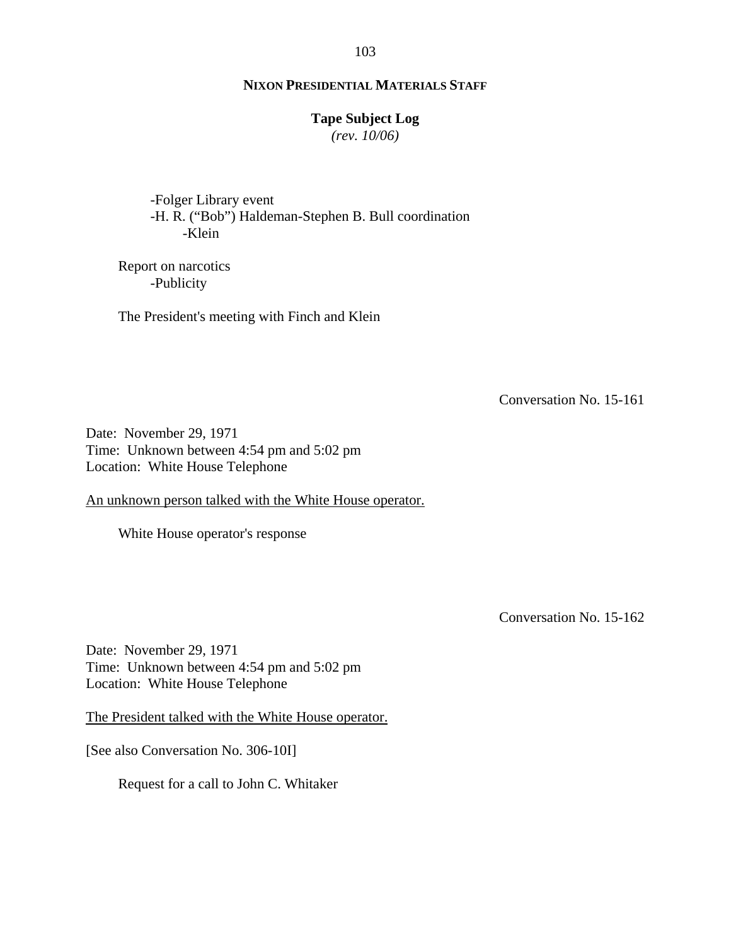## **Tape Subject Log**

*(rev. 10/06)*

-Folger Library event -H. R. ("Bob") Haldeman-Stephen B. Bull coordination -Klein

Report on narcotics -Publicity

The President's meeting with Finch and Klein

Conversation No. 15-161

Date: November 29, 1971 Time: Unknown between 4:54 pm and 5:02 pm Location: White House Telephone

An unknown person talked with the White House operator.

White House operator's response

Conversation No. 15-162

Date: November 29, 1971 Time: Unknown between 4:54 pm and 5:02 pm Location: White House Telephone

The President talked with the White House operator.

[See also Conversation No. 306-10I]

Request for a call to John C. Whitaker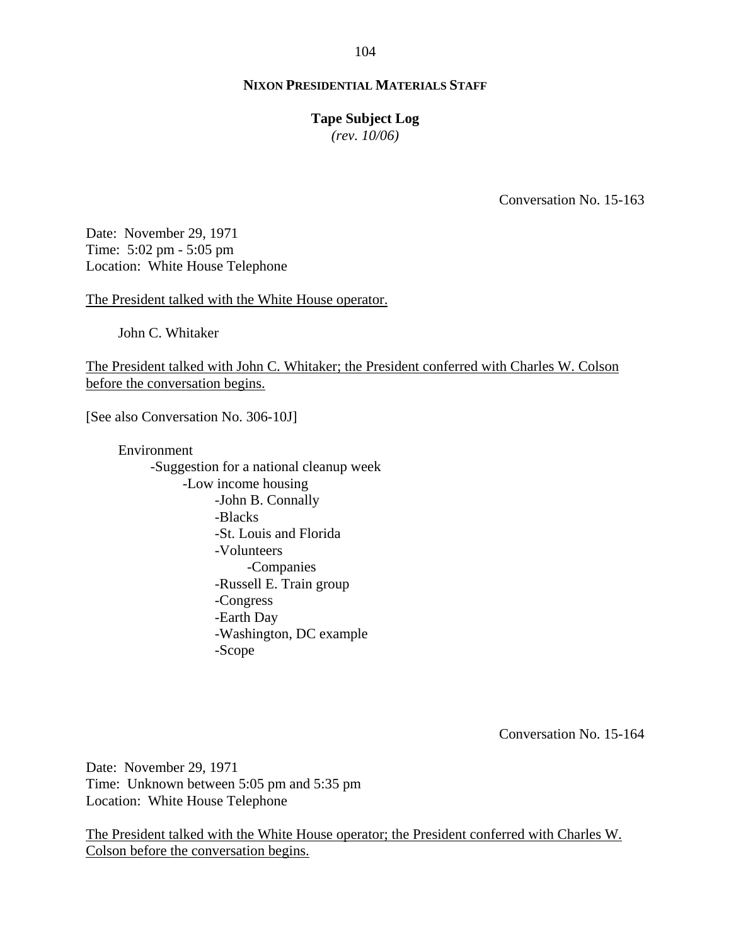#### **Tape Subject Log**

*(rev. 10/06)*

Conversation No. 15-163

Date: November 29, 1971 Time: 5:02 pm - 5:05 pm Location: White House Telephone

The President talked with the White House operator.

John C. Whitaker

The President talked with John C. Whitaker; the President conferred with Charles W. Colson before the conversation begins.

[See also Conversation No. 306-10J]

Environment -Suggestion for a national cleanup week -Low income housing -John B. Connally -Blacks -St. Louis and Florida -Volunteers -Companies -Russell E. Train group -Congress -Earth Day -Washington, DC example -Scope

Conversation No. 15-164

Date: November 29, 1971 Time: Unknown between 5:05 pm and 5:35 pm Location: White House Telephone

The President talked with the White House operator; the President conferred with Charles W. Colson before the conversation begins.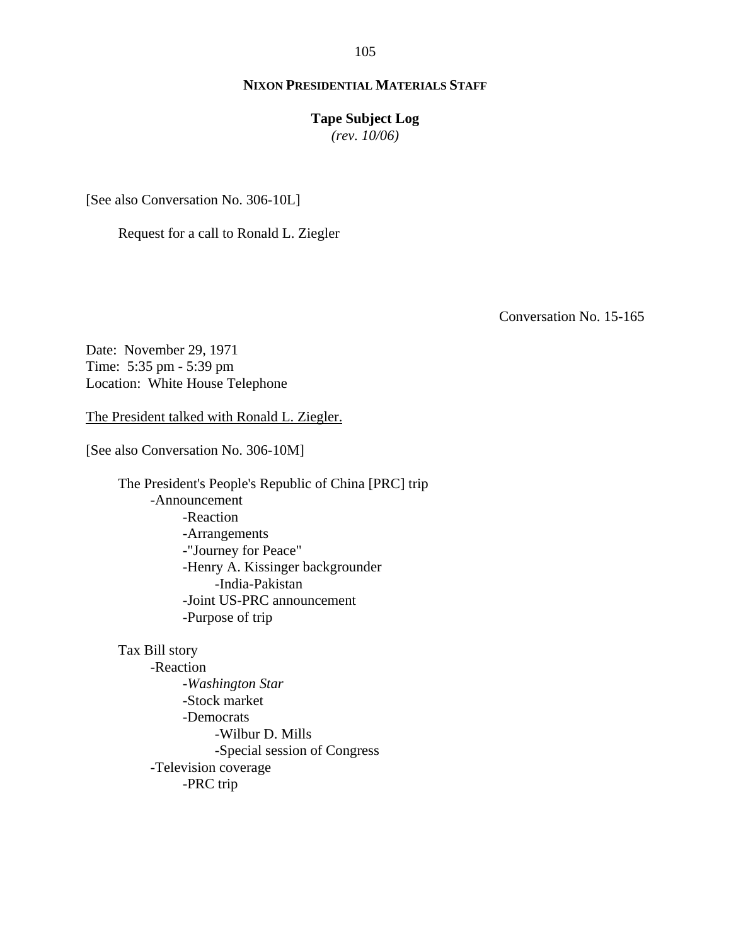## **Tape Subject Log**

*(rev. 10/06)*

[See also Conversation No. 306-10L]

Request for a call to Ronald L. Ziegler

Conversation No. 15-165

Date: November 29, 1971 Time: 5:35 pm - 5:39 pm Location: White House Telephone

The President talked with Ronald L. Ziegler.

[See also Conversation No. 306-10M]

The President's People's Republic of China [PRC] trip -Announcement -Reaction -Arrangements -"Journey for Peace" -Henry A. Kissinger backgrounder -India-Pakistan -Joint US-PRC announcement -Purpose of trip

Tax Bill story -Reaction -*Washington Star* -Stock market -Democrats -Wilbur D. Mills -Special session of Congress -Television coverage -PRC trip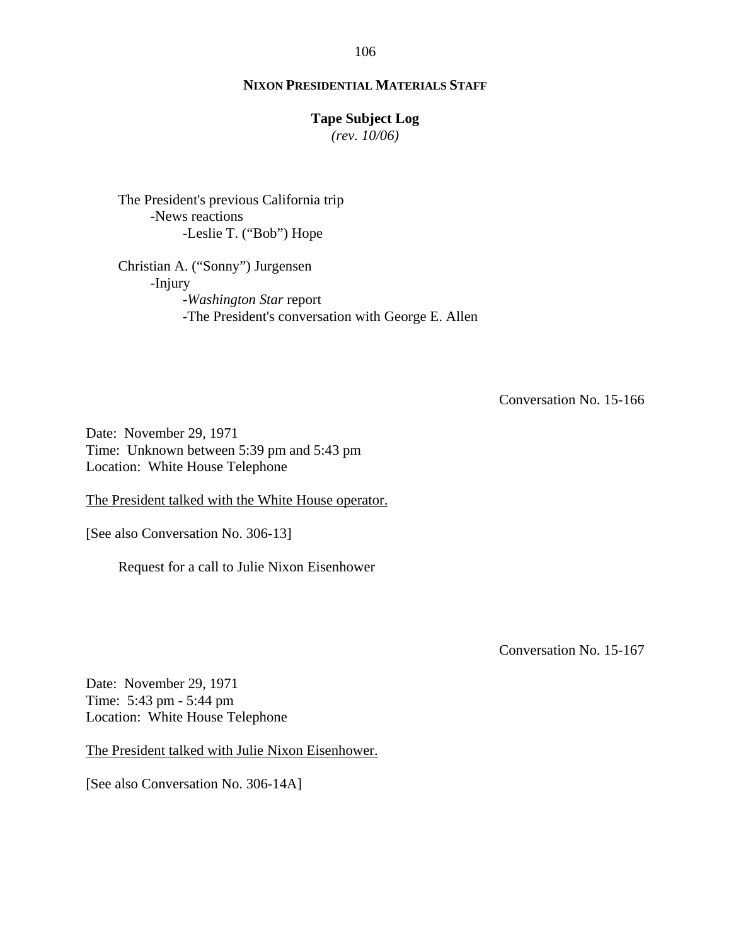# **Tape Subject Log**

*(rev. 10/06)*

The President's previous California trip -News reactions -Leslie T. ("Bob") Hope

Christian A. ("Sonny") Jurgensen -Injury -*Washington Star* report -The President's conversation with George E. Allen

Conversation No. 15-166

Date: November 29, 1971 Time: Unknown between 5:39 pm and 5:43 pm Location: White House Telephone

The President talked with the White House operator.

[See also Conversation No. 306-13]

Request for a call to Julie Nixon Eisenhower

Conversation No. 15-167

Date: November 29, 1971 Time: 5:43 pm - 5:44 pm Location: White House Telephone

The President talked with Julie Nixon Eisenhower.

[See also Conversation No. 306-14A]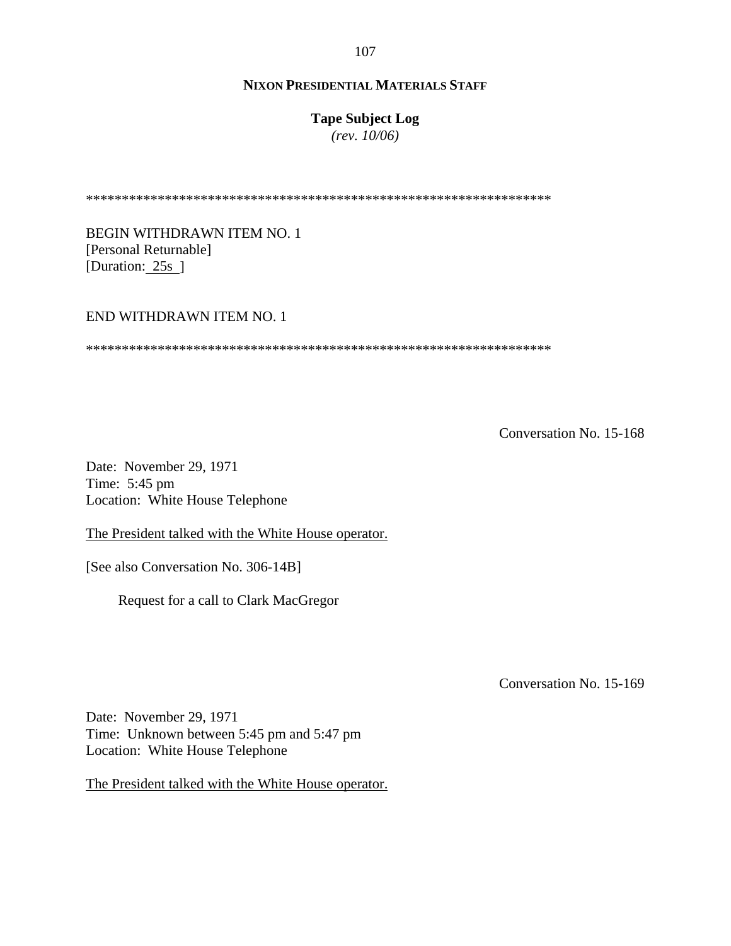# **Tape Subject Log**

*(rev. 10/06)*

\*\*\*\*\*\*\*\*\*\*\*\*\*\*\*\*\*\*\*\*\*\*\*\*\*\*\*\*\*\*\*\*\*\*\*\*\*\*\*\*\*\*\*\*\*\*\*\*\*\*\*\*\*\*\*\*\*\*\*\*\*\*\*\*\*

BEGIN WITHDRAWN ITEM NO. 1 [Personal Returnable] [Duration: 25s ]

#### END WITHDRAWN ITEM NO. 1

\*\*\*\*\*\*\*\*\*\*\*\*\*\*\*\*\*\*\*\*\*\*\*\*\*\*\*\*\*\*\*\*\*\*\*\*\*\*\*\*\*\*\*\*\*\*\*\*\*\*\*\*\*\*\*\*\*\*\*\*\*\*\*\*\*

Conversation No. 15-168

Date: November 29, 1971 Time: 5:45 pm Location: White House Telephone

The President talked with the White House operator.

[See also Conversation No. 306-14B]

Request for a call to Clark MacGregor

Conversation No. 15-169

Date: November 29, 1971 Time: Unknown between 5:45 pm and 5:47 pm Location: White House Telephone

The President talked with the White House operator.

107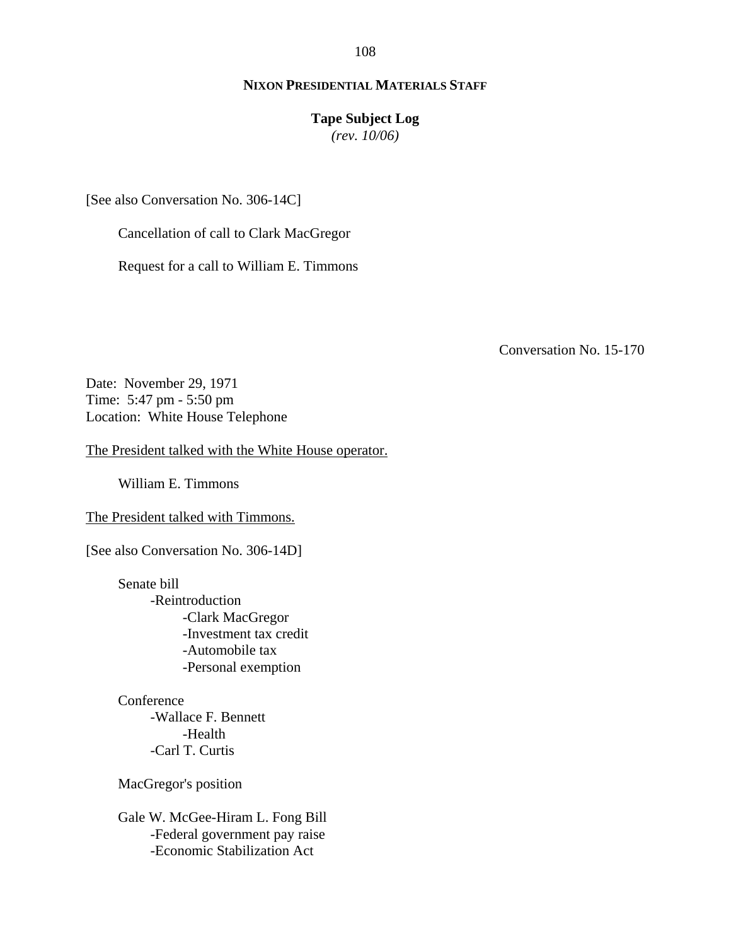108

# **NIXON PRESIDENTIAL MATERIALS STAFF**

## **Tape Subject Log**

*(rev. 10/06)*

[See also Conversation No. 306-14C]

Cancellation of call to Clark MacGregor

Request for a call to William E. Timmons

Conversation No. 15-170

Date: November 29, 1971 Time: 5:47 pm - 5:50 pm Location: White House Telephone

The President talked with the White House operator.

William E. Timmons

The President talked with Timmons.

[See also Conversation No. 306-14D]

Senate bill -Reintroduction -Clark MacGregor -Investment tax credit -Automobile tax -Personal exemption

**Conference** -Wallace F. Bennett -Health -Carl T. Curtis

MacGregor's position

Gale W. McGee-Hiram L. Fong Bill -Federal government pay raise -Economic Stabilization Act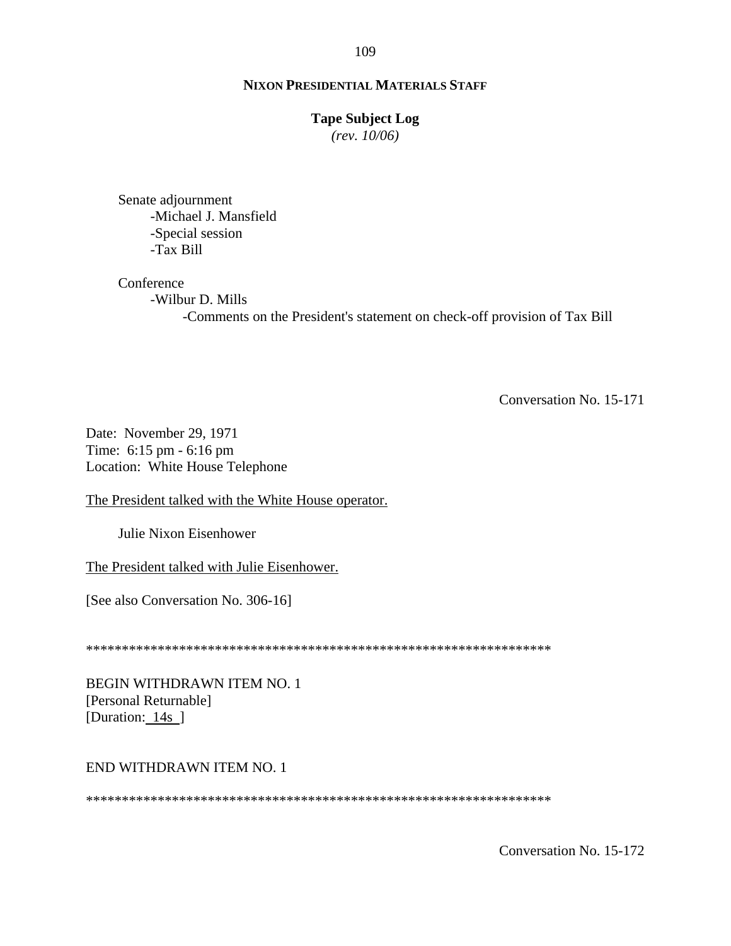### **Tape Subject Log**

*(rev. 10/06)*

Senate adjournment -Michael J. Mansfield -Special session -Tax Bill

### Conference

-Wilbur D. Mills -Comments on the President's statement on check-off provision of Tax Bill

Conversation No. 15-171

Date: November 29, 1971 Time: 6:15 pm - 6:16 pm Location: White House Telephone

The President talked with the White House operator.

Julie Nixon Eisenhower

The President talked with Julie Eisenhower.

[See also Conversation No. 306-16]

\*\*\*\*\*\*\*\*\*\*\*\*\*\*\*\*\*\*\*\*\*\*\*\*\*\*\*\*\*\*\*\*\*\*\*\*\*\*\*\*\*\*\*\*\*\*\*\*\*\*\*\*\*\*\*\*\*\*\*\*\*\*\*\*\*

BEGIN WITHDRAWN ITEM NO. 1 [Personal Returnable] [Duration: 14s]

### END WITHDRAWN ITEM NO. 1

\*\*\*\*\*\*\*\*\*\*\*\*\*\*\*\*\*\*\*\*\*\*\*\*\*\*\*\*\*\*\*\*\*\*\*\*\*\*\*\*\*\*\*\*\*\*\*\*\*\*\*\*\*\*\*\*\*\*\*\*\*\*\*\*\*

Conversation No. 15-172

#### 109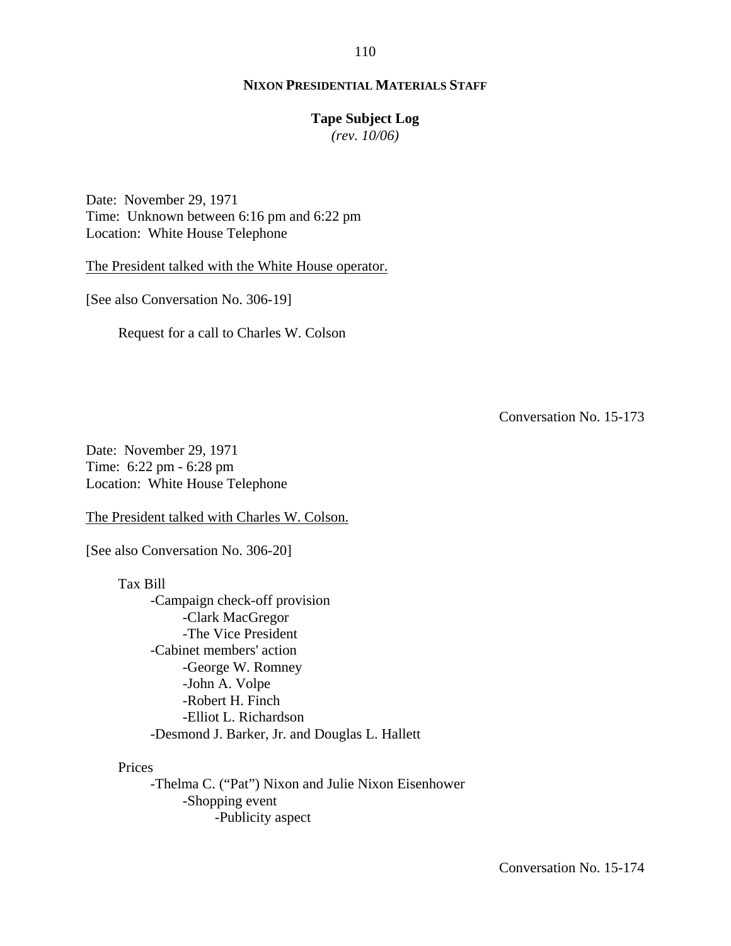### **NIXON PRESIDENTIAL MATERIALS STAFF**

## **Tape Subject Log**

*(rev. 10/06)*

Date: November 29, 1971 Time: Unknown between 6:16 pm and 6:22 pm Location: White House Telephone

The President talked with the White House operator.

[See also Conversation No. 306-19]

Request for a call to Charles W. Colson

Conversation No. 15-173

Date: November 29, 1971 Time: 6:22 pm - 6:28 pm Location: White House Telephone

The President talked with Charles W. Colson.

[See also Conversation No. 306-20]

Tax Bill -Campaign check-off provision -Clark MacGregor -The Vice President -Cabinet members' action -George W. Romney -John A. Volpe -Robert H. Finch -Elliot L. Richardson -Desmond J. Barker, Jr. and Douglas L. Hallett

Prices

-Thelma C. ("Pat") Nixon and Julie Nixon Eisenhower -Shopping event -Publicity aspect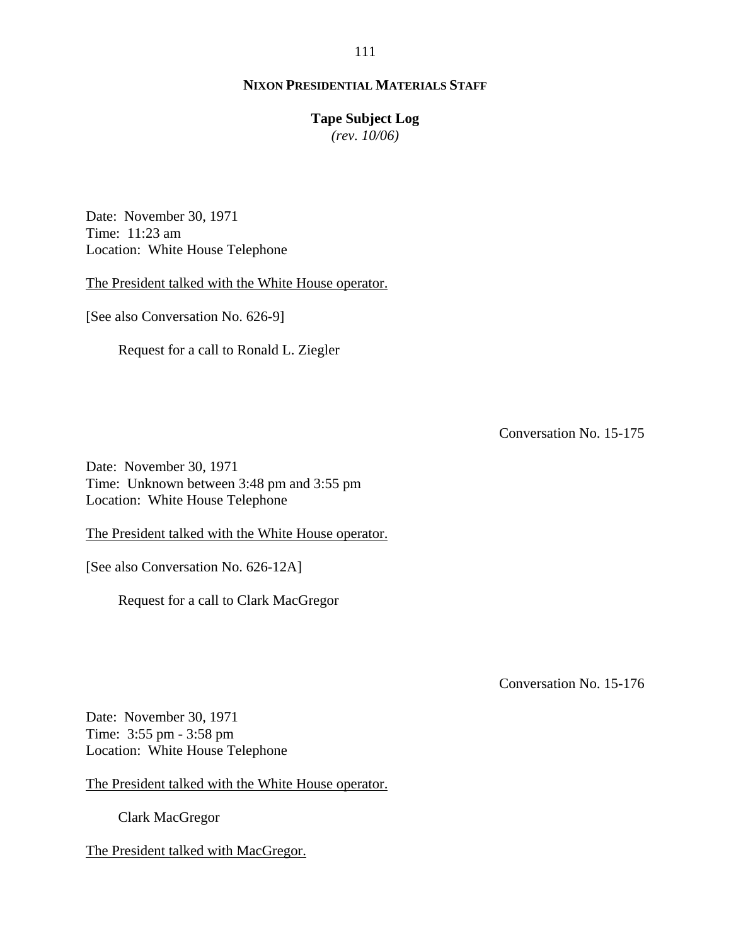## **Tape Subject Log**

*(rev. 10/06)*

Date: November 30, 1971 Time: 11:23 am Location: White House Telephone

The President talked with the White House operator.

[See also Conversation No. 626-9]

Request for a call to Ronald L. Ziegler

Conversation No. 15-175

Date: November 30, 1971 Time: Unknown between 3:48 pm and 3:55 pm Location: White House Telephone

The President talked with the White House operator.

[See also Conversation No. 626-12A]

Request for a call to Clark MacGregor

Conversation No. 15-176

Date: November 30, 1971 Time: 3:55 pm - 3:58 pm Location: White House Telephone

The President talked with the White House operator.

Clark MacGregor

The President talked with MacGregor.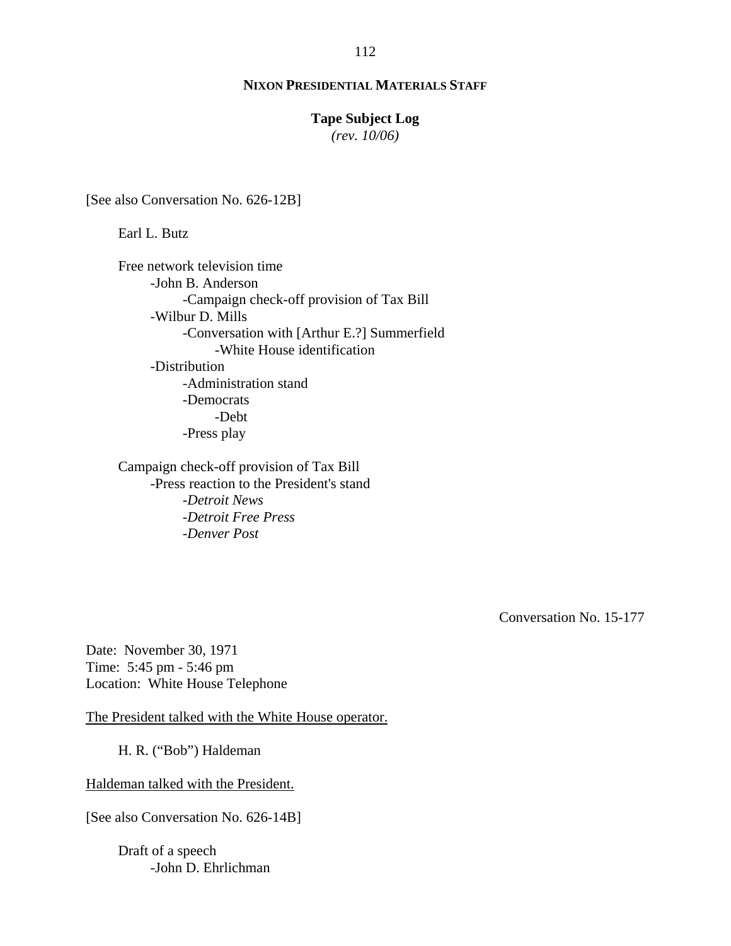## **NIXON PRESIDENTIAL MATERIALS STAFF**

## **Tape Subject Log**

*(rev. 10/06)*

[See also Conversation No. 626-12B]

Earl L. Butz

Free network television time -John B. Anderson -Campaign check-off provision of Tax Bill -Wilbur D. Mills -Conversation with [Arthur E.?] Summerfield -White House identification -Distribution -Administration stand -Democrats -Debt -Press play

Campaign check-off provision of Tax Bill -Press reaction to the President's stand -*Detroit News* -*Detroit Free Press* -*Denver Post*

Conversation No. 15-177

Date: November 30, 1971 Time: 5:45 pm - 5:46 pm Location: White House Telephone

The President talked with the White House operator.

H. R. ("Bob") Haldeman

Haldeman talked with the President.

[See also Conversation No. 626-14B]

Draft of a speech -John D. Ehrlichman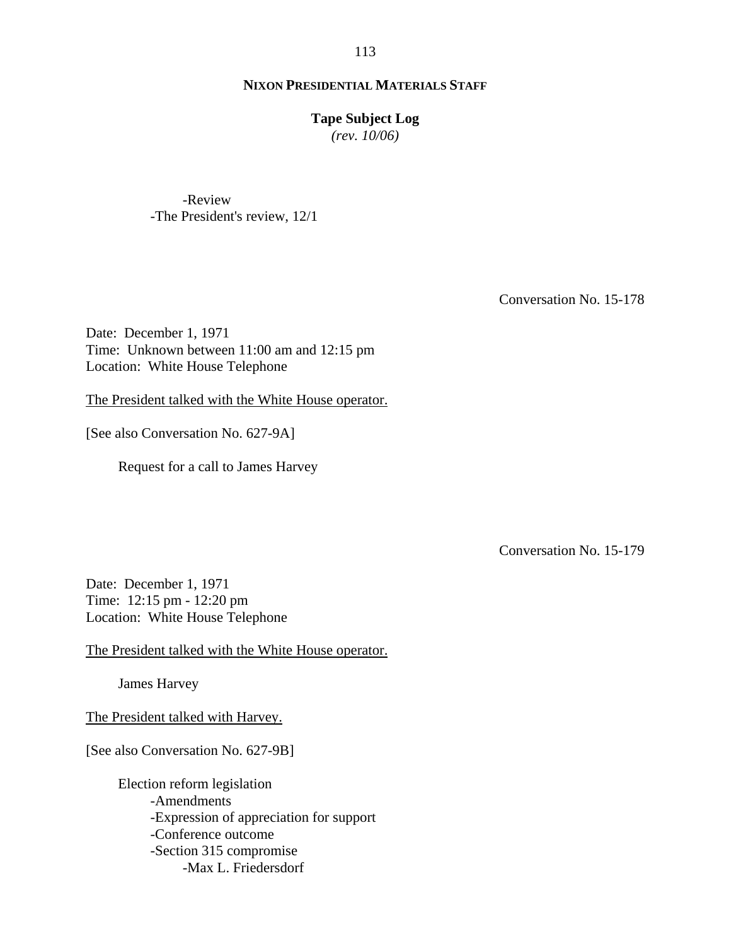### **NIXON PRESIDENTIAL MATERIALS STAFF**

### **Tape Subject Log**

*(rev. 10/06)*

-Review -The President's review, 12/1

Conversation No. 15-178

Date: December 1, 1971 Time: Unknown between 11:00 am and 12:15 pm Location: White House Telephone

The President talked with the White House operator.

[See also Conversation No. 627-9A]

Request for a call to James Harvey

Conversation No. 15-179

Date: December 1, 1971 Time: 12:15 pm - 12:20 pm Location: White House Telephone

The President talked with the White House operator.

James Harvey

The President talked with Harvey.

[See also Conversation No. 627-9B]

Election reform legislation -Amendments -Expression of appreciation for support -Conference outcome -Section 315 compromise -Max L. Friedersdorf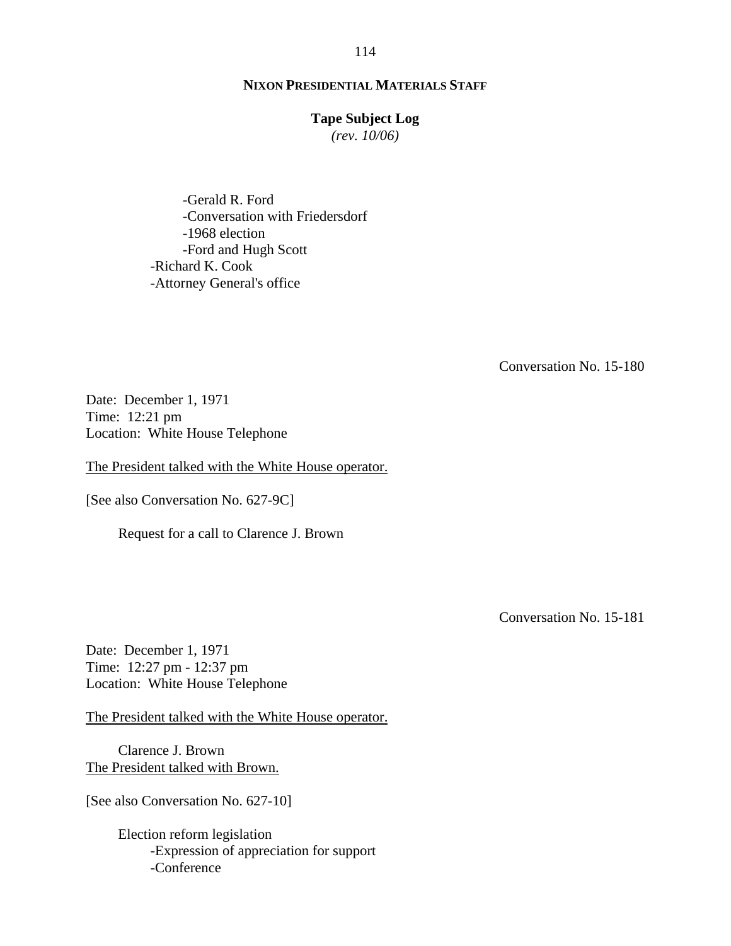### **Tape Subject Log**

*(rev. 10/06)*

-Gerald R. Ford -Conversation with Friedersdorf -1968 election -Ford and Hugh Scott -Richard K. Cook -Attorney General's office

Conversation No. 15-180

Date: December 1, 1971 Time: 12:21 pm Location: White House Telephone

The President talked with the White House operator.

[See also Conversation No. 627-9C]

Request for a call to Clarence J. Brown

Conversation No. 15-181

Date: December 1, 1971 Time: 12:27 pm - 12:37 pm Location: White House Telephone

The President talked with the White House operator.

 Clarence J. Brown The President talked with Brown.

[See also Conversation No. 627-10]

Election reform legislation -Expression of appreciation for support -Conference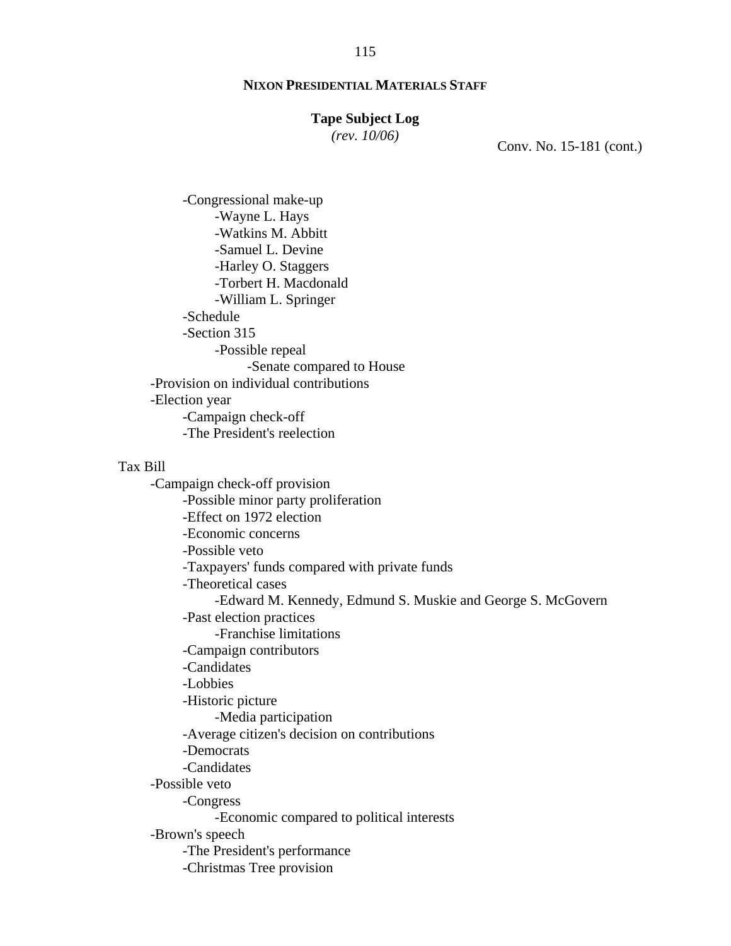### **Tape Subject Log**

*(rev. 10/06)*

Conv. No. 15-181 (cont.)

-Congressional make-up -Wayne L. Hays -Watkins M. Abbitt -Samuel L. Devine -Harley O. Staggers -Torbert H. Macdonald -William L. Springer -Schedule -Section 315 -Possible repeal -Senate compared to House -Provision on individual contributions -Election year -Campaign check-off -The President's reelection

## Tax Bill

-Campaign check-off provision -Possible minor party proliferation -Effect on 1972 election -Economic concerns -Possible veto -Taxpayers' funds compared with private funds -Theoretical cases -Edward M. Kennedy, Edmund S. Muskie and George S. McGovern -Past election practices -Franchise limitations -Campaign contributors -Candidates -Lobbies -Historic picture -Media participation -Average citizen's decision on contributions -Democrats -Candidates -Possible veto -Congress -Economic compared to political interests -Brown's speech -The President's performance -Christmas Tree provision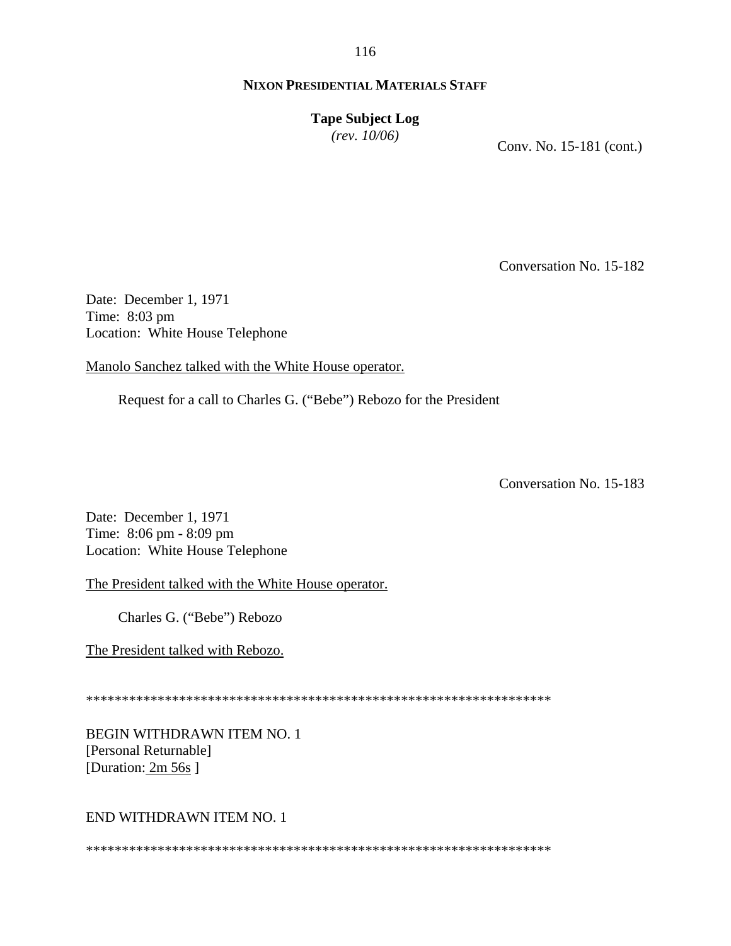**Tape Subject Log** *(rev. 10/06)*

Conv. No. 15-181 (cont.)

Conversation No. 15-182

Date: December 1, 1971 Time: 8:03 pm Location: White House Telephone

Manolo Sanchez talked with the White House operator.

Request for a call to Charles G. ("Bebe") Rebozo for the President

Conversation No. 15-183

Date: December 1, 1971 Time: 8:06 pm - 8:09 pm Location: White House Telephone

The President talked with the White House operator.

Charles G. ("Bebe") Rebozo

The President talked with Rebozo.

\*\*\*\*\*\*\*\*\*\*\*\*\*\*\*\*\*\*\*\*\*\*\*\*\*\*\*\*\*\*\*\*\*\*\*\*\*\*\*\*\*\*\*\*\*\*\*\*\*\*\*\*\*\*\*\*\*\*\*\*\*\*\*\*\*

BEGIN WITHDRAWN ITEM NO. 1 [Personal Returnable] [Duration: 2m 56s]

# END WITHDRAWN ITEM NO. 1

\*\*\*\*\*\*\*\*\*\*\*\*\*\*\*\*\*\*\*\*\*\*\*\*\*\*\*\*\*\*\*\*\*\*\*\*\*\*\*\*\*\*\*\*\*\*\*\*\*\*\*\*\*\*\*\*\*\*\*\*\*\*\*\*\*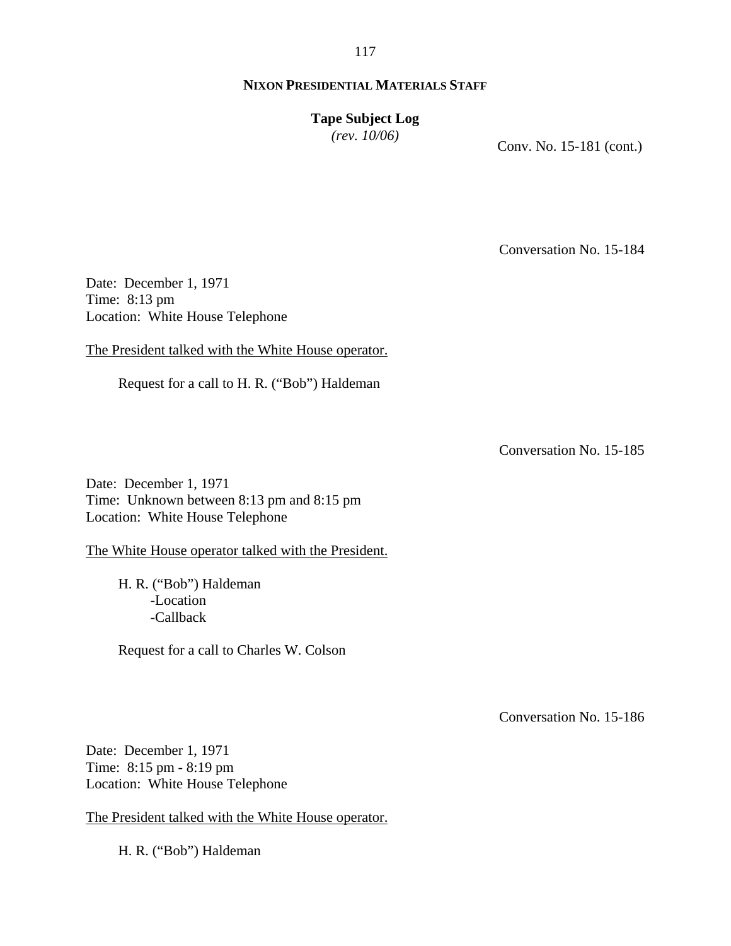## **NIXON PRESIDENTIAL MATERIALS STAFF**

**Tape Subject Log** *(rev. 10/06)*

Conv. No. 15-181 (cont.)

Conversation No. 15-184

Date: December 1, 1971 Time: 8:13 pm Location: White House Telephone

The President talked with the White House operator.

Request for a call to H. R. ("Bob") Haldeman

Conversation No. 15-185

Date: December 1, 1971 Time: Unknown between 8:13 pm and 8:15 pm Location: White House Telephone

The White House operator talked with the President.

H. R. ("Bob") Haldeman -Location -Callback

Request for a call to Charles W. Colson

Conversation No. 15-186

Date: December 1, 1971 Time: 8:15 pm - 8:19 pm Location: White House Telephone

The President talked with the White House operator.

H. R. ("Bob") Haldeman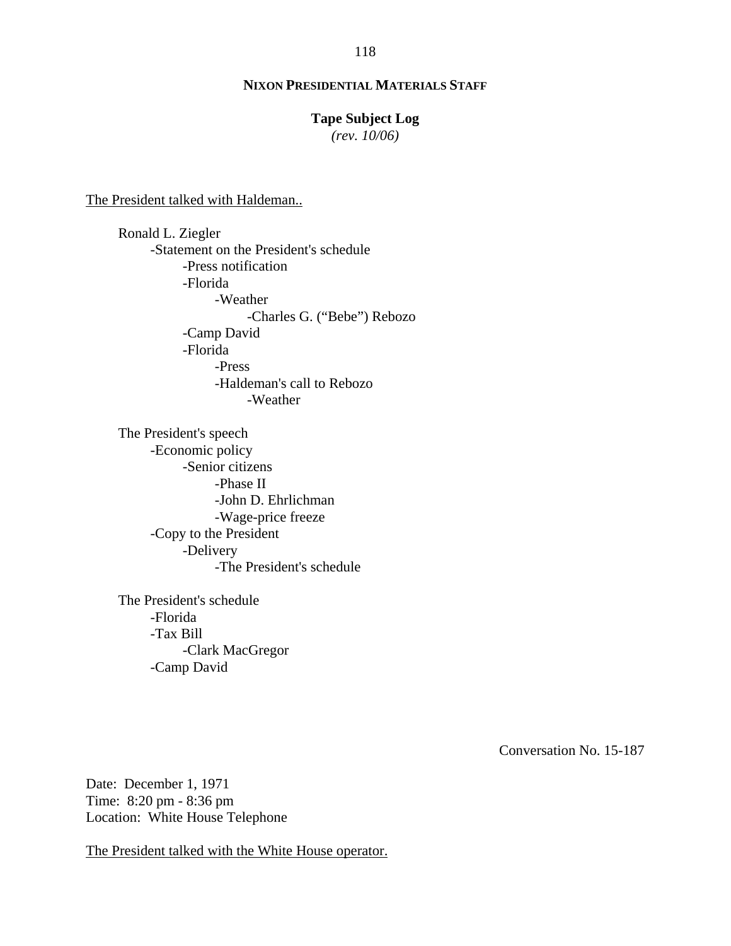## **Tape Subject Log**

*(rev. 10/06)*

The President talked with Haldeman..

Ronald L. Ziegler -Statement on the President's schedule -Press notification -Florida -Weather -Charles G. ("Bebe") Rebozo -Camp David -Florida -Press -Haldeman's call to Rebozo -Weather

The President's speech -Economic policy -Senior citizens -Phase II -John D. Ehrlichman -Wage-price freeze -Copy to the President -Delivery -The President's schedule

The President's schedule -Florida -Tax Bill -Clark MacGregor -Camp David

Conversation No. 15-187

Date: December 1, 1971 Time: 8:20 pm - 8:36 pm Location: White House Telephone

The President talked with the White House operator.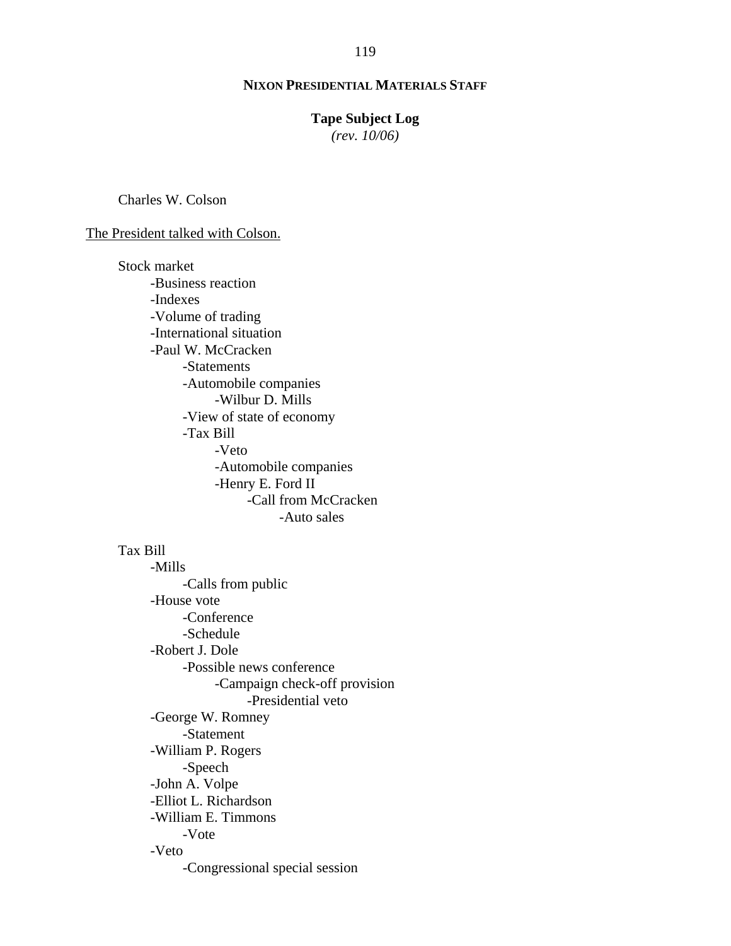### **Tape Subject Log**

*(rev. 10/06)*

Charles W. Colson

The President talked with Colson.

Stock market -Business reaction -Indexes -Volume of trading -International situation -Paul W. McCracken -Statements -Automobile companies -Wilbur D. Mills -View of state of economy -Tax Bill -Veto -Automobile companies -Henry E. Ford II -Call from McCracken -Auto sales

### Tax Bill

-Mills -Calls from public -House vote -Conference -Schedule -Robert J. Dole -Possible news conference -Campaign check-off provision -Presidential veto -George W. Romney -Statement -William P. Rogers -Speech -John A. Volpe -Elliot L. Richardson -William E. Timmons -Vote -Veto -Congressional special session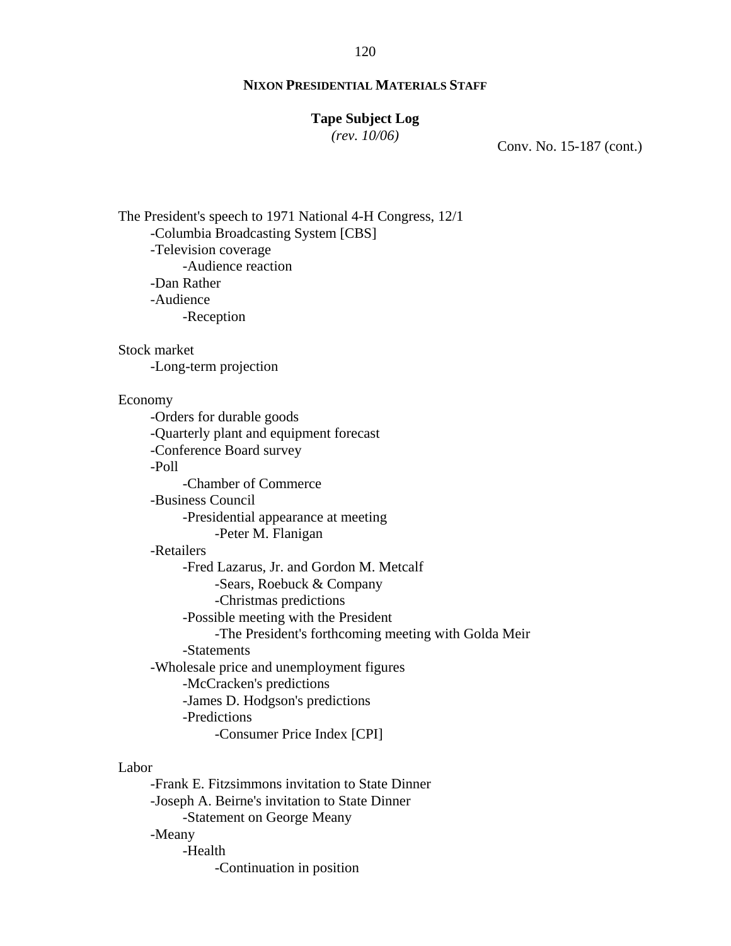# **NIXON PRESIDENTIAL MATERIALS STAFF**

### **Tape Subject Log**

*(rev. 10/06)*

Conv. No. 15-187 (cont.)

The President's speech to 1971 National 4-H Congress, 12/1 -Columbia Broadcasting System [CBS] -Television coverage -Audience reaction -Dan Rather -Audience -Reception Stock market -Long-term projection Economy -Orders for durable goods -Quarterly plant and equipment forecast -Conference Board survey -Poll -Chamber of Commerce -Business Council -Presidential appearance at meeting -Peter M. Flanigan -Retailers -Fred Lazarus, Jr. and Gordon M. Metcalf -Sears, Roebuck & Company -Christmas predictions -Possible meeting with the President -The President's forthcoming meeting with Golda Meir -Statements -Wholesale price and unemployment figures -McCracken's predictions -James D. Hodgson's predictions -Predictions -Consumer Price Index [CPI] Labor

-Frank E. Fitzsimmons invitation to State Dinner -Joseph A. Beirne's invitation to State Dinner -Statement on George Meany -Meany -Health -Continuation in position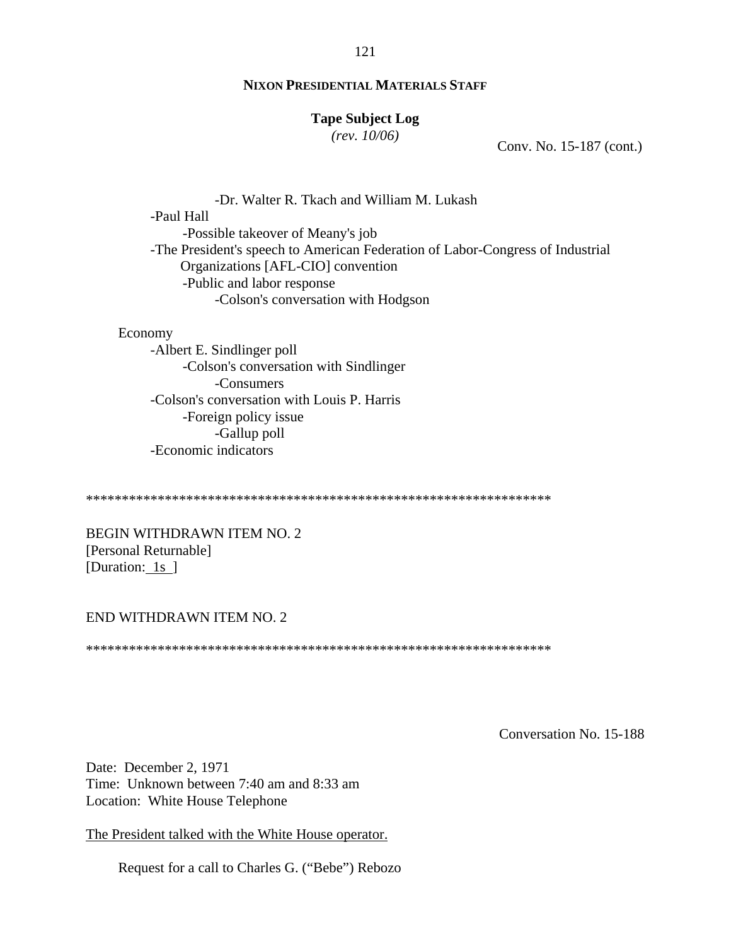### **Tape Subject Log**

*(rev. 10/06)*

Conv. No. 15-187 (cont.)

-Dr. Walter R. Tkach and William M. Lukash -Paul Hall -Possible takeover of Meany's job -The President's speech to American Federation of Labor-Congress of Industrial Organizations [AFL-CIO] convention -Public and labor response -Colson's conversation with Hodgson

#### Economy

-Albert E. Sindlinger poll -Colson's conversation with Sindlinger -Consumers -Colson's conversation with Louis P. Harris -Foreign policy issue -Gallup poll -Economic indicators

\*\*\*\*\*\*\*\*\*\*\*\*\*\*\*\*\*\*\*\*\*\*\*\*\*\*\*\*\*\*\*\*\*\*\*\*\*\*\*\*\*\*\*\*\*\*\*\*\*\*\*\*\*\*\*\*\*\*\*\*\*\*\*\*\*

BEGIN WITHDRAWN ITEM NO. 2 [Personal Returnable] [Duration: 1s ]

#### END WITHDRAWN ITEM NO. 2

\*\*\*\*\*\*\*\*\*\*\*\*\*\*\*\*\*\*\*\*\*\*\*\*\*\*\*\*\*\*\*\*\*\*\*\*\*\*\*\*\*\*\*\*\*\*\*\*\*\*\*\*\*\*\*\*\*\*\*\*\*\*\*\*\*

Conversation No. 15-188

Date: December 2, 1971 Time: Unknown between 7:40 am and 8:33 am Location: White House Telephone

The President talked with the White House operator.

Request for a call to Charles G. ("Bebe") Rebozo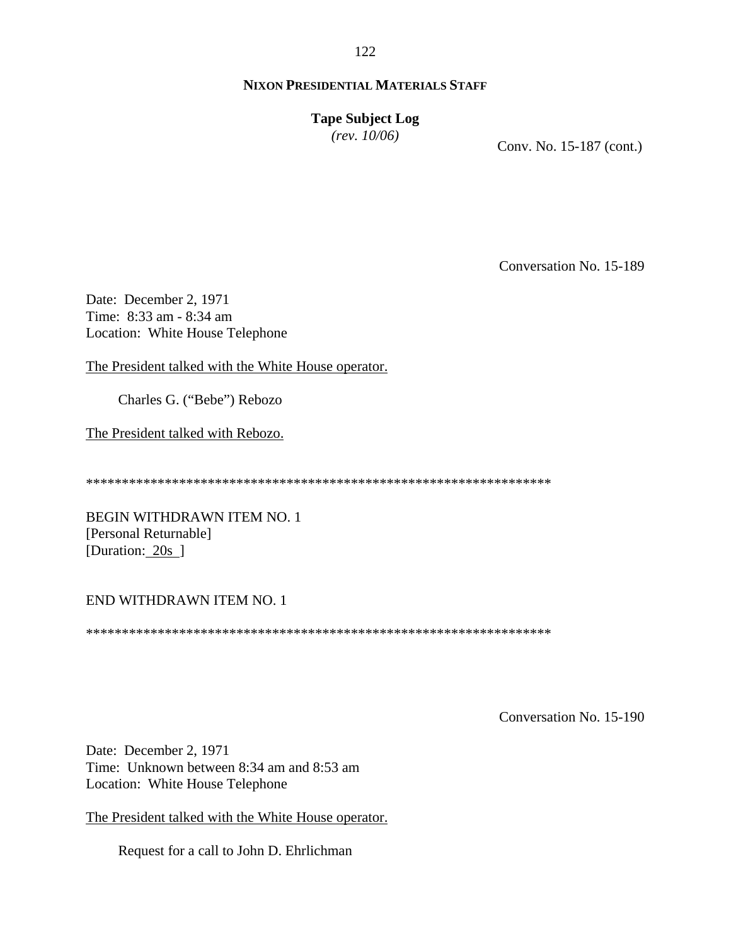# **Tape Subject Log** *(rev. 10/06)*

Conv. No. 15-187 (cont.)

Conversation No. 15-189

Date: December 2, 1971 Time: 8:33 am - 8:34 am Location: White House Telephone

The President talked with the White House operator.

Charles G. ("Bebe") Rebozo

The President talked with Rebozo.

\*\*\*\*\*\*\*\*\*\*\*\*\*\*\*\*\*\*\*\*\*\*\*\*\*\*\*\*\*\*\*\*\*\*\*\*\*\*\*\*\*\*\*\*\*\*\*\*\*\*\*\*\*\*\*\*\*\*\*\*\*\*\*\*\*

BEGIN WITHDRAWN ITEM NO. 1 [Personal Returnable] [Duration: 20s ]

# END WITHDRAWN ITEM NO. 1

\*\*\*\*\*\*\*\*\*\*\*\*\*\*\*\*\*\*\*\*\*\*\*\*\*\*\*\*\*\*\*\*\*\*\*\*\*\*\*\*\*\*\*\*\*\*\*\*\*\*\*\*\*\*\*\*\*\*\*\*\*\*\*\*\*

Conversation No. 15-190

Date: December 2, 1971 Time: Unknown between 8:34 am and 8:53 am Location: White House Telephone

The President talked with the White House operator.

Request for a call to John D. Ehrlichman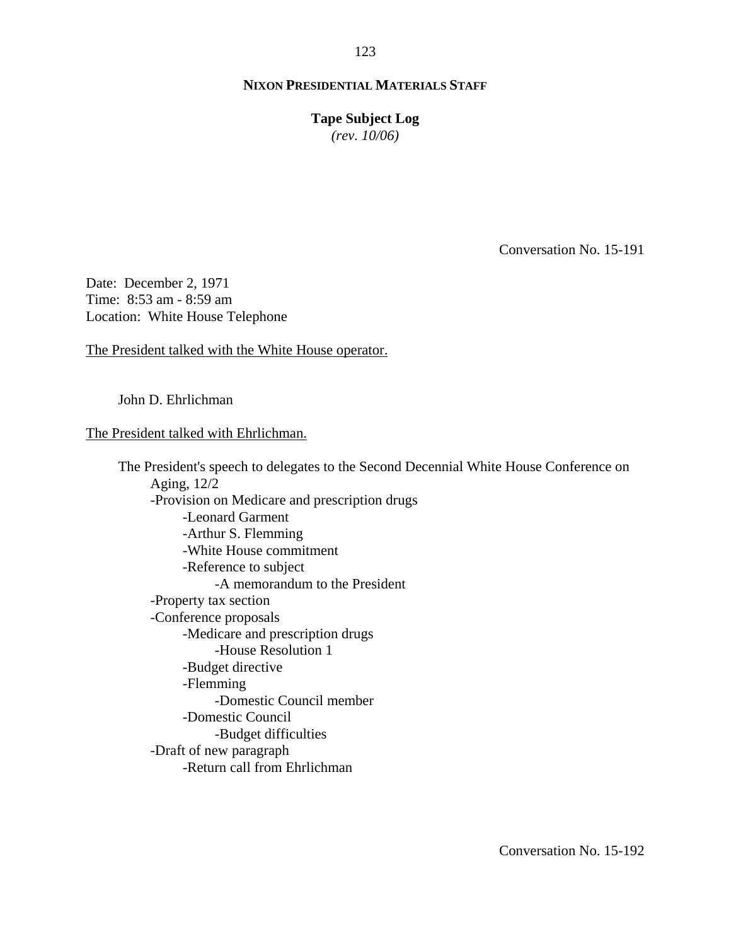**Tape Subject Log** *(rev. 10/06)*

Conversation No. 15-191

Date: December 2, 1971 Time: 8:53 am - 8:59 am Location: White House Telephone

The President talked with the White House operator.

John D. Ehrlichman

### The President talked with Ehrlichman.

The President's speech to delegates to the Second Decennial White House Conference on Aging, 12/2 -Provision on Medicare and prescription drugs -Leonard Garment -Arthur S. Flemming -White House commitment -Reference to subject -A memorandum to the President -Property tax section -Conference proposals -Medicare and prescription drugs -House Resolution 1 -Budget directive -Flemming -Domestic Council member -Domestic Council -Budget difficulties -Draft of new paragraph -Return call from Ehrlichman

123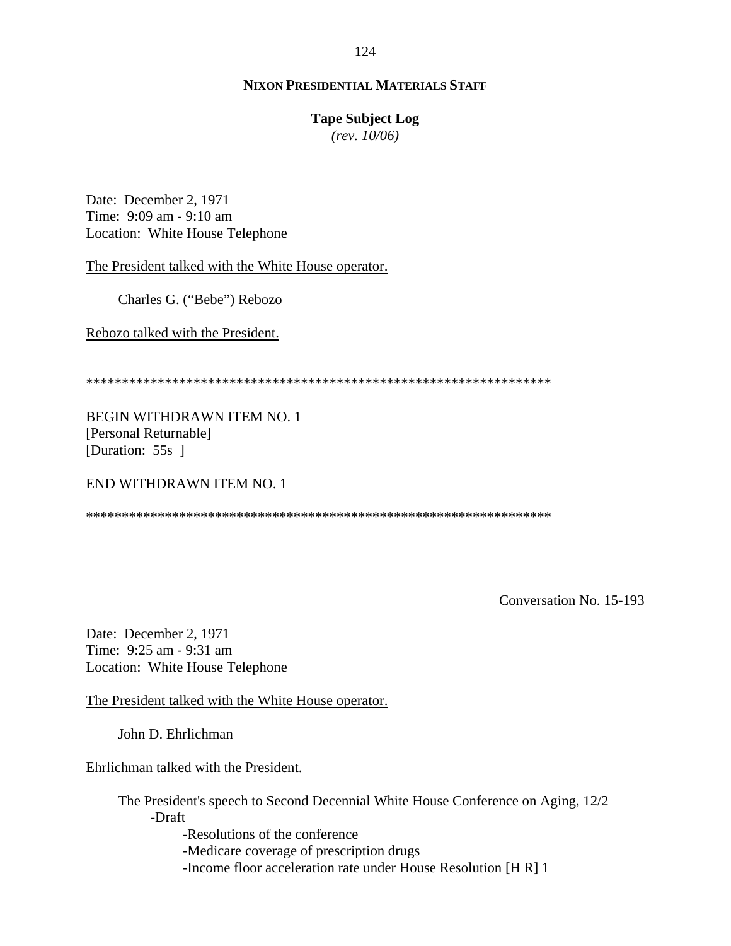### **Tape Subject Log**

*(rev. 10/06)*

Date: December 2, 1971 Time: 9:09 am - 9:10 am Location: White House Telephone

The President talked with the White House operator.

Charles G. ("Bebe") Rebozo

Rebozo talked with the President.

\*\*\*\*\*\*\*\*\*\*\*\*\*\*\*\*\*\*\*\*\*\*\*\*\*\*\*\*\*\*\*\*\*\*\*\*\*\*\*\*\*\*\*\*\*\*\*\*\*\*\*\*\*\*\*\*\*\*\*\*\*\*\*\*\*

BEGIN WITHDRAWN ITEM NO. 1 [Personal Returnable] [Duration: 55s ]

END WITHDRAWN ITEM NO. 1

\*\*\*\*\*\*\*\*\*\*\*\*\*\*\*\*\*\*\*\*\*\*\*\*\*\*\*\*\*\*\*\*\*\*\*\*\*\*\*\*\*\*\*\*\*\*\*\*\*\*\*\*\*\*\*\*\*\*\*\*\*\*\*\*\*

Conversation No. 15-193

Date: December 2, 1971 Time: 9:25 am - 9:31 am Location: White House Telephone

The President talked with the White House operator.

John D. Ehrlichman

Ehrlichman talked with the President.

The President's speech to Second Decennial White House Conference on Aging, 12/2 -Draft

-Resolutions of the conference

-Medicare coverage of prescription drugs

-Income floor acceleration rate under House Resolution [H R] 1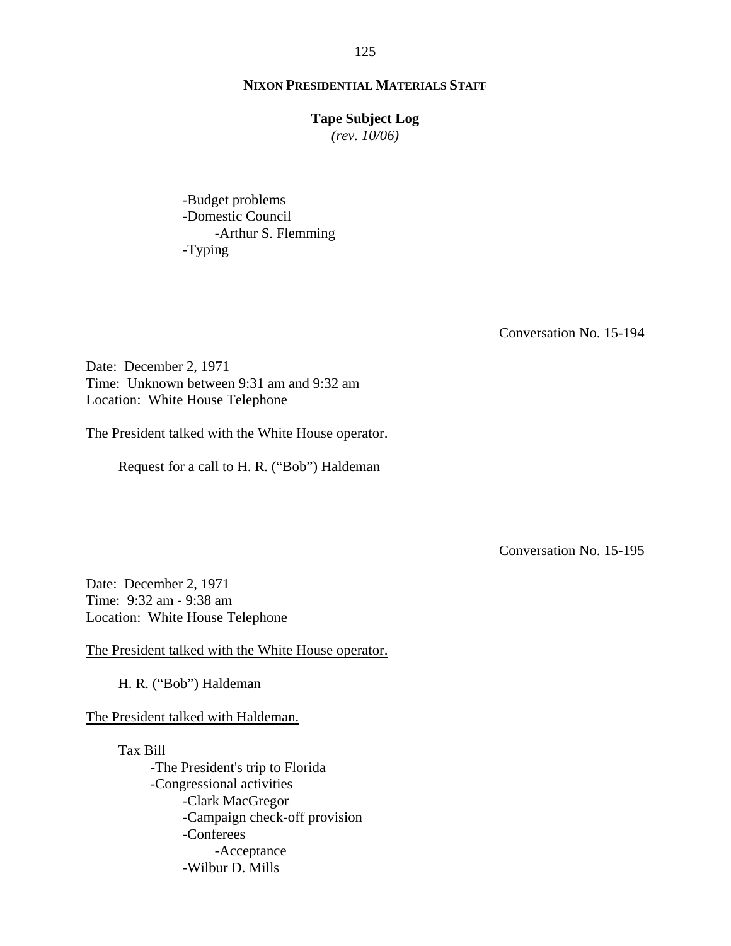### **Tape Subject Log**

*(rev. 10/06)*

-Budget problems -Domestic Council -Arthur S. Flemming -Typing

Conversation No. 15-194

Date: December 2, 1971 Time: Unknown between 9:31 am and 9:32 am Location: White House Telephone

The President talked with the White House operator.

Request for a call to H. R. ("Bob") Haldeman

Conversation No. 15-195

Date: December 2, 1971 Time: 9:32 am - 9:38 am Location: White House Telephone

The President talked with the White House operator.

H. R. ("Bob") Haldeman

The President talked with Haldeman.

Tax Bill -The President's trip to Florida -Congressional activities -Clark MacGregor -Campaign check-off provision -Conferees -Acceptance -Wilbur D. Mills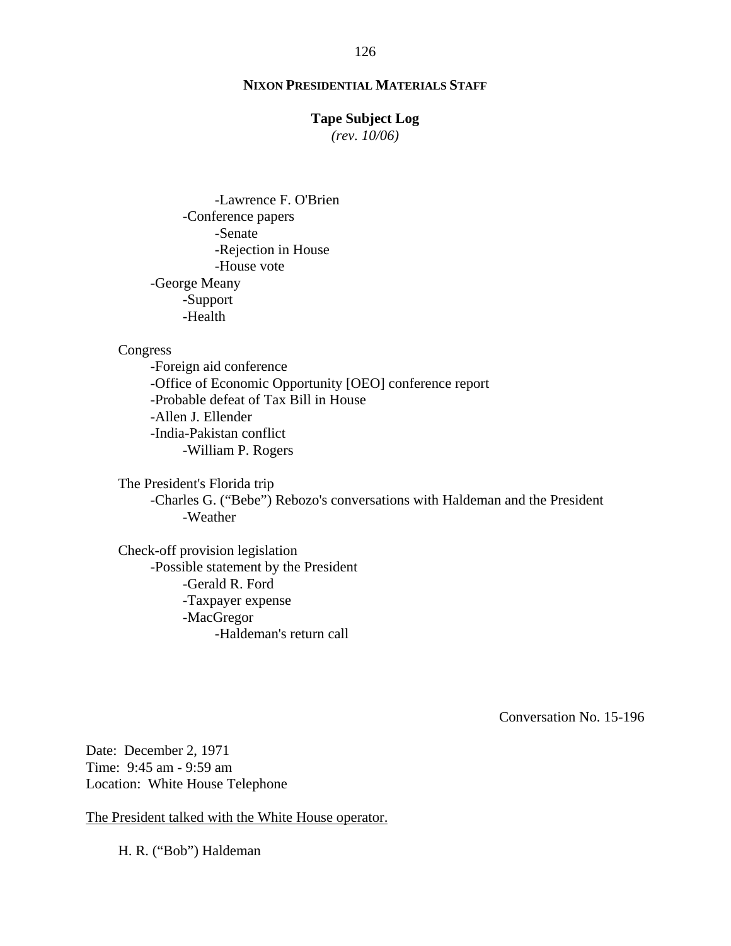### **Tape Subject Log**

*(rev. 10/06)*

-Lawrence F. O'Brien -Conference papers -Senate -Rejection in House -House vote -George Meany -Support -Health

### Congress

-William P. Rogers -Foreign aid conference -Office of Economic Opportunity [OEO] conference report -Probable defeat of Tax Bill in House -Allen J. Ellender -India-Pakistan conflict

The President's Florida trip -Charles G. ("Bebe") Rebozo's conversations with Haldeman and the President -Weather

Check-off provision legislation -Possible statement by the President -Gerald R. Ford -Taxpayer expense -MacGregor -Haldeman's return call

Conversation No. 15-196

Date: December 2, 1971 Time: 9:45 am - 9:59 am Location: White House Telephone

The President talked with the White House operator.

H. R. ("Bob") Haldeman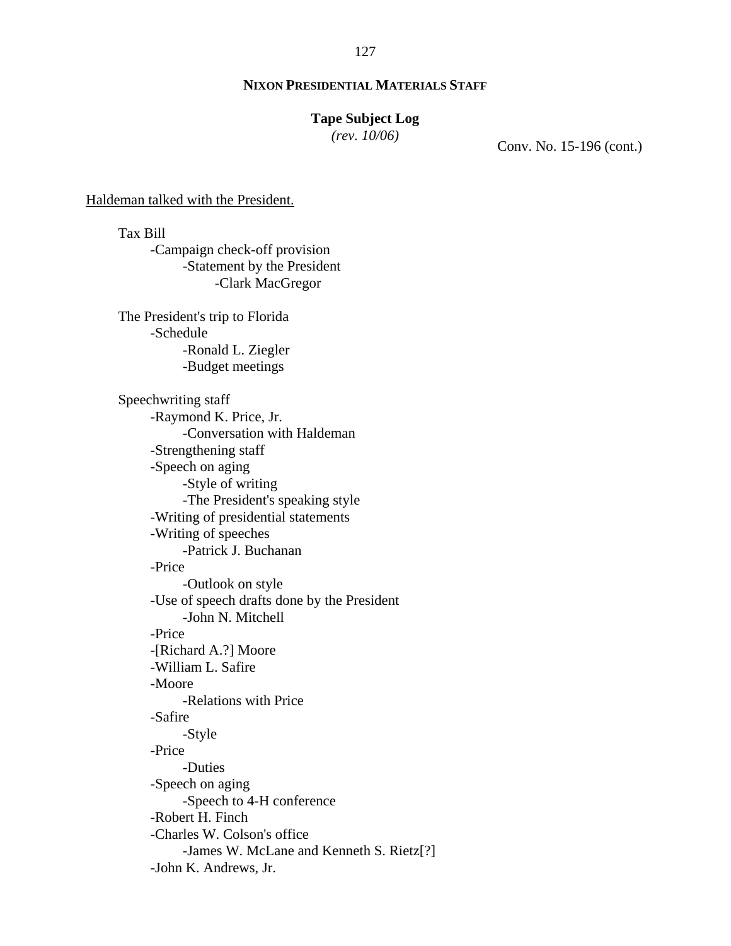# **Tape Subject Log**

*(rev. 10/06)*

Conv. No. 15-196 (cont.)

#### Haldeman talked with the President.

Tax Bill -Campaign check-off provision -Statement by the President -Clark MacGregor The President's trip to Florida -Schedule -Ronald L. Ziegler -Budget meetings Speechwriting staff -Raymond K. Price, Jr. -Conversation with Haldeman -Strengthening staff -Speech on aging -Style of writing -The President's speaking style -Writing of presidential statements -Writing of speeches -Patrick J. Buchanan -Price -Outlook on style -Use of speech drafts done by the President -John N. Mitchell -Price -[Richard A.?] Moore -William L. Safire -Moore -Relations with Price -Safire -Style -Price -Duties -Speech on aging -Speech to 4-H conference -Robert H. Finch -Charles W. Colson's office -James W. McLane and Kenneth S. Rietz[?] -John K. Andrews, Jr.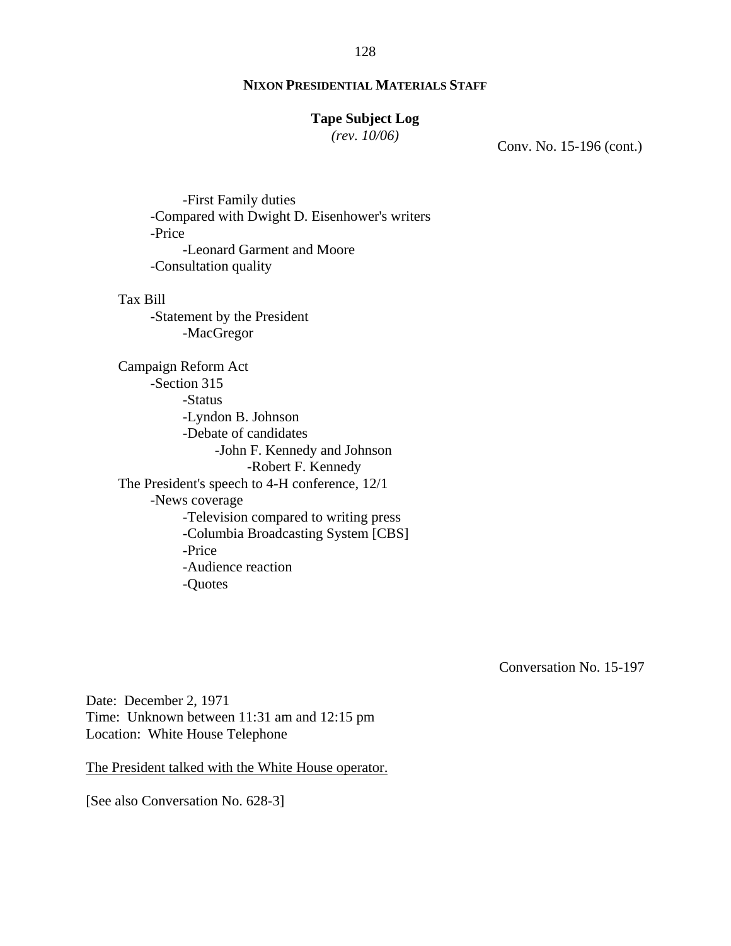# **Tape Subject Log**

*(rev. 10/06)*

Conv. No. 15-196 (cont.)

-First Family duties -Compared with Dwight D. Eisenhower's writers -Price -Leonard Garment and Moore -Consultation quality

Tax Bill

-Statement by the President -MacGregor

Campaign Reform Act -Section 315 -Status -Lyndon B. Johnson -Debate of candidates -John F. Kennedy and Johnson -Robert F. Kennedy The President's speech to 4-H conference, 12/1 -News coverage -Television compared to writing press -Columbia Broadcasting System [CBS] -Price -Audience reaction -Quotes

Conversation No. 15-197

Date: December 2, 1971 Time: Unknown between 11:31 am and 12:15 pm Location: White House Telephone

The President talked with the White House operator.

[See also Conversation No. 628-3]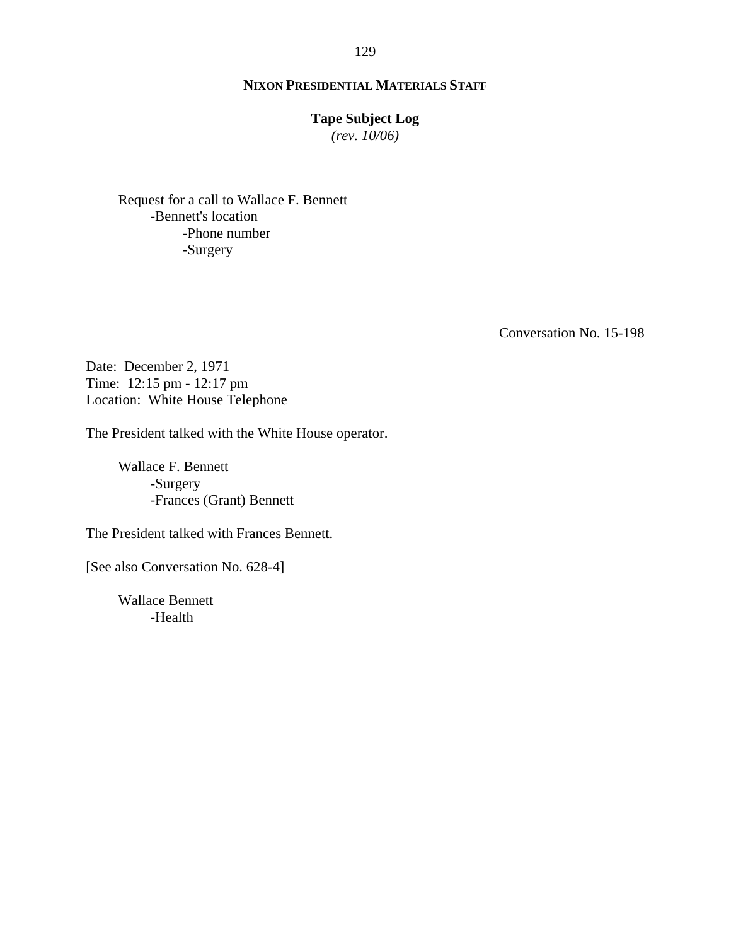# **Tape Subject Log**

*(rev. 10/06)*

Request for a call to Wallace F. Bennett -Bennett's location -Phone number -Surgery

Conversation No. 15-198

Date: December 2, 1971 Time: 12:15 pm - 12:17 pm Location: White House Telephone

The President talked with the White House operator.

 Wallace F. Bennett -Surgery -Frances (Grant) Bennett

The President talked with Frances Bennett.

[See also Conversation No. 628-4]

Wallace Bennett -Health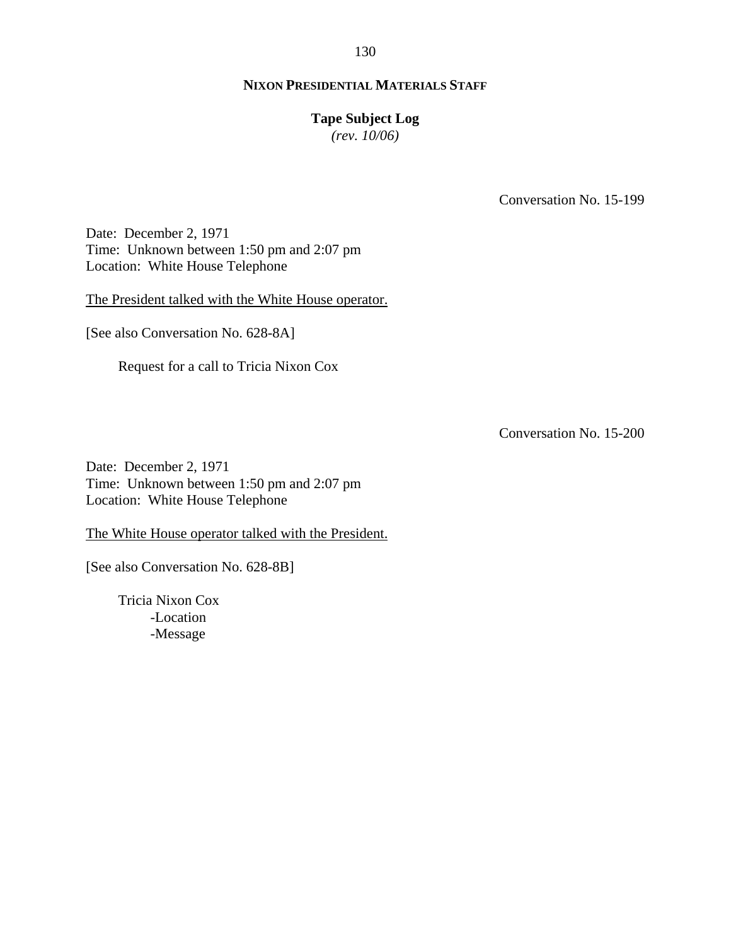### **Tape Subject Log**

*(rev. 10/06)*

Conversation No. 15-199

Date: December 2, 1971 Time: Unknown between 1:50 pm and 2:07 pm Location: White House Telephone

The President talked with the White House operator.

[See also Conversation No. 628-8A]

Request for a call to Tricia Nixon Cox

Conversation No. 15-200

Date: December 2, 1971 Time: Unknown between 1:50 pm and 2:07 pm Location: White House Telephone

The White House operator talked with the President.

[See also Conversation No. 628-8B]

Tricia Nixon Cox -Location -Message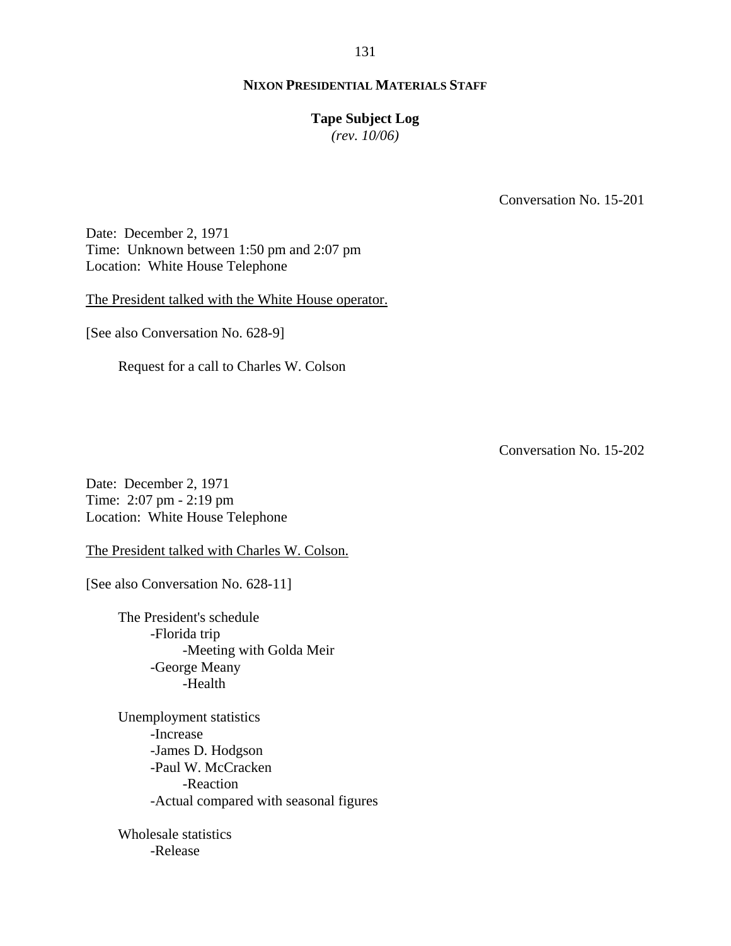### **Tape Subject Log**

*(rev. 10/06)*

Conversation No. 15-201

Date: December 2, 1971 Time: Unknown between 1:50 pm and 2:07 pm Location: White House Telephone

The President talked with the White House operator.

[See also Conversation No. 628-9]

Request for a call to Charles W. Colson

Conversation No. 15-202

Date: December 2, 1971 Time: 2:07 pm - 2:19 pm Location: White House Telephone

The President talked with Charles W. Colson.

[See also Conversation No. 628-11]

The President's schedule -Florida trip -Meeting with Golda Meir -George Meany -Health

Unemployment statistics -Increase -James D. Hodgson -Paul W. McCracken -Reaction -Actual compared with seasonal figures

Wholesale statistics -Release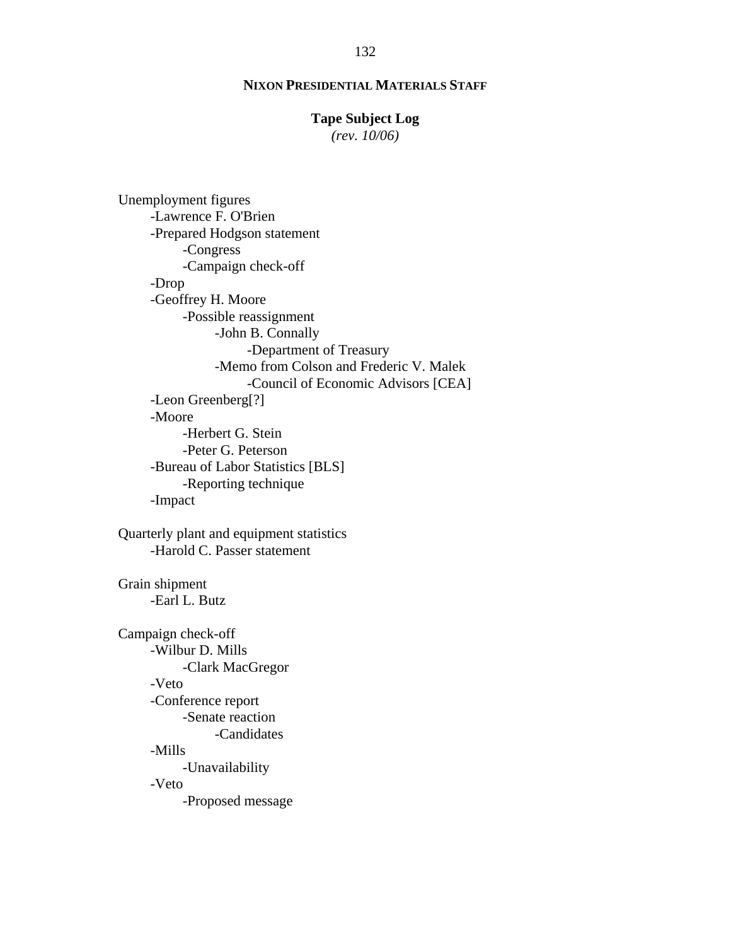# **Tape Subject Log**

*(rev. 10/06)*

Unemployment figures -Lawrence F. O'Brien -Prepared Hodgson statement -Congress -Campaign check-off -Drop -Geoffrey H. Moore -Possible reassignment -John B. Connally -Department of Treasury -Memo from Colson and Frederic V. Malek -Council of Economic Advisors [CEA] -Leon Greenberg[?] -Moore -Herbert G. Stein -Peter G. Peterson -Bureau of Labor Statistics [BLS] -Reporting technique -Impact Quarterly plant and equipment statistics -Harold C. Passer statement Grain shipment -Earl L. Butz Campaign check-off -Wilbur D. Mills -Clark MacGregor -Veto -Conference report -Senate reaction -Candidates -Mills -Unavailability -Veto -Proposed message